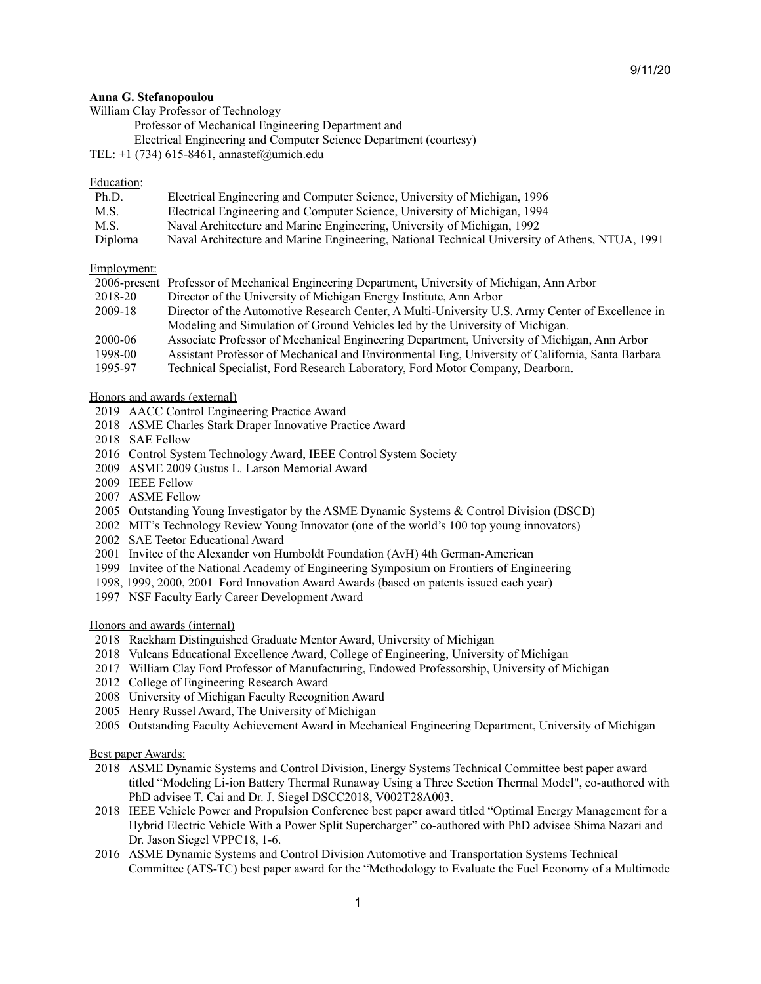### **Anna G. Stefanopoulou**

William Clay Professor of Technology

Professor of Mechanical Engineering Department and

- Electrical Engineering and Computer Science Department (courtesy)
- TEL:  $+1$  (734) 615-8461, annastef@umich.edu

## Education:

| Ph.D.   | Electrical Engineering and Computer Science, University of Michigan, 1996                      |
|---------|------------------------------------------------------------------------------------------------|
| M.S.    | Electrical Engineering and Computer Science, University of Michigan, 1994                      |
| M.S.    | Naval Architecture and Marine Engineering, University of Michigan, 1992                        |
| Diploma | Naval Architecture and Marine Engineering, National Technical University of Athens, NTUA, 1991 |

## Employment:

|         | 2006-present Professor of Mechanical Engineering Department, University of Michigan, Ann Arbor   |
|---------|--------------------------------------------------------------------------------------------------|
| 2018-20 | Director of the University of Michigan Energy Institute, Ann Arbor                               |
| 2009-18 | Director of the Automotive Research Center, A Multi-University U.S. Army Center of Excellence in |
|         | Modeling and Simulation of Ground Vehicles led by the University of Michigan.                    |
| 2000-06 | Associate Professor of Mechanical Engineering Department, University of Michigan, Ann Arbor      |
| 1998-00 | Assistant Professor of Mechanical and Environmental Eng, University of California, Santa Barbara |
| 1995-97 | Technical Specialist, Ford Research Laboratory, Ford Motor Company, Dearborn.                    |

## Honors and awards (external)

- 2019 AACC Control Engineering Practice Award
- 2018 ASME Charles Stark Draper Innovative Practice Award
- 2018 SAE Fellow
- 2016 Control System Technology Award, IEEE Control System Society
- 2009 ASME 2009 Gustus L. Larson Memorial Award
- 2009 IEEE Fellow
- 2007 ASME Fellow
- 2005 Outstanding Young Investigator by the ASME Dynamic Systems & Control Division (DSCD)
- 2002 MIT's Technology Review Young Innovator (one of the world's 100 top young innovators)
- 2002 SAE Teetor Educational Award
- 2001 Invitee of the Alexander von Humboldt Foundation (AvH) 4th German-American
- 1999 Invitee of the National Academy of Engineering Symposium on Frontiers of Engineering
- 1998, 1999, 2000, 2001 Ford Innovation Award Awards (based on patents issued each year)
- 1997 NSF Faculty Early Career Development Award

#### Honors and awards (internal)

- 2018 Rackham Distinguished Graduate Mentor Award, University of Michigan
- 2018 Vulcans Educational Excellence Award, College of Engineering, University of Michigan
- 2017 William Clay Ford Professor of Manufacturing, Endowed Professorship, University of Michigan
- 2012 College of Engineering Research Award
- 2008 University of Michigan Faculty Recognition Award
- 2005 Henry Russel Award, The University of Michigan
- 2005 Outstanding Faculty Achievement Award in Mechanical Engineering Department, University of Michigan

Best paper Awards:

- 2018 ASME Dynamic Systems and Control Division, Energy Systems Technical Committee best paper award titled "Modeling Li-ion Battery Thermal Runaway Using a Three Section Thermal Model", co-authored with PhD advisee T. Cai and Dr. J. Siegel DSCC2018, V002T28A003.
- 2018 IEEE Vehicle Power and Propulsion Conference best paper award titled "Optimal Energy Management for a Hybrid Electric Vehicle With a Power Split Supercharger" co-authored with PhD advisee Shima Nazari and Dr. Jason Siegel VPPC18, 1-6.
- 2016 ASME Dynamic Systems and Control Division Automotive and Transportation Systems Technical Committee (ATS-TC) best paper award for the "Methodology to Evaluate the Fuel Economy of a Multimode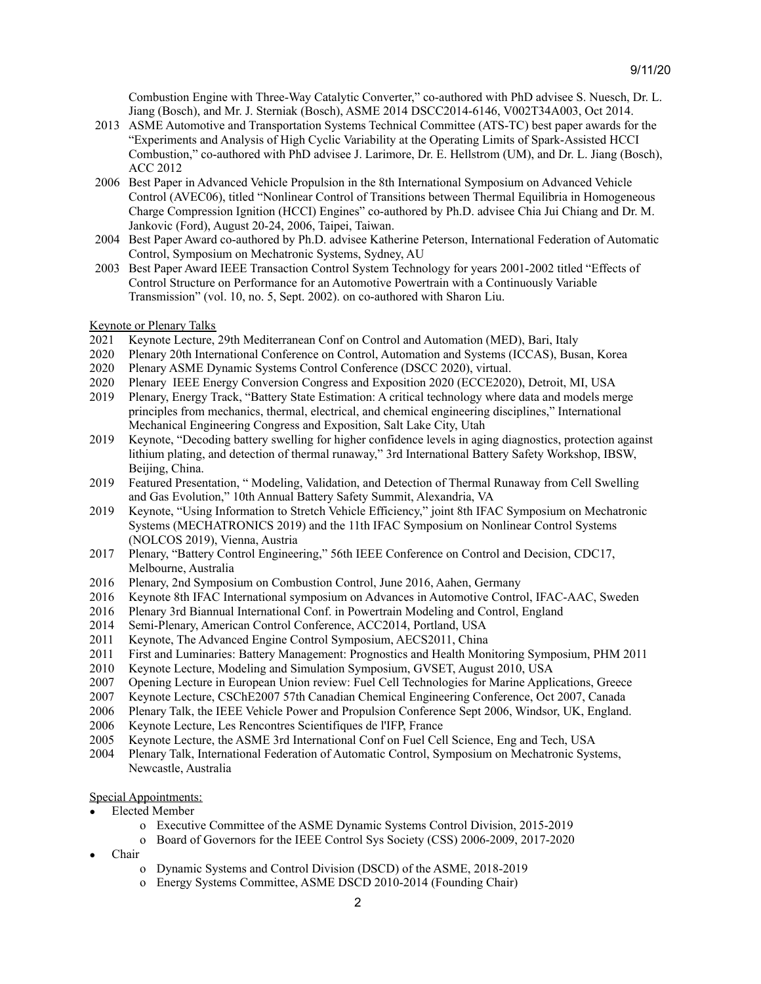Combustion Engine with Three-Way Catalytic Converter," co-authored with PhD advisee S. Nuesch, Dr. L. Jiang (Bosch), and Mr. J. Sterniak (Bosch), ASME 2014 DSCC2014-6146, V002T34A003, Oct 2014.

- 2013 ASME Automotive and Transportation Systems Technical Committee (ATS-TC) best paper awards for the "Experiments and Analysis of High Cyclic Variability at the Operating Limits of Spark-Assisted HCCI Combustion," co-authored with PhD advisee J. Larimore, Dr. E. Hellstrom (UM), and Dr. L. Jiang (Bosch), ACC 2012
- 2006 Best Paper in Advanced Vehicle Propulsion in the 8th International Symposium on Advanced Vehicle Control (AVEC06), titled "Nonlinear Control of Transitions between Thermal Equilibria in Homogeneous Charge Compression Ignition (HCCI) Engines" co-authored by Ph.D. advisee Chia Jui Chiang and Dr. M. Jankovic (Ford), August 20-24, 2006, Taipei, Taiwan.
- 2004 Best Paper Award co-authored by Ph.D. advisee Katherine Peterson, International Federation of Automatic Control, Symposium on Mechatronic Systems, Sydney, AU
- 2003 Best Paper Award IEEE Transaction Control System Technology for years 2001-2002 titled "Effects of Control Structure on Performance for an Automotive Powertrain with a Continuously Variable Transmission" (vol. 10, no. 5, Sept. 2002). on co-authored with Sharon Liu.

## Keynote or Plenary Talks

- 2021 Keynote Lecture, 29th Mediterranean Conf on Control and Automation (MED), Bari, Italy
- 2020 Plenary 20th International Conference on Control, Automation and Systems (ICCAS), Busan, Korea
- 2020 Plenary ASME Dynamic Systems Control Conference (DSCC 2020), virtual.
- 2020 Plenary IEEE Energy Conversion Congress and Exposition 2020 (ECCE2020), Detroit, MI, USA
- 2019 Plenary, Energy Track, "Battery State Estimation: A critical technology where data and models merge principles from mechanics, thermal, electrical, and chemical engineering disciplines," International Mechanical Engineering Congress and Exposition, Salt Lake City, Utah
- 2019 Keynote, "Decoding battery swelling for higher confidence levels in aging diagnostics, protection against lithium plating, and detection of thermal runaway," 3rd International Battery Safety Workshop, IBSW, Beijing, China.
- 2019 Featured Presentation, " Modeling, Validation, and Detection of Thermal Runaway from Cell Swelling and Gas Evolution," 10th Annual Battery Safety Summit, Alexandria, VA
- 2019 Keynote, "Using Information to Stretch Vehicle Efficiency," joint 8th IFAC Symposium on Mechatronic Systems (MECHATRONICS 2019) and the 11th IFAC Symposium on Nonlinear Control Systems (NOLCOS 2019), Vienna, Austria
- 2017 Plenary, "Battery Control Engineering," 56th IEEE Conference on Control and Decision, CDC17, Melbourne, Australia
- 2016 Plenary, 2nd Symposium on Combustion Control, June 2016, Aahen, Germany
- 2016 Keynote 8th IFAC International symposium on Advances in Automotive Control, IFAC-AAC, Sweden
- 2016 Plenary 3rd Biannual International Conf. in Powertrain Modeling and Control, England
- 2014 Semi-Plenary, American Control Conference, ACC2014, Portland, USA
- 2011 Keynote, The Advanced Engine Control Symposium, AECS2011, China
- 2011 First and Luminaries: Battery Management: Prognostics and Health Monitoring Symposium, PHM 2011
- 2010 Keynote Lecture, Modeling and Simulation Symposium, GVSET, August 2010, USA
- 2007 Opening Lecture in European Union review: Fuel Cell Technologies for Marine Applications, Greece
- 2007 Keynote Lecture, CSChE2007 57th Canadian Chemical Engineering Conference, Oct 2007, Canada
- 2006 Plenary Talk, the IEEE Vehicle Power and Propulsion Conference Sept 2006, Windsor, UK, England.
- 2006 Keynote Lecture, Les Rencontres Scientifiques de l'IFP, France
- 2005 Keynote Lecture, the ASME 3rd International Conf on Fuel Cell Science, Eng and Tech, USA
- 2004 Plenary Talk, International Federation of Automatic Control, Symposium on Mechatronic Systems, Newcastle, Australia

# Special Appointments:

- Elected Member
	- o Executive Committee of the ASME Dynamic Systems Control Division, 2015-2019
	- o Board of Governors for the IEEE Control Sys Society (CSS) 2006-2009, 2017-2020
- Chair
	- o Dynamic Systems and Control Division (DSCD) of the ASME, 2018-2019
	- o Energy Systems Committee, ASME DSCD 2010-2014 (Founding Chair)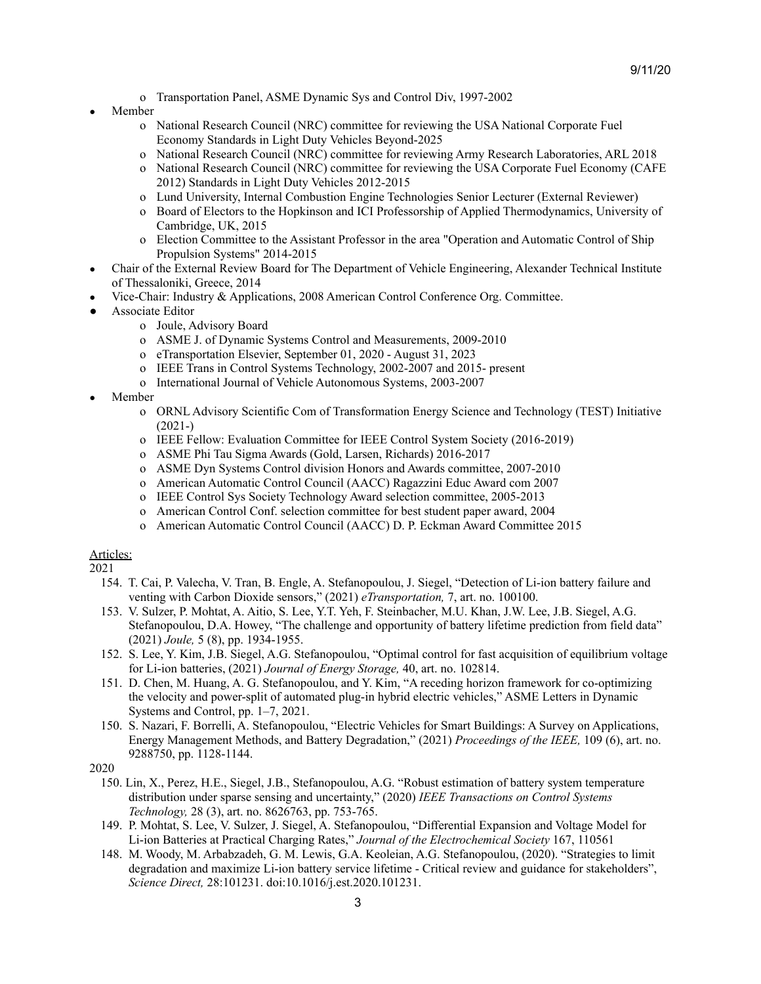- o Transportation Panel, ASME Dynamic Sys and Control Div, 1997-2002
- **Member** 
	- o National Research Council (NRC) committee for reviewing the USA National Corporate Fuel Economy Standards in Light Duty Vehicles Beyond-2025
	- o National Research Council (NRC) committee for reviewing Army Research Laboratories, ARL 2018
	- o National Research Council (NRC) committee for reviewing the USA Corporate Fuel Economy (CAFE 2012) Standards in Light Duty Vehicles 2012-2015
	- o Lund University, Internal Combustion Engine Technologies Senior Lecturer (External Reviewer)
	- o Board of Electors to the Hopkinson and ICI Professorship of Applied Thermodynamics, University of Cambridge, UK, 2015
	- o Election Committee to the Assistant Professor in the area "Operation and Automatic Control of Ship Propulsion Systems" 2014-2015
- Chair of the External Review Board for The Department of Vehicle Engineering, Alexander Technical Institute of Thessaloniki, Greece, 2014
- Vice-Chair: Industry & Applications, 2008 American Control Conference Org. Committee.
- Associate Editor
	- o Joule, Advisory Board
	- o ASME J. of Dynamic Systems Control and Measurements, 2009-2010
	- o eTransportation Elsevier, September 01, 2020 August 31, 2023
	- o IEEE Trans in Control Systems Technology, 2002-2007 and 2015- present
	- o International Journal of Vehicle Autonomous Systems, 2003-2007
- Member
	- o ORNL Advisory Scientific Com of Transformation Energy Science and Technology (TEST) Initiative (2021-)
	- o IEEE Fellow: Evaluation Committee for IEEE Control System Society (2016-2019)
	- o ASME Phi Tau Sigma Awards (Gold, Larsen, Richards) 2016-2017
	- o ASME Dyn Systems Control division Honors and Awards committee, 2007-2010
	- o American Automatic Control Council (AACC) Ragazzini Educ Award com 2007
	- o IEEE Control Sys Society Technology Award selection committee, 2005-2013
	- o American Control Conf. selection committee for best student paper award, 2004
	- o American Automatic Control Council (AACC) D. P. Eckman Award Committee 2015

# Articles:

- 154. T. Cai, P. Valecha, V. Tran, B. Engle, A. Stefanopoulou, J. Siegel, "Detection of Li-ion battery failure and venting with Carbon Dioxide sensors," (2021) *eTransportation,* 7, art. no. 100100.
- 153. V. Sulzer, P. Mohtat, A. Aitio, S. Lee, Y.T. Yeh, F. Steinbacher, M.U. Khan, J.W. Lee, J.B. Siegel, A.G. Stefanopoulou, D.A. Howey, "The challenge and opportunity of battery lifetime prediction from field data" (2021) *Joule,* 5 (8), pp. 1934-1955.
- 152. S. Lee, Y. Kim, J.B. Siegel, A.G. Stefanopoulou, "Optimal control for fast acquisition of equilibrium voltage for Li-ion batteries, (2021) *Journal of Energy Storage,* 40, art. no. 102814.
- 151. D. Chen, M. Huang, A. G. Stefanopoulou, and Y. Kim, "A receding horizon framework for co-optimizing the velocity and power-split of automated plug-in hybrid electric vehicles," ASME Letters in Dynamic Systems and Control, pp. 1–7, 2021.
- 150. S. Nazari, F. Borrelli, A. Stefanopoulou, "Electric Vehicles for Smart Buildings: A Survey on Applications, Energy Management Methods, and Battery Degradation," (2021) *Proceedings of the IEEE,* 109 (6), art. no. 9288750, pp. 1128-1144.
- 2020
	- 150. Lin, X., Perez, H.E., Siegel, J.B., Stefanopoulou, A.G. "Robust estimation of battery system temperature distribution under sparse sensing and uncertainty," (2020) *IEEE Transactions on Control Systems Technology,* 28 (3), art. no. 8626763, pp. 753-765.
	- 149. P. Mohtat, S. Lee, V. Sulzer, J. Siegel, A. Stefanopoulou, "Differential Expansion and Voltage Model for Li-ion Batteries at Practical Charging Rates," *Journal of the Electrochemical Society* 167, 110561
	- 148. M. Woody, M. Arbabzadeh, G. M. Lewis, G.A. Keoleian, A.G. Stefanopoulou, (2020). "Strategies to limit degradation and maximize Li-ion battery service lifetime - Critical review and guidance for stakeholders", *Science Direct,* 28:101231. doi:10.1016/j.est.2020.101231.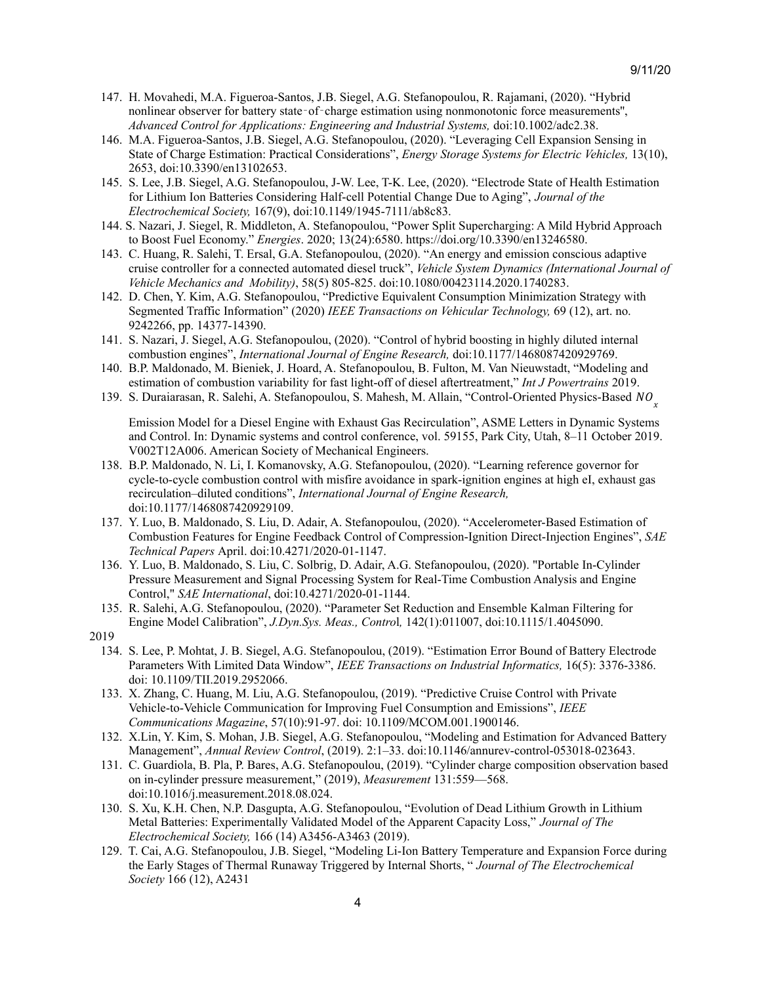- 147. H. Movahedi, M.A. Figueroa-Santos, J.B. Siegel, A.G. Stefanopoulou, R. Rajamani, (2020). "Hybrid nonlinear observer for battery state‐of‐charge estimation using nonmonotonic force measurements'', *Advanced Control for Applications: Engineering and Industrial Systems,* doi:10.1002/adc2.38.
- 146. M.A. Figueroa-Santos, J.B. Siegel, A.G. Stefanopoulou, (2020). "Leveraging Cell Expansion Sensing in State of Charge Estimation: Practical Considerations", *Energy Storage Systems for Electric Vehicles,* 13(10), 2653, doi:10.3390/en13102653.
- 145. S. Lee, J.B. Siegel, A.G. Stefanopoulou, J-W. Lee, T-K. Lee, (2020). "Electrode State of Health Estimation for Lithium Ion Batteries Considering Half-cell Potential Change Due to Aging", *Journal of the Electrochemical Society,* 167(9), doi:10.1149/1945-7111/ab8c83.
- 144. S. Nazari, J. Siegel, R. Middleton, A. Stefanopoulou, "Power Split Supercharging: A Mild Hybrid Approach to Boost Fuel Economy." *Energies*. 2020; 13(24):6580. https://doi.org/10.3390/en13246580.
- 143. C. Huang, R. Salehi, T. Ersal, G.A. Stefanopoulou, (2020). "An energy and emission conscious adaptive cruise controller for a connected automated diesel truck", *Vehicle System Dynamics (International Journal of Vehicle Mechanics and Mobility)*, 58(5) 805-825. doi:10.1080/00423114.2020.1740283.
- 142. D. Chen, Y. Kim, A.G. Stefanopoulou, "Predictive Equivalent Consumption Minimization Strategy with Segmented Traffic Information" (2020) *IEEE Transactions on Vehicular Technology,* 69 (12), art. no. 9242266, pp. 14377-14390.
- 141. S. Nazari, J. Siegel, A.G. Stefanopoulou, (2020). "Control of hybrid boosting in highly diluted internal combustion engines", *International Journal of Engine Research,* doi:10.1177/1468087420929769.
- 140. B.P. Maldonado, M. Bieniek, J. Hoard, A. Stefanopoulou, B. Fulton, M. Van Nieuwstadt, "Modeling and estimation of combustion variability for fast light-off of diesel aftertreatment," *Int J Powertrains* 2019.
- 139. S. Duraiarasan, R. Salehi, A. Stefanopoulou, S. Mahesh, M. Allain, "Control-Oriented Physics-Based NO

Emission Model for a Diesel Engine with Exhaust Gas Recirculation", ASME Letters in Dynamic Systems and Control. In: Dynamic systems and control conference, vol. 59155, Park City, Utah, 8–11 October 2019. V002T12A006. American Society of Mechanical Engineers.

- 138. B.P. Maldonado, N. Li, I. Komanovsky, A.G. Stefanopoulou, (2020). "Learning reference governor for cycle-to-cycle combustion control with misfire avoidance in spark-ignition engines at high eI, exhaust gas recirculation–diluted conditions", *International Journal of Engine Research,* doi:10.1177/1468087420929109.
- 137. Y. Luo, B. Maldonado, S. Liu, D. Adair, A. Stefanopoulou, (2020). "Accelerometer-Based Estimation of Combustion Features for Engine Feedback Control of Compression-Ignition Direct-Injection Engines", *SAE Technical Papers* April. doi:10.4271/2020-01-1147.
- 136. Y. Luo, B. Maldonado, S. Liu, C. Solbrig, D. Adair, A.G. Stefanopoulou, (2020). "Portable In-Cylinder Pressure Measurement and Signal Processing System for Real-Time Combustion Analysis and Engine Control," *SAE International*, doi:10.4271/2020-01-1144.
- 135. R. Salehi, A.G. Stefanopoulou, (2020). "Parameter Set Reduction and Ensemble Kalman Filtering for Engine Model Calibration", *J.Dyn.Sys. Meas., Contro*l*,* 142(1):011007, doi:10.1115/1.4045090.
- 2019
	- 134. S. Lee, P. Mohtat, J. B. Siegel, A.G. Stefanopoulou, (2019). "Estimation Error Bound of Battery Electrode Parameters With Limited Data Window", *IEEE Transactions on Industrial Informatics,* 16(5): 3376-3386. doi: 10.1109/TII.2019.2952066.
	- 133. X. Zhang, C. Huang, M. Liu, A.G. Stefanopoulou, (2019). "Predictive Cruise Control with Private Vehicle-to-Vehicle Communication for Improving Fuel Consumption and Emissions", *IEEE Communications Magazine*, 57(10):91-97. doi: 10.1109/MCOM.001.1900146.
	- 132. X.Lin, Y. Kim, S. Mohan, J.B. Siegel, A.G. Stefanopoulou, "Modeling and Estimation for Advanced Battery Management", *Annual Review Control*, (2019). 2:1–33. doi:10.1146/annurev-control-053018-023643.
	- 131. C. Guardiola, B. Pla, P. Bares, A.G. Stefanopoulou, (2019). "Cylinder charge composition observation based on in-cylinder pressure measurement," (2019), *Measurement* 131:559—568. doi:10.1016/j.measurement.2018.08.024.
	- 130. S. Xu, K.H. Chen, N.P. Dasgupta, A.G. Stefanopoulou, "Evolution of Dead Lithium Growth in Lithium Metal Batteries: Experimentally Validated Model of the Apparent Capacity Loss," *Journal of The Electrochemical Society,* 166 (14) A3456-A3463 (2019).
	- 129. T. Cai, A.G. Stefanopoulou, J.B. Siegel, "Modeling Li-Ion Battery Temperature and Expansion Force during the Early Stages of Thermal Runaway Triggered by Internal Shorts, " *Journal of The Electrochemical Society* 166 (12), A2431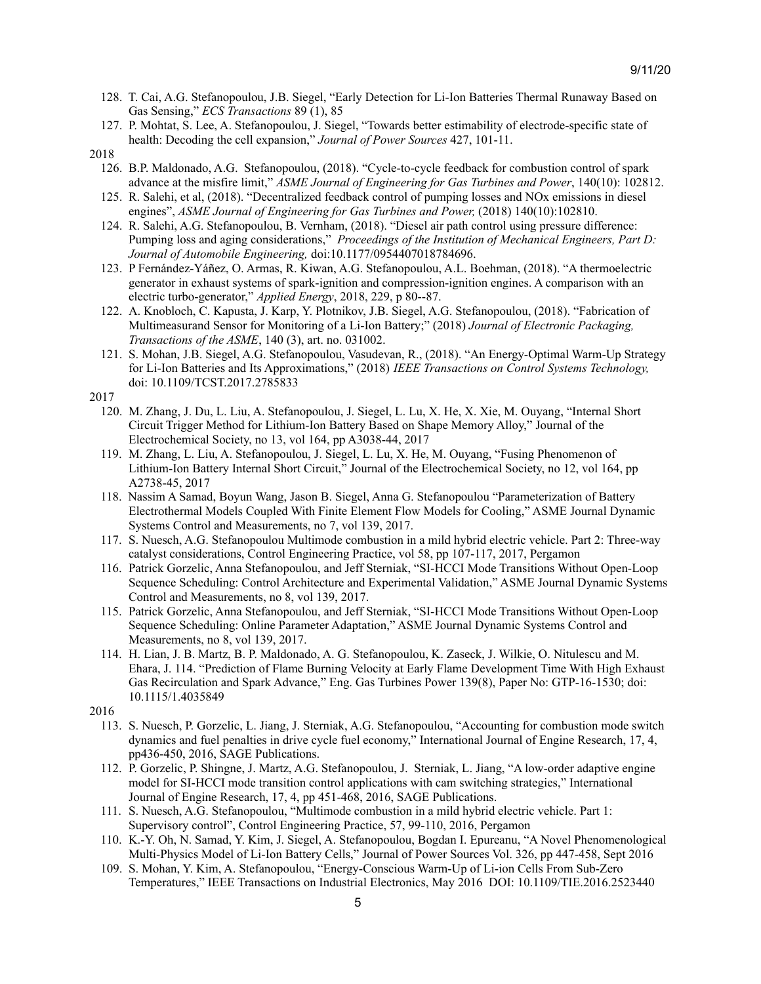- 128. T. Cai, A.G. Stefanopoulou, J.B. Siegel, "Early Detection for Li-Ion Batteries Thermal Runaway Based on Gas Sensing," *ECS Transactions* 89 (1), 85
- 127. P. Mohtat, S. Lee, A. Stefanopoulou, J. Siegel, "Towards better estimability of electrode-specific state of health: Decoding the cell expansion," *Journal of Power Sources* 427, 101-11.

- 126. B.P. Maldonado, A.G. Stefanopoulou, (2018). "Cycle-to-cycle feedback for combustion control of spark advance at the misfire limit," *ASME Journal of Engineering for Gas Turbines and Power*, 140(10): 102812.
- 125. R. Salehi, et al, (2018). "Decentralized feedback control of pumping losses and NOx emissions in diesel engines", *ASME Journal of Engineering for Gas Turbines and Power,* (2018) 140(10):102810.
- 124. R. Salehi, A.G. Stefanopoulou, B. Vernham, (2018). "Diesel air path control using pressure difference: Pumping loss and aging considerations," *Proceedings of the Institution of Mechanical Engineers, Part D: Journal of Automobile Engineering,* doi:10.1177/0954407018784696.
- 123. P Fernández-Yáñez, O. Armas, R. Kiwan, A.G. Stefanopoulou, A.L. Boehman, (2018). "A thermoelectric generator in exhaust systems of spark-ignition and compression-ignition engines. A comparison with an electric turbo-generator," *Applied Energy*, 2018, 229, p 80--87.
- 122. A. Knobloch, C. Kapusta, J. Karp, Y. Plotnikov, J.B. Siegel, A.G. Stefanopoulou, (2018). "Fabrication of Multimeasurand Sensor for Monitoring of a Li-Ion Battery;" (2018) *Journal of Electronic Packaging, Transactions of the ASME*, 140 (3), art. no. 031002.
- 121. S. Mohan, J.B. Siegel, A.G. Stefanopoulou, Vasudevan, R., (2018). "An Energy-Optimal Warm-Up Strategy for Li-Ion Batteries and Its Approximations," (2018) *IEEE Transactions on Control Systems Technology,* doi: 10.1109/TCST.2017.2785833

- 120. M. Zhang, J. Du, L. Liu, A. Stefanopoulou, J. Siegel, L. Lu, X. He, X. Xie, M. Ouyang, "Internal Short Circuit Trigger Method for Lithium-Ion Battery Based on Shape Memory Alloy," Journal of the Electrochemical Society, no 13, vol 164, pp A3038-44, 2017
- 119. M. Zhang, L. Liu, A. Stefanopoulou, J. Siegel, L. Lu, X. He, M. Ouyang, "Fusing Phenomenon of Lithium-Ion Battery Internal Short Circuit," Journal of the Electrochemical Society, no 12, vol 164, pp A2738-45, 2017
- 118. Nassim A Samad, Boyun Wang, Jason B. Siegel, Anna G. Stefanopoulou "Parameterization of Battery Electrothermal Models Coupled With Finite Element Flow Models for Cooling," ASME Journal Dynamic Systems Control and Measurements, no 7, vol 139, 2017.
- 117. S. Nuesch, A.G. Stefanopoulou Multimode combustion in a mild hybrid electric vehicle. Part 2: Three-way catalyst considerations, Control Engineering Practice, vol 58, pp 107-117, 2017, Pergamon
- 116. Patrick Gorzelic, Anna Stefanopoulou, and Jeff Sterniak, "SI-HCCI Mode Transitions Without Open-Loop Sequence Scheduling: Control Architecture and Experimental Validation," ASME Journal Dynamic Systems Control and Measurements, no 8, vol 139, 2017.
- 115. Patrick Gorzelic, Anna Stefanopoulou, and Jeff Sterniak, "SI-HCCI Mode Transitions Without Open-Loop Sequence Scheduling: Online Parameter Adaptation," ASME Journal Dynamic Systems Control and Measurements, no 8, vol 139, 2017.
- 114. H. Lian, J. B. Martz, B. P. Maldonado, A. G. Stefanopoulou, K. Zaseck, J. Wilkie, O. Nitulescu and M. Ehara, J. 114. "Prediction of Flame Burning Velocity at Early Flame Development Time With High Exhaust Gas Recirculation and Spark Advance," Eng. Gas Turbines Power 139(8), Paper No: GTP-16-1530; doi: 10.1115/1.4035849
- 2016
	- 113. S. Nuesch, P. Gorzelic, L. Jiang, J. Sterniak, A.G. Stefanopoulou, "Accounting for combustion mode switch dynamics and fuel penalties in drive cycle fuel economy," International Journal of Engine Research, 17, 4, pp436-450, 2016, SAGE Publications.
	- 112. P. Gorzelic, P. Shingne, J. Martz, A.G. Stefanopoulou, J. Sterniak, L. Jiang, "A low-order adaptive engine model for SI-HCCI mode transition control applications with cam switching strategies," International Journal of Engine Research, 17, 4, pp 451-468, 2016, SAGE Publications.
	- 111. S. Nuesch, A.G. Stefanopoulou, "Multimode combustion in a mild hybrid electric vehicle. Part 1: Supervisory control", Control Engineering Practice, 57, 99-110, 2016, Pergamon
	- 110. K.-Y. Oh, N. Samad, Y. Kim, J. Siegel, A. Stefanopoulou, Bogdan I. Epureanu, "A Novel Phenomenological Multi-Physics Model of Li-Ion Battery Cells," Journal of Power Sources Vol. 326, pp 447-458, Sept 2016
	- 109. S. Mohan, Y. Kim, A. Stefanopoulou, "Energy-Conscious Warm-Up of Li-ion Cells From Sub-Zero Temperatures," IEEE Transactions on Industrial Electronics, May 2016 DOI: 10.1109/TIE.2016.2523440

<sup>2018</sup>

<sup>2017</sup>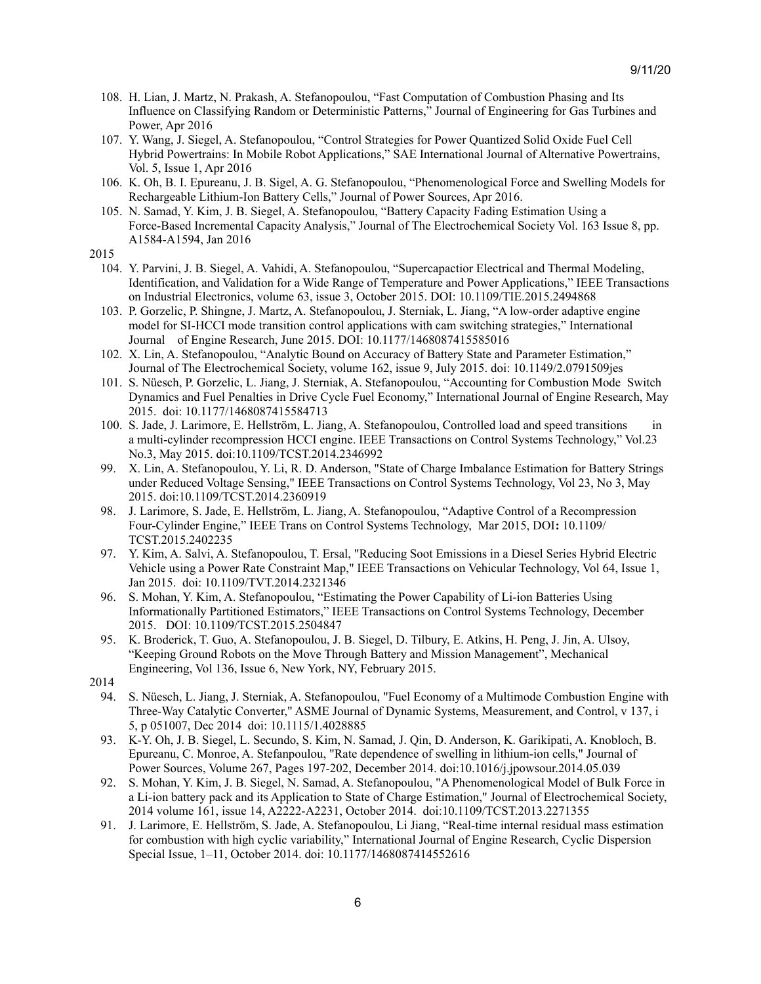- 108. H. Lian, J. Martz, N. Prakash, A. Stefanopoulou, "Fast Computation of Combustion Phasing and Its Influence on Classifying Random or Deterministic Patterns," Journal of Engineering for Gas Turbines and Power, Apr 2016
- 107. Y. Wang, J. Siegel, A. Stefanopoulou, "Control Strategies for Power Quantized Solid Oxide Fuel Cell Hybrid Powertrains: In Mobile Robot Applications," SAE International Journal of Alternative Powertrains, Vol. 5, Issue 1, Apr 2016
- 106. K. Oh, B. I. Epureanu, J. B. Sigel, A. G. Stefanopoulou, "Phenomenological Force and Swelling Models for Rechargeable Lithium-Ion Battery Cells," Journal of Power Sources, Apr 2016.
- 105. N. Samad, Y. Kim, J. B. Siegel, A. Stefanopoulou, "Battery Capacity Fading Estimation Using a Force-Based Incremental Capacity Analysis," Journal of The Electrochemical Society Vol. 163 Issue 8, pp. A1584-A1594, Jan 2016
- 2015
	- 104. Y. Parvini, J. B. Siegel, A. Vahidi, A. Stefanopoulou, "Supercapactior Electrical and Thermal Modeling, Identification, and Validation for a Wide Range of Temperature and Power Applications," IEEE Transactions on Industrial Electronics, volume 63, issue 3, October 2015. DOI: 10.1109/TIE.2015.2494868
	- 103. P. Gorzelic, P. Shingne, J. Martz, A. Stefanopoulou, J. Sterniak, L. Jiang, "A low-order adaptive engine model for SI-HCCI mode transition control applications with cam switching strategies," International Journal of Engine Research, June 2015. DOI: 10.1177/1468087415585016
	- 102. X. Lin, A. Stefanopoulou, "Analytic Bound on Accuracy of Battery State and Parameter Estimation," Journal of The Electrochemical Society, volume 162, issue 9, July 2015. doi: 10.1149/2.0791509jes
	- 101. S. Nüesch, P. Gorzelic, L. Jiang, J. Sterniak, A. Stefanopoulou, "Accounting for Combustion Mode Switch Dynamics and Fuel Penalties in Drive Cycle Fuel Economy," International Journal of Engine Research, May 2015. doi: 10.1177/1468087415584713
	- 100. S. Jade, J. Larimore, E. Hellström, L. Jiang, A. Stefanopoulou, Controlled load and speed transitions in a multi-cylinder recompression HCCI engine. IEEE Transactions on Control Systems Technology," Vol.23 No.3, May 2015. doi:10.1109/TCST.2014.2346992
	- 99. X. Lin, A. Stefanopoulou, Y. Li, R. D. Anderson, "State of Charge Imbalance Estimation for Battery Strings under Reduced Voltage Sensing," IEEE Transactions on Control Systems Technology, Vol 23, No 3, May 2015. doi:10.1109/TCST.2014.2360919
	- 98. J. Larimore, S. Jade, E. Hellström, L. Jiang, A. Stefanopoulou, "Adaptive Control of a Recompression Four-Cylinder Engine," IEEE Trans on Control Systems Technology, Mar 2015, DOI**:** 10.1109/ TCST.2015.2402235
	- 97. Y. Kim, A. Salvi, A. Stefanopoulou, T. Ersal, "Reducing Soot Emissions in a Diesel Series Hybrid Electric Vehicle using a Power Rate Constraint Map," IEEE Transactions on Vehicular Technology, Vol 64, Issue 1, Jan 2015. doi: 10.1109/TVT.2014.2321346
	- 96. S. Mohan, Y. Kim, A. Stefanopoulou, "Estimating the Power Capability of Li-ion Batteries Using Informationally Partitioned Estimators," IEEE Transactions on Control Systems Technology, December 2015. DOI: 10.1109/TCST.2015.2504847
	- 95. K. Broderick, T. Guo, A. Stefanopoulou, J. B. Siegel, D. Tilbury, E. Atkins, H. Peng, J. Jin, A. Ulsoy, "Keeping Ground Robots on the Move Through Battery and Mission Management", Mechanical Engineering, Vol 136, Issue 6, New York, NY, February 2015.
- 2014
	- 94. S. Nüesch, L. Jiang, J. Sterniak, A. Stefanopoulou, "Fuel Economy of a Multimode Combustion Engine with Three-Way Catalytic Converter," ASME Journal of Dynamic Systems, Measurement, and Control, v 137, i 5, p 051007, Dec 2014 doi: 10.1115/1.4028885
	- 93. K-Y. Oh, J. B. Siegel, L. Secundo, S. Kim, N. Samad, J. Qin, D. Anderson, K. Garikipati, A. Knobloch, B. Epureanu, C. Monroe, A. Stefanpoulou, "Rate dependence of swelling in lithium-ion cells," Journal of Power Sources, Volume 267, Pages 197-202, December 2014. doi:10.1016/j.jpowsour.2014.05.039
	- 92. S. Mohan, Y. Kim, J. B. Siegel, N. Samad, A. Stefanopoulou, "A Phenomenological Model of Bulk Force in a Li-ion battery pack and its Application to State of Charge Estimation," Journal of Electrochemical Society, 2014 volume 161, issue 14, A2222-A2231, October 2014. doi:10.1109/TCST.2013.2271355
	- 91. J. Larimore, E. Hellström, S. Jade, A. Stefanopoulou, Li Jiang, "Real-time internal residual mass estimation for combustion with high cyclic variability," International Journal of Engine Research, Cyclic Dispersion Special Issue, 1–11, October 2014. doi: 10.1177/1468087414552616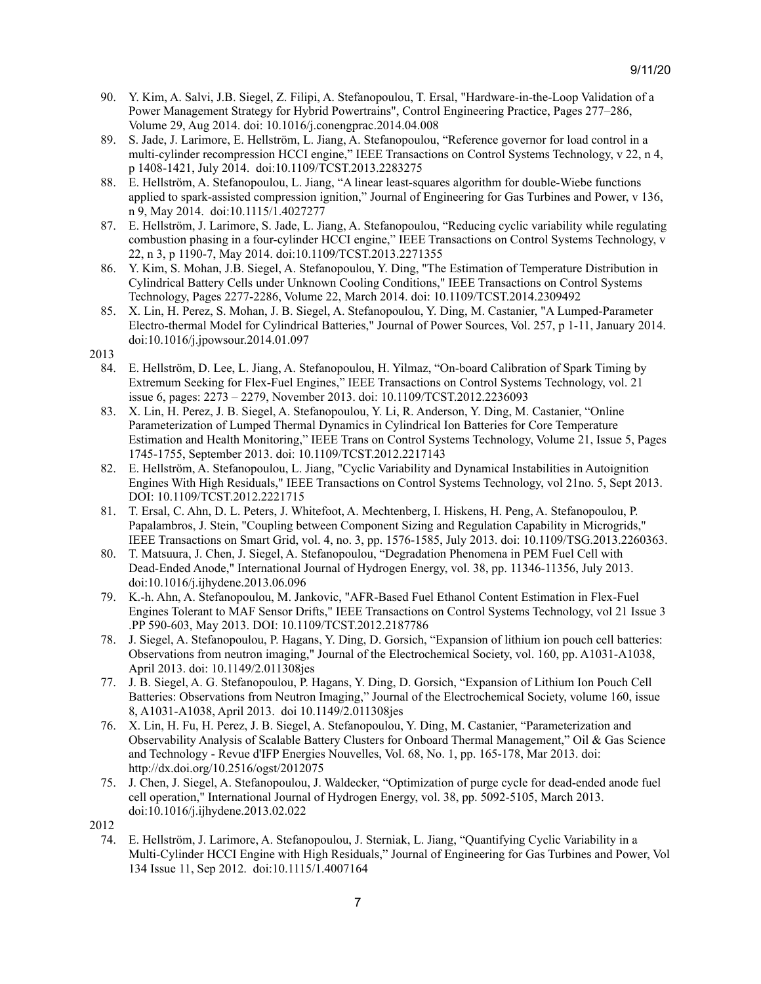- 90. Y. Kim, A. Salvi, J.B. Siegel, Z. Filipi, A. Stefanopoulou, T. Ersal, "Hardware-in-the-Loop Validation of a Power Management Strategy for Hybrid Powertrains", Control Engineering Practice, Pages 277–286, Volume 29, Aug 2014. doi: 10.1016/j.conengprac.2014.04.008
- 89. S. Jade, J. Larimore, E. Hellström, L. Jiang, A. Stefanopoulou, "Reference governor for load control in a multi-cylinder recompression HCCI engine," IEEE Transactions on Control Systems Technology, v 22, n 4, p 1408-1421, July 2014. doi:10.1109/TCST.2013.2283275
- 88. E. Hellström, A. Stefanopoulou, L. Jiang, "A linear least-squares algorithm for double-Wiebe functions applied to spark-assisted compression ignition," Journal of Engineering for Gas Turbines and Power, v 136, n 9, May 2014. doi:10.1115/1.4027277
- 87. E. Hellström, J. Larimore, S. Jade, L. Jiang, A. Stefanopoulou, "Reducing cyclic variability while regulating combustion phasing in a four-cylinder HCCI engine," IEEE Transactions on Control Systems Technology, v 22, n 3, p 1190-7, May 2014. doi:10.1109/TCST.2013.2271355
- 86. Y. Kim, S. Mohan, J.B. Siegel, A. Stefanopoulou, Y. Ding, "The Estimation of Temperature Distribution in Cylindrical Battery Cells under Unknown Cooling Conditions," IEEE Transactions on Control Systems Technology, Pages 2277-2286, Volume 22, March 2014. doi: 10.1109/TCST.2014.2309492
- 85. X. Lin, H. Perez, S. Mohan, J. B. Siegel, A. Stefanopoulou, Y. Ding, M. Castanier, "A Lumped-Parameter Electro-thermal Model for Cylindrical Batteries," Journal of Power Sources, Vol. 257, p 1-11, January 2014. doi:10.1016/j.jpowsour.2014.01.097
- 2013
	- 84. E. Hellström, D. Lee, L. Jiang, A. Stefanopoulou, H. Yilmaz, "On-board Calibration of Spark Timing by Extremum Seeking for Flex-Fuel Engines," IEEE Transactions on Control Systems Technology, vol. 21 issue 6, pages: 2273 – 2279, November 2013. doi: 10.1109/TCST.2012.2236093
	- 83. X. Lin, H. Perez, J. B. Siegel, A. Stefanopoulou, Y. Li, R. Anderson, Y. Ding, M. Castanier, "Online Parameterization of Lumped Thermal Dynamics in Cylindrical Ion Batteries for Core Temperature Estimation and Health Monitoring," IEEE Trans on Control Systems Technology, Volume 21, Issue 5, Pages 1745-1755, September 2013. doi: 10.1109/TCST.2012.2217143
	- 82. E. Hellström, A. Stefanopoulou, L. Jiang, "Cyclic Variability and Dynamical Instabilities in Autoignition Engines With High Residuals," IEEE Transactions on Control Systems Technology, vol 21no. 5, Sept 2013. DOI: 10.1109/TCST.2012.2221715
	- 81. T. Ersal, C. Ahn, D. L. Peters, J. Whitefoot, A. Mechtenberg, I. Hiskens, H. Peng, A. Stefanopoulou, P. Papalambros, J. Stein, "Coupling between Component Sizing and Regulation Capability in Microgrids," IEEE Transactions on Smart Grid, vol. 4, no. 3, pp. 1576-1585, July 2013. doi: 10.1109/TSG.2013.2260363.
	- 80. T. Matsuura, J. Chen, J. Siegel, A. Stefanopoulou, "Degradation Phenomena in PEM Fuel Cell with Dead-Ended Anode," International Journal of Hydrogen Energy, vol. 38, pp. 11346-11356, July 2013. [doi:10.1016/j.ijhydene.2013.06.096](http://dx.doi.org/10.1016/j.ijhydene.2013.06.096)
	- 79. K.-h. Ahn, A. Stefanopoulou, M. Jankovic, "AFR-Based Fuel Ethanol Content Estimation in Flex-Fuel Engines Tolerant to MAF Sensor Drifts," IEEE Transactions on Control Systems Technology, vol 21 Issue 3 .PP 590-603, May 2013. DOI: 10.1109/TCST.2012.2187786
	- 78. J. Siegel, A. Stefanopoulou, P. Hagans, Y. Ding, D. Gorsich, "Expansion of lithium ion pouch cell batteries: Observations from neutron imaging," Journal of the Electrochemical Society, vol. 160, pp. A1031-A1038, April 2013. doi: 10.1149/2.011308jes
	- 77. J. B. Siegel, A. G. Stefanopoulou, P. Hagans, Y. Ding, D. Gorsich, "Expansion of Lithium Ion Pouch Cell Batteries: Observations from Neutron Imaging," Journal of the Electrochemical Society, volume 160, issue 8, A1031-A1038, April 2013. doi 10.1149/2.011308jes
	- 76. X. Lin, H. Fu, H. Perez, J. B. Siegel, A. Stefanopoulou, Y. Ding, M. Castanier, "Parameterization and Observability Analysis of Scalable Battery Clusters for Onboard Thermal Management," Oil & Gas Science and Technology - Revue d'IFP Energies Nouvelles, Vol. 68, No. 1, pp. 165-178, Mar 2013. doi: http://dx.doi.org/10.2516/ogst/2012075
	- 75. J. Chen, J. Siegel, A. Stefanopoulou, J. Waldecker, "Optimization of purge cycle for dead-ended anode fuel cell operation," International Journal of Hydrogen Energy, vol. 38, pp. 5092-5105, March 2013. doi:10.1016/j.ijhydene.2013.02.022
- 2012
	- 74. E. Hellström, J. Larimore, A. Stefanopoulou, J. Sterniak, L. Jiang, "Quantifying Cyclic Variability in a Multi-Cylinder HCCI Engine with High Residuals," Journal of Engineering for Gas Turbines and Power, Vol 134 Issue 11, Sep 2012. doi:10.1115/1.4007164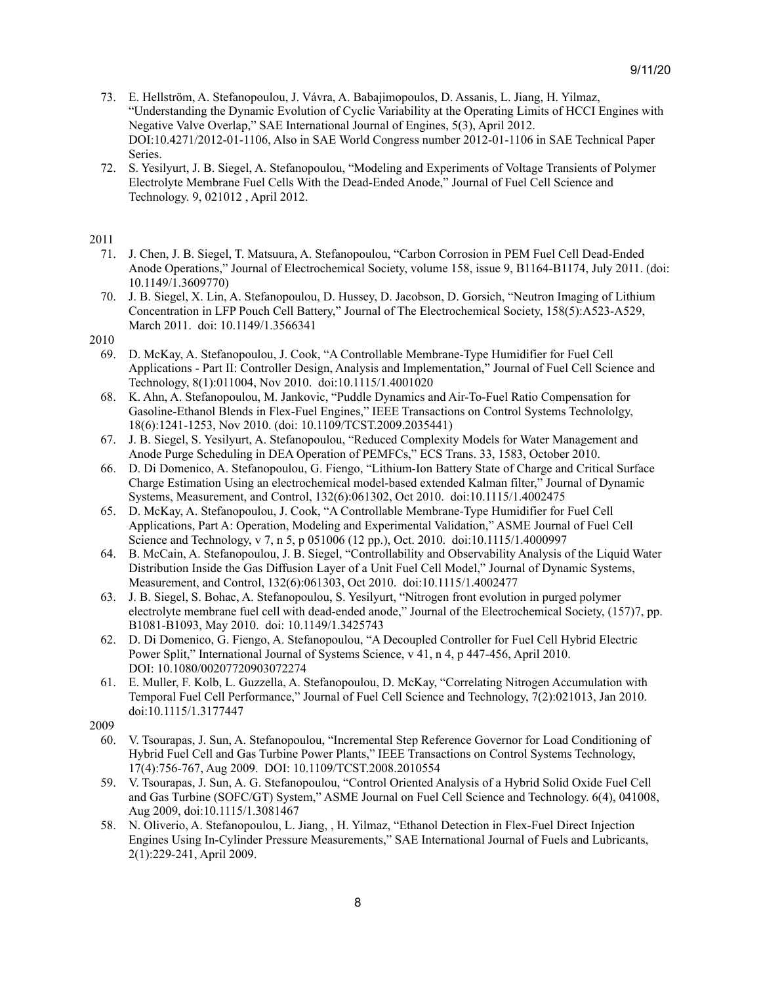- 73. E. Hellström, A. Stefanopoulou, J. Vávra, A. Babajimopoulos, D. Assanis, L. Jiang, H. Yilmaz, "Understanding the Dynamic Evolution of Cyclic Variability at the Operating Limits of HCCI Engines with Negative Valve Overlap," SAE International Journal of Engines, 5(3), April 2012. DOI:10.4271/2012-01-1106, Also in SAE World Congress number 2012-01-1106 in SAE Technical Paper Series.
- 72. S. Yesilyurt, J. B. Siegel, A. Stefanopoulou, "Modeling and Experiments of Voltage Transients of Polymer Electrolyte Membrane Fuel Cells With the Dead-Ended Anode," Journal of Fuel Cell Science and Technology. 9, 021012 , April 2012.

- 71. J. Chen, J. B. Siegel, T. Matsuura, A. Stefanopoulou, "Carbon Corrosion in PEM Fuel Cell Dead-Ended Anode Operations," Journal of Electrochemical Society, volume 158, issue 9, B1164-B1174, July 2011. (doi: 10.1149/1.3609770)
- 70. J. B. Siegel, X. Lin, A. Stefanopoulou, D. Hussey, D. Jacobson, D. Gorsich, "Neutron Imaging of Lithium Concentration in LFP Pouch Cell Battery," Journal of The Electrochemical Society, 158(5):A523-A529, March 2011. doi: 10.1149/1.3566341

# 2010

- 69. D. McKay, A. Stefanopoulou, J. Cook, "A Controllable Membrane-Type Humidifier for Fuel Cell Applications - Part II: Controller Design, Analysis and Implementation," Journal of Fuel Cell Science and Technology, 8(1):011004, Nov 2010. doi:10.1115/1.4001020
- 68. K. Ahn, A. Stefanopoulou, M. Jankovic, "Puddle Dynamics and Air-To-Fuel Ratio Compensation for Gasoline-Ethanol Blends in Flex-Fuel Engines," IEEE Transactions on Control Systems Technololgy, 18(6):1241-1253, Nov 2010. (doi: 10.1109/TCST.2009.2035441)
- 67. J. B. Siegel, S. Yesilyurt, A. Stefanopoulou, "Reduced Complexity Models for Water Management and Anode Purge Scheduling in DEA Operation of PEMFCs," ECS Trans. 33, 1583, October 2010.
- 66. D. Di Domenico, A. Stefanopoulou, G. Fiengo, "Lithium-Ion Battery State of Charge and Critical Surface Charge Estimation Using an electrochemical model-based extended Kalman filter," Journal of Dynamic Systems, Measurement, and Control, 132(6):061302, Oct 2010. doi:10.1115/1.4002475
- 65. D. McKay, A. Stefanopoulou, J. Cook, "A Controllable Membrane-Type Humidifier for Fuel Cell Applications, Part A: Operation, Modeling and Experimental Validation," ASME Journal of Fuel Cell Science and Technology, v 7, n 5, p 051006 (12 pp.), Oct. 2010. doi:10.1115/1.4000997
- 64. B. McCain, A. Stefanopoulou, J. B. Siegel, "Controllability and Observability Analysis of the Liquid Water Distribution Inside the Gas Diffusion Layer of a Unit Fuel Cell Model," Journal of Dynamic Systems, Measurement, and Control, 132(6):061303, Oct 2010. doi:10.1115/1.4002477
- 63. J. B. Siegel, S. Bohac, A. Stefanopoulou, S. Yesilyurt, "Nitrogen front evolution in purged polymer electrolyte membrane fuel cell with dead-ended anode," Journal of the Electrochemical Society, (157)7, pp. B1081-B1093, May 2010. doi: 10.1149/1.3425743
- 62. D. Di Domenico, G. Fiengo, A. Stefanopoulou, "A Decoupled Controller for Fuel Cell Hybrid Electric Power Split," International Journal of Systems Science, v 41, n 4, p 447-456, April 2010. DOI: 10.1080/00207720903072274
- 61. E. Muller, F. Kolb, L. Guzzella, A. Stefanopoulou, D. McKay, "Correlating Nitrogen Accumulation with Temporal Fuel Cell Performance," Journal of Fuel Cell Science and Technology, 7(2):021013, Jan 2010. doi:10.1115/1.3177447

- 60. V. Tsourapas, J. Sun, A. Stefanopoulou, "Incremental Step Reference Governor for Load Conditioning of Hybrid Fuel Cell and Gas Turbine Power Plants," IEEE Transactions on Control Systems Technology, 17(4):756-767, Aug 2009. DOI: 10.1109/TCST.2008.2010554
- 59. V. Tsourapas, J. Sun, A. G. Stefanopoulou, "Control Oriented Analysis of a Hybrid Solid Oxide Fuel Cell and Gas Turbine (SOFC/GT) System," ASME Journal on Fuel Cell Science and Technology. 6(4), 041008, Aug 2009, doi:10.1115/1.3081467
- 58. N. Oliverio, A. Stefanopoulou, L. Jiang, , H. Yilmaz, "Ethanol Detection in Flex-Fuel Direct Injection Engines Using In-Cylinder Pressure Measurements," SAE International Journal of Fuels and Lubricants, 2(1):229-241, April 2009.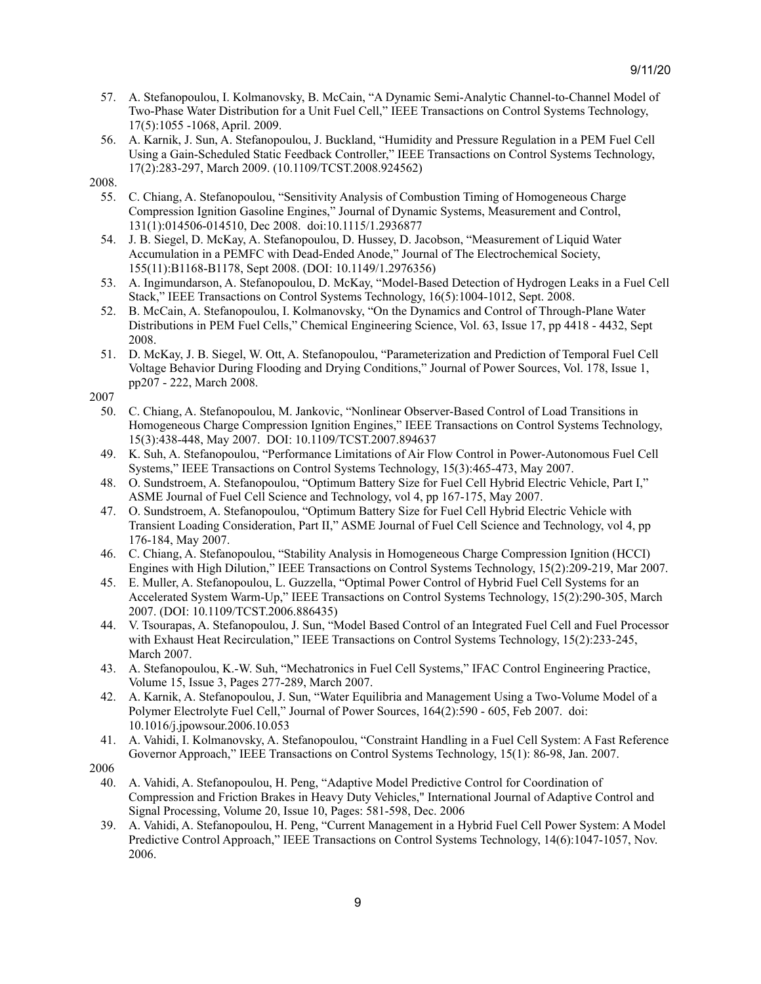- 57. A. Stefanopoulou, I. Kolmanovsky, B. McCain, "A Dynamic Semi-Analytic Channel-to-Channel Model of Two-Phase Water Distribution for a Unit Fuel Cell," IEEE Transactions on Control Systems Technology, 17(5):1055 -1068, April. 2009.
- 56. A. Karnik, J. Sun, A. Stefanopoulou, J. Buckland, "Humidity and Pressure Regulation in a PEM Fuel Cell Using a Gain-Scheduled Static Feedback Controller," IEEE Transactions on Control Systems Technology, 17(2):283-297, March 2009. [\(10.1109/TCST.2008.924562\)](http://dx.doi.org/10.1109/TCST.2008.924562)
- 2008.
	- 55. C. Chiang, A. Stefanopoulou, "Sensitivity Analysis of Combustion Timing of Homogeneous Charge Compression Ignition Gasoline Engines," Journal of Dynamic Systems, Measurement and Control, 131(1):014506-014510, Dec 2008. doi:10.1115/1.2936877
	- 54. J. B. Siegel, D. McKay, A. Stefanopoulou, D. Hussey, D. Jacobson, "Measurement of Liquid Water Accumulation in a PEMFC with Dead-Ended Anode," Journal of The Electrochemical Society, 155(11):B1168-B1178, Sept 2008. (DOI: 10.1149/1.2976356)
	- 53. A. Ingimundarson, A. Stefanopoulou, D. McKay, "Model-Based Detection of Hydrogen Leaks in a Fuel Cell Stack," IEEE Transactions on Control Systems Technology, 16(5):1004-1012, Sept. 2008.
	- 52. B. McCain, A. Stefanopoulou, I. Kolmanovsky, "On the Dynamics and Control of Through-Plane Water Distributions in PEM Fuel Cells," Chemical Engineering Science, Vol. 63, Issue 17, pp 4418 - 4432, Sept 2008.
	- 51. D. McKay, J. B. Siegel, W. Ott, A. Stefanopoulou, "Parameterization and Prediction of Temporal Fuel Cell Voltage Behavior During Flooding and Drying Conditions," Journal of Power Sources, Vol. 178, Issue 1, pp207 - 222, March 2008.

- 50. C. Chiang, A. Stefanopoulou, M. Jankovic, "Nonlinear Observer-Based Control of Load Transitions in Homogeneous Charge Compression Ignition Engines," IEEE Transactions on Control Systems Technology, 15(3):438-448, May 2007. DOI: 10.1109/TCST.2007.894637
- 49. K. Suh, A. Stefanopoulou, "Performance Limitations of Air Flow Control in Power-Autonomous Fuel Cell Systems," IEEE Transactions on Control Systems Technology, 15(3):465-473, May 2007.
- 48. O. Sundstroem, A. Stefanopoulou, "Optimum Battery Size for Fuel Cell Hybrid Electric Vehicle, Part I," ASME Journal of Fuel Cell Science and Technology, vol 4, pp 167-175, May 2007.
- 47. O. Sundstroem, A. Stefanopoulou, "Optimum Battery Size for Fuel Cell Hybrid Electric Vehicle with Transient Loading Consideration, Part II," ASME Journal of Fuel Cell Science and Technology, vol 4, pp 176-184, May 2007.
- 46. C. Chiang, A. Stefanopoulou, "Stability Analysis in Homogeneous Charge Compression Ignition (HCCI) Engines with High Dilution," IEEE Transactions on Control Systems Technology, 15(2):209-219, Mar 2007.
- 45. E. Muller, A. Stefanopoulou, L. Guzzella, "Optimal Power Control of Hybrid Fuel Cell Systems for an Accelerated System Warm-Up," IEEE Transactions on Control Systems Technology, 15(2):290-305, March 2007. (DOI: 10.1109/TCST.2006.886435)
- 44. V. Tsourapas, A. Stefanopoulou, J. Sun, "Model Based Control of an Integrated Fuel Cell and Fuel Processor with Exhaust Heat Recirculation," IEEE Transactions on Control Systems Technology, 15(2):233-245, March 2007.
- 43. A. Stefanopoulou, K.-W. Suh, "Mechatronics in Fuel Cell Systems," IFAC Control Engineering Practice, Volume 15, Issue 3, Pages 277-289, March 2007.
- 42. A. Karnik, A. Stefanopoulou, J. Sun, "Water Equilibria and Management Using a Two-Volume Model of a Polymer Electrolyte Fuel Cell," Journal of Power Sources, 164(2):590 - 605, Feb 2007. [doi:](http://dx.doi.org/10.1016/j.jpowsour.2006.10.053) [10.1016/j.jpowsour.2006.10.053](http://dx.doi.org/10.1016/j.jpowsour.2006.10.053)
- 41. A. Vahidi, I. Kolmanovsky, A. Stefanopoulou, "Constraint Handling in a Fuel Cell System: A Fast Reference Governor Approach," IEEE Transactions on Control Systems Technology, 15(1): 86-98, Jan. 2007.

- 40. A. Vahidi, A. Stefanopoulou, H. Peng, "Adaptive Model Predictive Control for Coordination of Compression and Friction Brakes in Heavy Duty Vehicles," International Journal of Adaptive Control and Signal Processing, Volume 20, Issue 10, Pages: 581-598, Dec. 2006
- 39. A. Vahidi, A. Stefanopoulou, H. Peng, "Current Management in a Hybrid Fuel Cell Power System: A Model Predictive Control Approach," IEEE Transactions on Control Systems Technology, 14(6):1047-1057, Nov. 2006.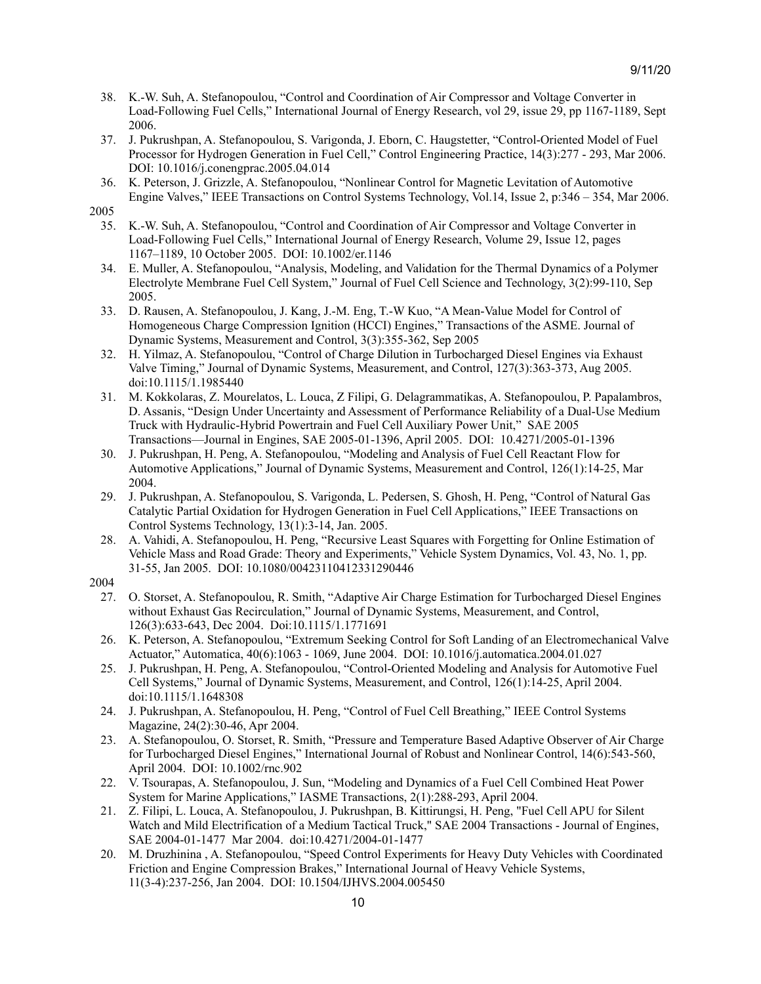- 38. K.-W. Suh, A. Stefanopoulou, "Control and Coordination of Air Compressor and Voltage Converter in Load-Following Fuel Cells," International Journal of Energy Research, vol 29, issue 29, pp 1167-1189, Sept 2006.
- 37. J. Pukrushpan, A. Stefanopoulou, S. Varigonda, J. Eborn, C. Haugstetter, "Control-Oriented Model of Fuel Processor for Hydrogen Generation in Fuel Cell," Control Engineering Practice, 14(3):277 - 293, Mar 2006. DOI: 10.1016/j.conengprac.2005.04.014
- 36. K. Peterson, J. Grizzle, A. Stefanopoulou, "Nonlinear Control for Magnetic Levitation of Automotive Engine Valves," IEEE Transactions on Control Systems Technology, Vol.14, Issue 2, p:346 – 354, Mar 2006.

- 35. K.-W. Suh, A. Stefanopoulou, "Control and Coordination of Air Compressor and Voltage Converter in Load-Following Fuel Cells," International Journal of Energy Research, [Volume](http://onlinelibrary.wiley.com/doi/10.1002/er.v29:12/issuetoc) 29, Issue 12, pages 1167–1189, 10 October 2005. DOI: 10.1002/er.1146
- 34. E. Muller, A. Stefanopoulou, "Analysis, Modeling, and Validation for the Thermal Dynamics of a Polymer Electrolyte Membrane Fuel Cell System," Journal of Fuel Cell Science and Technology, 3(2):99-110, Sep 2005.
- 33. D. Rausen, A. Stefanopoulou, J. Kang, J.-M. Eng, T.-W Kuo, "A Mean-Value Model for Control of Homogeneous Charge Compression Ignition (HCCI) Engines," Transactions of the ASME. Journal of Dynamic Systems, Measurement and Control, 3(3):355-362, Sep 2005
- 32. H. Yilmaz, A. Stefanopoulou, "Control of Charge Dilution in Turbocharged Diesel Engines via Exhaust Valve Timing," Journal of Dynamic Systems, Measurement, and Control, 127(3):363-373, Aug 2005. doi:10.1115/1.1985440
- 31. M. Kokkolaras, Z. Mourelatos, L. Louca, Z Filipi, G. Delagrammatikas, A. Stefanopoulou, P. Papalambros, D. Assanis, "Design Under Uncertainty and Assessment of Performance Reliability of a Dual-Use Medium Truck with Hydraulic-Hybrid Powertrain and Fuel Cell Auxiliary Power Unit," SAE 2005 Transactions—Journal in Engines, SAE 2005-01-1396, April 2005. DOI: 10.4271/2005-01-1396
- 30. J. Pukrushpan, H. Peng, A. Stefanopoulou, "Modeling and Analysis of Fuel Cell Reactant Flow for Automotive Applications," Journal of Dynamic Systems, Measurement and Control, 126(1):14-25, Mar 2004.
- 29. J. Pukrushpan, A. Stefanopoulou, S. Varigonda, L. Pedersen, S. Ghosh, H. Peng, "Control of Natural Gas Catalytic Partial Oxidation for Hydrogen Generation in Fuel Cell Applications," IEEE Transactions on Control Systems Technology, 13(1):3-14, Jan. 2005.
- 28. A. Vahidi, A. Stefanopoulou, H. Peng, "Recursive Least Squares with Forgetting for Online Estimation of Vehicle Mass and Road Grade: Theory and Experiments," Vehicle System Dynamics, Vol. 43, No. 1, pp. 31-55, Jan 2005. DOI: 10.1080/00423110412331290446
- 2004
	- 27. O. Storset, A. Stefanopoulou, R. Smith, "Adaptive Air Charge Estimation for Turbocharged Diesel Engines without Exhaust Gas Recirculation," Journal of Dynamic Systems, Measurement, and Control, 126(3):633-643, Dec 2004. Doi:10.1115/1.1771691
	- 26. K. Peterson, A. Stefanopoulou, "Extremum Seeking Control for Soft Landing of an Electromechanical Valve Actuator," Automatica, 40(6):1063 - 1069, June 2004. DOI: 10.1016/j.automatica.2004.01.027
	- 25. J. Pukrushpan, H. Peng, A. Stefanopoulou, "Control-Oriented Modeling and Analysis for Automotive Fuel Cell Systems," Journal of Dynamic Systems, Measurement, and Control, 126(1):14-25, April 2004. doi:10.1115/1.1648308
	- 24. J. Pukrushpan, A. Stefanopoulou, H. Peng, "Control of Fuel Cell Breathing," IEEE Control Systems Magazine, 24(2):30-46, Apr 2004.
	- 23. A. Stefanopoulou, O. Storset, R. Smith, "Pressure and Temperature Based Adaptive Observer of Air Charge for Turbocharged Diesel Engines," International Journal of Robust and Nonlinear Control, 14(6):543-560, April 2004. DOI: 10.1002/rnc.902
	- 22. V. Tsourapas, A. Stefanopoulou, J. Sun, "Modeling and Dynamics of a Fuel Cell Combined Heat Power System for Marine Applications," IASME Transactions, 2(1):288-293, April 2004.
	- 21. Z. Filipi, L. Louca, A. Stefanopoulou, J. Pukrushpan, B. Kittirungsi, H. Peng, "Fuel Cell APU for Silent Watch and Mild Electrification of a Medium Tactical Truck," SAE 2004 Transactions - Journal of Engines, SAE 2004-01-1477 Mar 2004. doi:10.4271/2004-01-1477
	- 20. M. Druzhinina , A. Stefanopoulou, "Speed Control Experiments for Heavy Duty Vehicles with Coordinated Friction and Engine Compression Brakes," International Journal of Heavy Vehicle Systems, 11(3-4):237-256, Jan 2004. DOI: 10.1504/IJHVS.2004.005450

<sup>2005</sup>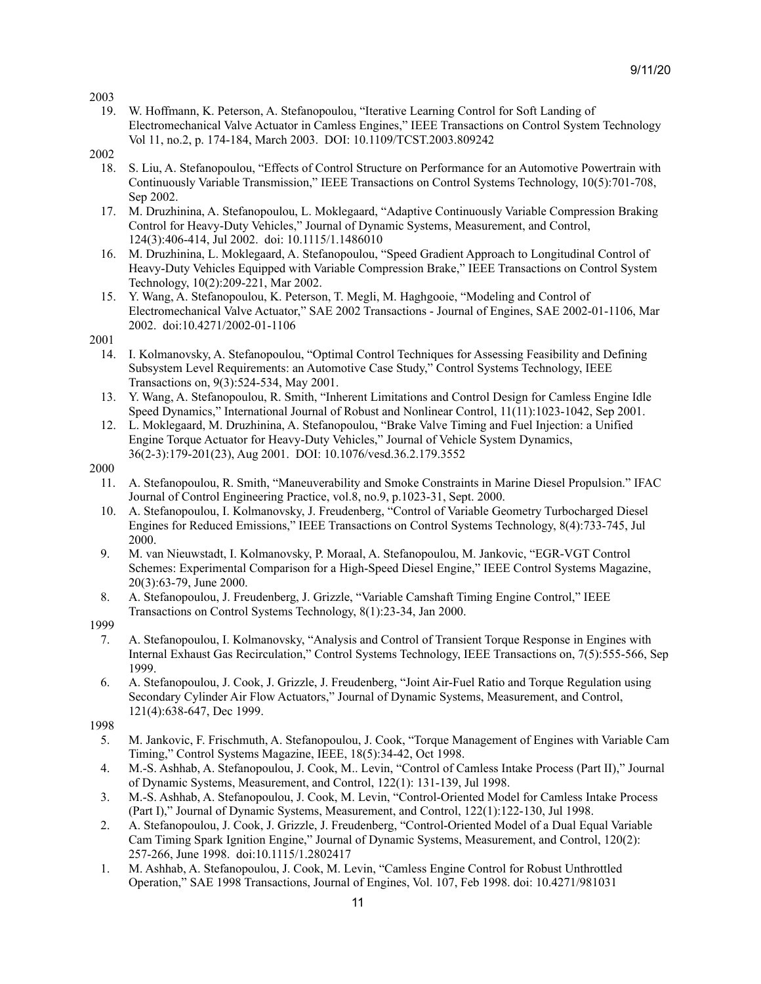19. W. Hoffmann, K. Peterson, A. Stefanopoulou, "Iterative Learning Control for Soft Landing of Electromechanical Valve Actuator in Camless Engines," IEEE Transactions on Control System Technology Vol 11, no.2, p. 174-184, March 2003. DOI: 10.1109/TCST.2003.809242

- 18. S. Liu, A. Stefanopoulou, "Effects of Control Structure on Performance for an Automotive Powertrain with Continuously Variable Transmission," IEEE Transactions on Control Systems Technology, 10(5):701-708, Sep 2002.
- 17. M. Druzhinina, A. Stefanopoulou, L. Moklegaard, "Adaptive Continuously Variable Compression Braking Control for Heavy-Duty Vehicles," Journal of Dynamic Systems, Measurement, and Control, 124(3):406-414, Jul 2002. doi: 10.1115/1.1486010
- 16. M. Druzhinina, L. Moklegaard, A. Stefanopoulou, "Speed Gradient Approach to Longitudinal Control of Heavy-Duty Vehicles Equipped with Variable Compression Brake," IEEE Transactions on Control System Technology, 10(2):209-221, Mar 2002.
- 15. Y. Wang, A. Stefanopoulou, K. Peterson, T. Megli, M. Haghgooie, "Modeling and Control of Electromechanical Valve Actuator," SAE 2002 Transactions - Journal of Engines, SAE 2002-01-1106, Mar 2002. doi:10.4271/2002-01-1106

2001

- 14. I. Kolmanovsky, A. Stefanopoulou, "Optimal Control Techniques for Assessing Feasibility and Defining Subsystem Level Requirements: an Automotive Case Study," Control Systems Technology, IEEE Transactions on, 9(3):524-534, May 2001.
- 13. Y. Wang, A. Stefanopoulou, R. Smith, "Inherent Limitations and Control Design for Camless Engine Idle Speed Dynamics," International Journal of Robust and Nonlinear Control, 11(11):1023-1042, Sep 2001.
- 12. L. Moklegaard, M. Druzhinina, A. Stefanopoulou, "Brake Valve Timing and Fuel Injection: a Unified Engine Torque Actuator for Heavy-Duty Vehicles," Journal of Vehicle System Dynamics, 36(2-3):179-201(23), Aug 2001. DOI: 10.1076/vesd.36.2.179.3552
- 2000
	- 11. A. Stefanopoulou, R. Smith, "Maneuverability and Smoke Constraints in Marine Diesel Propulsion." IFAC Journal of Control Engineering Practice, vol.8, no.9, p.1023-31, Sept. 2000.
	- 10. A. Stefanopoulou, I. Kolmanovsky, J. Freudenberg, "Control of Variable Geometry Turbocharged Diesel Engines for Reduced Emissions," IEEE Transactions on Control Systems Technology, 8(4):733-745, Jul 2000.
	- 9. M. van Nieuwstadt, I. Kolmanovsky, P. Moraal, A. Stefanopoulou, M. Jankovic, "EGR-VGT Control Schemes: Experimental Comparison for a High-Speed Diesel Engine," IEEE Control Systems Magazine, 20(3):63-79, June 2000.
	- 8. A. Stefanopoulou, J. Freudenberg, J. Grizzle, "Variable Camshaft Timing Engine Control," IEEE Transactions on Control Systems Technology, 8(1):23-34, Jan 2000.
- 1999
	- 7. A. Stefanopoulou, I. Kolmanovsky, "Analysis and Control of Transient Torque Response in Engines with Internal Exhaust Gas Recirculation," Control Systems Technology, IEEE Transactions on, 7(5):555-566, Sep 1999.
	- 6. A. Stefanopoulou, J. Cook, J. Grizzle, J. Freudenberg, "Joint Air-Fuel Ratio and Torque Regulation using Secondary Cylinder Air Flow Actuators," Journal of Dynamic Systems, Measurement, and Control, 121(4):638-647, Dec 1999.

- 5. M. Jankovic, F. Frischmuth, A. Stefanopoulou, J. Cook, "Torque Management of Engines with Variable Cam Timing," Control Systems Magazine, IEEE, 18(5):34-42, Oct 1998.
- 4. M.-S. Ashhab, A. Stefanopoulou, J. Cook, M.. Levin, "Control of Camless Intake Process (Part II)," Journal of Dynamic Systems, Measurement, and Control, 122(1): 131-139, Jul 1998.
- 3. M.-S. Ashhab, A. Stefanopoulou, J. Cook, M. Levin, "Control-Oriented Model for Camless Intake Process (Part I)," Journal of Dynamic Systems, Measurement, and Control, 122(1):122-130, Jul 1998.
- 2. A. Stefanopoulou, J. Cook, J. Grizzle, J. Freudenberg, "Control-Oriented Model of a Dual Equal Variable Cam Timing Spark Ignition Engine," Journal of Dynamic Systems, Measurement, and Control, 120(2): 257-266, June 1998. doi:10.1115/1.2802417
- 1. M. Ashhab, A. Stefanopoulou, J. Cook, M. Levin, "Camless Engine Control for Robust Unthrottled Operation," SAE 1998 Transactions, Journal of Engines, Vol. 107, Feb 1998. doi: 10.4271/981031

<sup>2002</sup>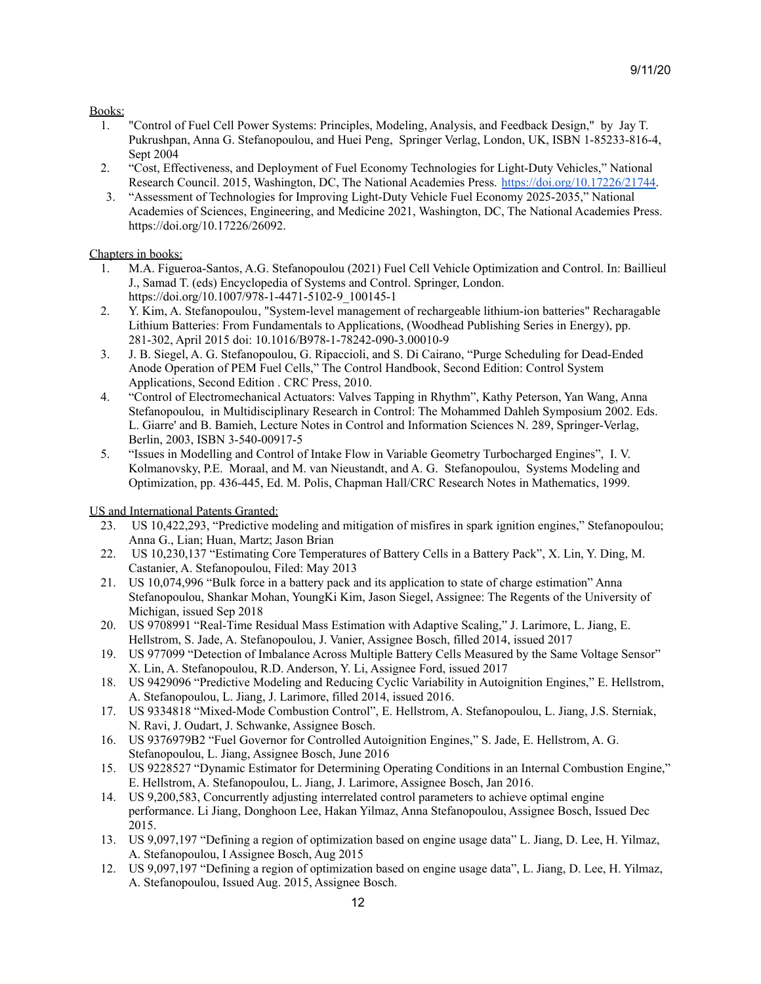## Books:

- 1. "Control of Fuel Cell Power Systems: Principles, Modeling, Analysis, and Feedback Design," by Jay T. Pukrushpan, Anna G. Stefanopoulou, and Huei Peng, Springer Verlag, London, UK, ISBN 1-85233-816-4, Sept 2004
- 2. "Cost, Effectiveness, and Deployment of Fuel Economy Technologies for Light-Duty Vehicles," National Research Council. 2015, Washington, DC, The National Academies Press. [https://doi.org/10.17226/21744.](https://doi.org/10.17226/21744)
- 3. "Assessment of Technologies for Improving Light-Duty Vehicle Fuel Economy 2025-2035," National Academies of Sciences, Engineering, and Medicine 2021, Washington, DC, The National Academies Press. https://doi.org/10.17226/26092.

# Chapters in books:

- 1. M.A. Figueroa-Santos, A.G. Stefanopoulou (2021) Fuel Cell Vehicle Optimization and Control. In: Baillieul J., Samad T. (eds) Encyclopedia of Systems and Control. Springer, London. https://doi.org/10.1007/978-1-4471-5102-9\_100145-1
- 2. Y. Kim, A. Stefanopoulou, "System-level management of rechargeable lithium-ion batteries" Recharagable Lithium Batteries: From Fundamentals to Applications, (Woodhead Publishing Series in Energy), pp. 281-302, April 2015 doi: 10.1016/B978-1-78242-090-3.00010-9
- 3. J. B. Siegel, A. G. Stefanopoulou, G. Ripaccioli, and S. Di Cairano, "Purge Scheduling for Dead-Ended Anode Operation of PEM Fuel Cells," The Control Handbook, Second Edition: Control System Applications, Second Edition . CRC Press, 2010.
- 4. "Control of Electromechanical Actuators: Valves Tapping in Rhythm", Kathy Peterson, Yan Wang, Anna Stefanopoulou, in Multidisciplinary Research in Control: The Mohammed Dahleh Symposium 2002. Eds. L. Giarre' and B. Bamieh, Lecture Notes in Control and Information Sciences N. 289, Springer-Verlag, Berlin, 2003, ISBN 3-540-00917-5
- 5. "Issues in Modelling and Control of Intake Flow in Variable Geometry Turbocharged Engines", I. V. Kolmanovsky, P.E. Moraal, and M. van Nieustandt, and A. G. Stefanopoulou, Systems Modeling and Optimization, pp. 436-445, Ed. M. Polis, Chapman Hall/CRC Research Notes in Mathematics, 1999.

US and International Patents Granted:

- 23. US 10,422,293, "Predictive modeling and mitigation of misfires in spark ignition engines," Stefanopoulou; Anna G., Lian; Huan, Martz; Jason Brian
- 22. US 10,230,137 "Estimating Core Temperatures of Battery Cells in a Battery Pack", X. Lin, Y. Ding, M. Castanier, A. Stefanopoulou, Filed: May 2013
- 21. US 10,074,996 "Bulk force in a battery pack and its application to state of charge estimation" Anna Stefanopoulou, Shankar Mohan, YoungKi Kim, Jason Siegel, Assignee: The Regents of the University of Michigan, issued Sep 2018
- 20. US 9708991 "Real-Time Residual Mass Estimation with Adaptive Scaling," J. Larimore, L. Jiang, E. Hellstrom, S. Jade, A. Stefanopoulou, J. Vanier, Assignee Bosch, filled 2014, issued 2017
- 19. US 977099 "Detection of Imbalance Across Multiple Battery Cells Measured by the Same Voltage Sensor" X. Lin, A. Stefanopoulou, R.D. Anderson, Y. Li, Assignee Ford, issued 2017
- 18. US 9429096 "Predictive Modeling and Reducing Cyclic Variability in Autoignition Engines," E. Hellstrom, A. Stefanopoulou, L. Jiang, J. Larimore, filled 2014, issued 2016.
- 17. US 9334818 "Mixed-Mode Combustion Control", E. Hellstrom, A. Stefanopoulou, L. Jiang, J.S. Sterniak, N. Ravi, J. Oudart, J. Schwanke, Assignee Bosch.
- 16. US 9376979B2 "Fuel Governor for Controlled Autoignition Engines," S. Jade, E. Hellstrom, A. G. Stefanopoulou, L. Jiang, Assignee Bosch, June 2016
- 15. US 9228527 "Dynamic Estimator for Determining Operating Conditions in an Internal Combustion Engine," E. Hellstrom, A. Stefanopoulou, L. Jiang, J. Larimore, Assignee Bosch, Jan 2016.
- 14. US 9,200,583, Concurrently adjusting interrelated control parameters to achieve optimal engine performance. Li Jiang, Donghoon Lee, Hakan Yilmaz, Anna Stefanopoulou, Assignee Bosch, Issued Dec 2015.
- 13. US 9,097,197 "Defining a region of optimization based on engine usage data" L. Jiang, D. Lee, H. Yilmaz, A. Stefanopoulou, I Assignee Bosch, Aug 2015
- 12. US 9,097,197 "Defining a region of optimization based on engine usage data", L. Jiang, D. Lee, H. Yilmaz, A. Stefanopoulou, Issued Aug. 2015, Assignee Bosch.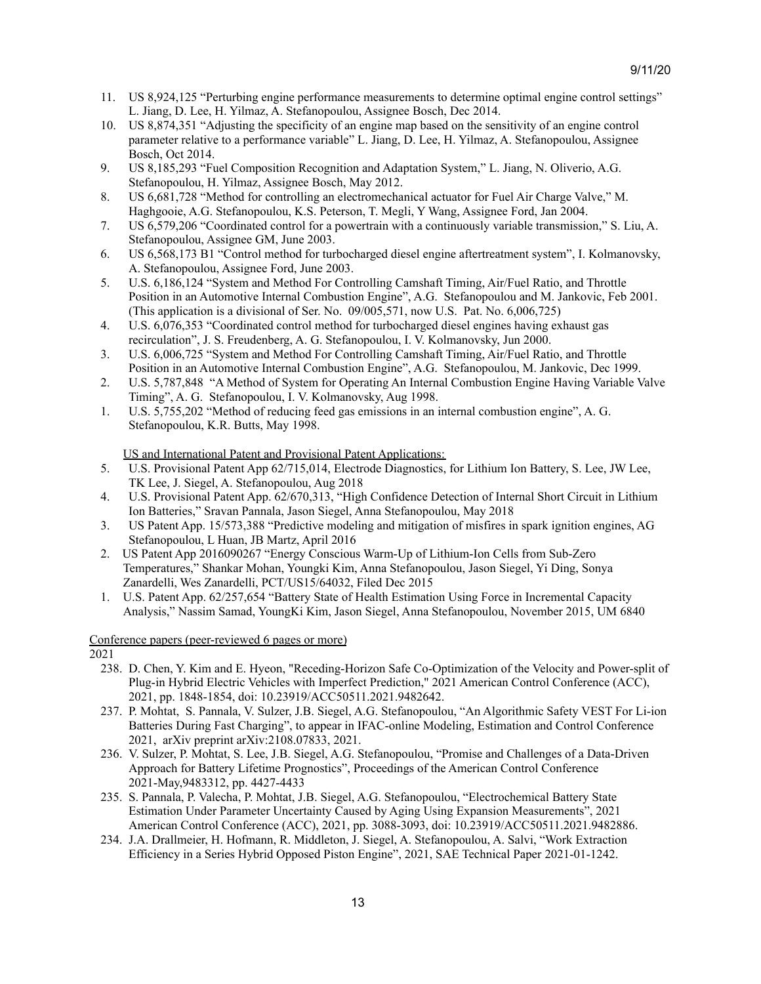- 11. US 8,924,125 "Perturbing engine performance measurements to determine optimal engine control settings" L. Jiang, D. Lee, H. Yilmaz, A. Stefanopoulou, Assignee Bosch, Dec 2014.
- 10. US 8,874,351 "Adjusting the specificity of an engine map based on the sensitivity of an engine control parameter relative to a performance variable" L. Jiang, D. Lee, H. Yilmaz, A. Stefanopoulou, Assignee Bosch, Oct 2014.
- 9. US 8,185,293 "Fuel Composition Recognition and Adaptation System," L. Jiang, N. Oliverio, A.G. Stefanopoulou, H. Yilmaz, Assignee Bosch, May 2012.
- 8. US 6,681,728 "Method for controlling an electromechanical actuator for Fuel Air Charge Valve," M. Haghgooie, A.G. Stefanopoulou, K.S. Peterson, T. Megli, Y Wang, Assignee Ford, Jan 2004.
- 7. US 6,579,206 "Coordinated control for a powertrain with a continuously variable transmission," S. Liu, A. Stefanopoulou, Assignee GM, June 2003.
- 6. US 6,568,173 B1 "Control method for turbocharged diesel engine aftertreatment system", I. Kolmanovsky, A. Stefanopoulou, Assignee Ford, June 2003.
- 5. U.S. 6,186,124 "System and Method For Controlling Camshaft Timing, Air/Fuel Ratio, and Throttle Position in an Automotive Internal Combustion Engine", A.G. Stefanopoulou and M. Jankovic, Feb 2001. (This application is a divisional of Ser. No. 09/005,571, now U.S. Pat. No. 6,006,725)
- 4. U.S. 6,076,353 "Coordinated control method for turbocharged diesel engines having exhaust gas recirculation", J. S. Freudenberg, A. G. Stefanopoulou, I. V. Kolmanovsky, Jun 2000.
- 3. U.S. 6,006,725 "System and Method For Controlling Camshaft Timing, Air/Fuel Ratio, and Throttle Position in an Automotive Internal Combustion Engine", A.G. Stefanopoulou, M. Jankovic, Dec 1999.
- 2. U.S. 5,787,848 "A Method of System for Operating An Internal Combustion Engine Having Variable Valve Timing", A. G. Stefanopoulou, I. V. Kolmanovsky, Aug 1998.
- 1. U.S. 5,755,202 "Method of reducing feed gas emissions in an internal combustion engine", A. G. Stefanopoulou, K.R. Butts, May 1998.

US and International Patent and Provisional Patent Applications:

- 5. U.S. Provisional Patent App 62/715,014, Electrode Diagnostics, for Lithium Ion Battery, S. Lee, JW Lee, TK Lee, J. Siegel, A. Stefanopoulou, Aug 2018
- 4. U.S. Provisional Patent App. 62/670,313, "High Confidence Detection of Internal Short Circuit in Lithium Ion Batteries," Sravan Pannala, Jason Siegel, Anna Stefanopoulou, May 2018
- 3. US Patent App. 15/573,388 "Predictive modeling and mitigation of misfires in spark ignition engines, AG Stefanopoulou, L Huan, JB Martz, April 2016
- 2. US Patent App 2016090267 "Energy Conscious Warm-Up of Lithium-Ion Cells from Sub-Zero Temperatures," Shankar Mohan, Youngki Kim, Anna Stefanopoulou, Jason Siegel, Yi Ding, Sonya Zanardelli, Wes Zanardelli, PCT/US15/64032, Filed Dec 2015
- 1. U.S. Patent App. 62/257,654 "Battery State of Health Estimation Using Force in Incremental Capacity Analysis," Nassim Samad, YoungKi Kim, Jason Siegel, Anna Stefanopoulou, November 2015, UM 6840

Conference papers (peer-reviewed 6 pages or more)

- 238. D. Chen, Y. Kim and E. Hyeon, "Receding-Horizon Safe Co-Optimization of the Velocity and Power-split of Plug-in Hybrid Electric Vehicles with Imperfect Prediction," 2021 American Control Conference (ACC), 2021, pp. 1848-1854, doi: 10.23919/ACC50511.2021.9482642.
- 237. P. Mohtat, S. Pannala, V. Sulzer, J.B. Siegel, A.G. Stefanopoulou, "An Algorithmic Safety VEST For Li-ion Batteries During Fast Charging", to appear in IFAC-online Modeling, Estimation and Control Conference 2021, arXiv preprint arXiv:2108.07833, 2021.
- 236. V. Sulzer, P. Mohtat, S. Lee, J.B. Siegel, A.G. Stefanopoulou, "Promise and Challenges of a Data-Driven Approach for Battery Lifetime Prognostics", Proceedings of the American Control Conference 2021-May,9483312, pp. 4427-4433
- 235. S. Pannala, P. Valecha, P. Mohtat, J.B. Siegel, A.G. Stefanopoulou, "Electrochemical Battery State Estimation Under Parameter Uncertainty Caused by Aging Using Expansion Measurements", 2021 American Control Conference (ACC), 2021, pp. 3088-3093, doi: 10.23919/ACC50511.2021.9482886.
- 234. J.A. Drallmeier, H. Hofmann, R. Middleton, J. Siegel, A. Stefanopoulou, A. Salvi, "Work Extraction Efficiency in a Series Hybrid Opposed Piston Engine", 2021, SAE Technical Paper 2021-01-1242.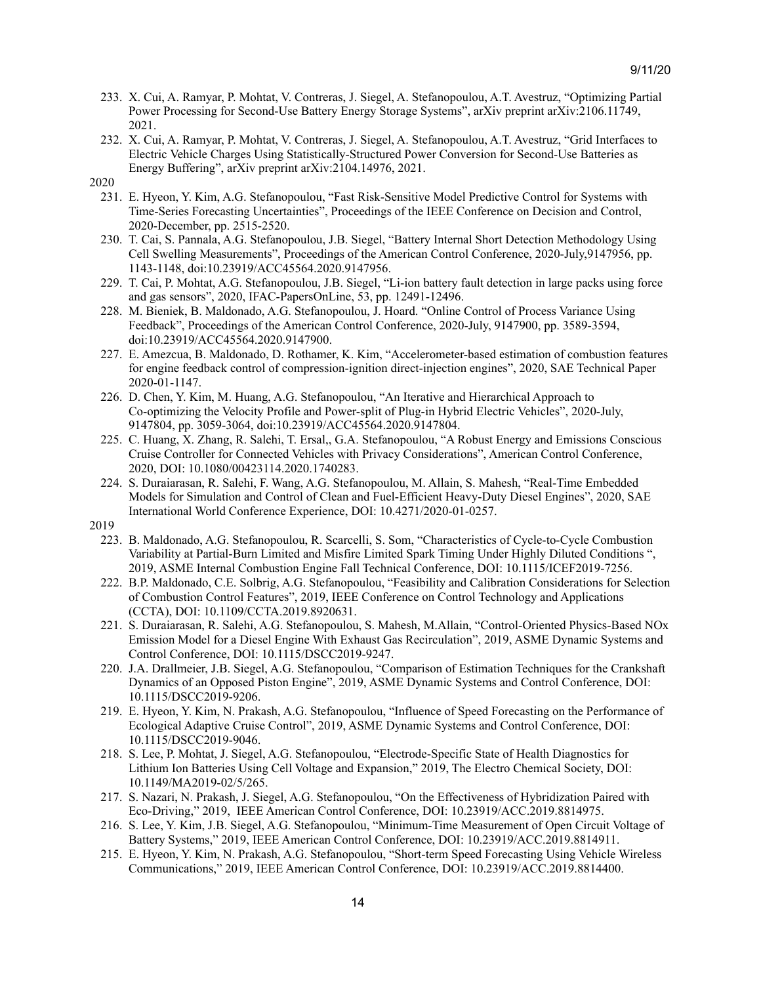- 233. X. Cui, A. Ramyar, P. Mohtat, V. Contreras, J. Siegel, A. Stefanopoulou, A.T. Avestruz, "Optimizing Partial Power Processing for Second-Use Battery Energy Storage Systems", arXiv preprint arXiv:2106.11749, 2021.
- 232. X. Cui, A. Ramyar, P. Mohtat, V. Contreras, J. Siegel, A. Stefanopoulou, A.T. Avestruz, "Grid Interfaces to Electric Vehicle Charges Using Statistically-Structured Power Conversion for Second-Use Batteries as Energy Buffering", arXiv preprint arXiv:2104.14976, 2021.
- 2020
	- 231. E. Hyeon, Y. Kim, A.G. Stefanopoulou, "Fast Risk-Sensitive Model Predictive Control for Systems with Time-Series Forecasting Uncertainties", Proceedings of the IEEE Conference on Decision and Control, 2020-December, pp. 2515-2520.
	- 230. T. Cai, S. Pannala, A.G. Stefanopoulou, J.B. Siegel, "Battery Internal Short Detection Methodology Using Cell Swelling Measurements", Proceedings of the American Control Conference, 2020-July,9147956, pp. 1143-1148, doi:10.23919/ACC45564.2020.9147956.
	- 229. T. Cai, P. Mohtat, A.G. Stefanopoulou, J.B. Siegel, "Li-ion battery fault detection in large packs using force and gas sensors", 2020, IFAC-PapersOnLine, 53, pp. 12491-12496.
	- 228. M. Bieniek, B. Maldonado, A.G. Stefanopoulou, J. Hoard. "Online Control of Process Variance Using Feedback", Proceedings of the American Control Conference, 2020-July, 9147900, pp. 3589-3594, doi:10.23919/ACC45564.2020.9147900.
	- 227. E. Amezcua, B. Maldonado, D. Rothamer, K. Kim, "Accelerometer-based estimation of combustion features for engine feedback control of compression-ignition direct-injection engines", 2020, SAE Technical Paper 2020-01-1147.
	- 226. D. Chen, Y. Kim, M. Huang, A.G. Stefanopoulou, "An Iterative and Hierarchical Approach to Co-optimizing the Velocity Profile and Power-split of Plug-in Hybrid Electric Vehicles", 2020-July, 9147804, pp. 3059-3064, doi:10.23919/ACC45564.2020.9147804.
	- 225. C. Huang, X. Zhang, R. Salehi, T. Ersal,, G.A. Stefanopoulou, "A Robust Energy and Emissions Conscious Cruise Controller for Connected Vehicles with Privacy Considerations", American Control Conference, 2020, DOI: 10.1080/00423114.2020.1740283.
	- 224. S. Duraiarasan, R. Salehi, F. Wang, A.G. Stefanopoulou, M. Allain, S. Mahesh, "Real-Time Embedded Models for Simulation and Control of Clean and Fuel-Efficient Heavy-Duty Diesel Engines", 2020, SAE International World Conference Experience, DOI: 10.4271/2020-01-0257.
- 2019
	- 223. B. Maldonado, A.G. Stefanopoulou, R. Scarcelli, S. Som, "Characteristics of Cycle-to-Cycle Combustion Variability at Partial-Burn Limited and Misfire Limited Spark Timing Under Highly Diluted Conditions ", 2019, ASME Internal Combustion Engine Fall Technical Conference, DOI: 10.1115/ICEF2019-7256.
	- 222. B.P. Maldonado, C.E. Solbrig, A.G. Stefanopoulou, "Feasibility and Calibration Considerations for Selection of Combustion Control Features", 2019, IEEE Conference on Control Technology and Applications (CCTA), DOI: 10.1109/CCTA.2019.8920631.
	- 221. S. Duraiarasan, R. Salehi, A.G. Stefanopoulou, S. Mahesh, M.Allain, "Control-Oriented Physics-Based NOx Emission Model for a Diesel Engine With Exhaust Gas Recirculation", 2019, ASME Dynamic Systems and Control Conference, DOI: 10.1115/DSCC2019-9247.
	- 220. J.A. Drallmeier, J.B. Siegel, A.G. Stefanopoulou, "Comparison of Estimation Techniques for the Crankshaft Dynamics of an Opposed Piston Engine", 2019, ASME Dynamic Systems and Control Conference, DOI: 10.1115/DSCC2019-9206.
	- 219. E. Hyeon, Y. Kim, N. Prakash, A.G. Stefanopoulou, "Influence of Speed Forecasting on the Performance of Ecological Adaptive Cruise Control", 2019, ASME Dynamic Systems and Control Conference, DOI: 10.1115/DSCC2019-9046.
	- 218. S. Lee, P. Mohtat, J. Siegel, A.G. Stefanopoulou, "Electrode-Specific State of Health Diagnostics for Lithium Ion Batteries Using Cell Voltage and Expansion," 2019, The Electro Chemical Society, DOI: 10.1149/MA2019-02/5/265.
	- 217. S. Nazari, N. Prakash, J. Siegel, A.G. Stefanopoulou, "On the Effectiveness of Hybridization Paired with Eco-Driving," 2019, IEEE American Control Conference, DOI: 10.23919/ACC.2019.8814975.
	- 216. S. Lee, Y. Kim, J.B. Siegel, A.G. Stefanopoulou, "Minimum-Time Measurement of Open Circuit Voltage of Battery Systems," 2019, IEEE American Control Conference, DOI: 10.23919/ACC.2019.8814911.
	- 215. E. Hyeon, Y. Kim, N. Prakash, A.G. Stefanopoulou, "Short-term Speed Forecasting Using Vehicle Wireless Communications," 2019, IEEE American Control Conference, DOI: 10.23919/ACC.2019.8814400.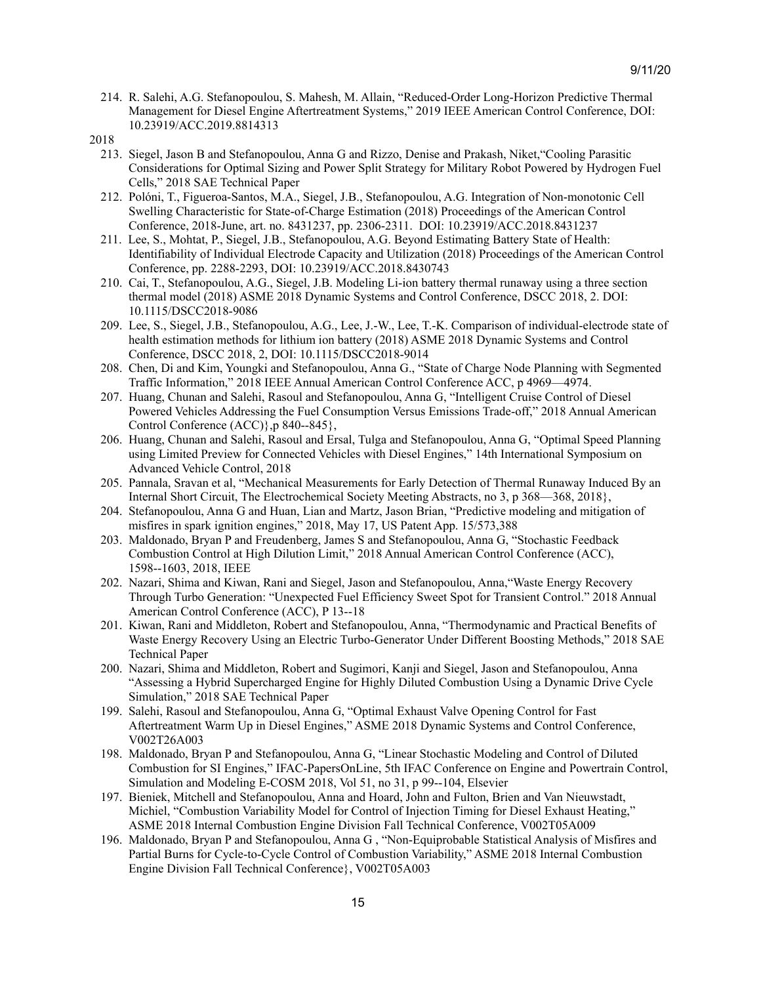- 214. R. Salehi, A.G. Stefanopoulou, S. Mahesh, M. Allain, "Reduced-Order Long-Horizon Predictive Thermal Management for Diesel Engine Aftertreatment Systems," 2019 IEEE American Control Conference, DOI: 10.23919/ACC.2019.8814313
- 2018
	- 213. Siegel, Jason B and Stefanopoulou, Anna G and Rizzo, Denise and Prakash, Niket,"Cooling Parasitic Considerations for Optimal Sizing and Power Split Strategy for Military Robot Powered by Hydrogen Fuel Cells," 2018 SAE Technical Paper
	- 212. Polóni, T., Figueroa-Santos, M.A., Siegel, J.B., Stefanopoulou, A.G. Integration of Non-monotonic Cell Swelling Characteristic for State-of-Charge Estimation (2018) Proceedings of the American Control Conference, 2018-June, art. no. 8431237, pp. 2306-2311. DOI: 10.23919/ACC.2018.8431237
	- 211. Lee, S., Mohtat, P., Siegel, J.B., Stefanopoulou, A.G. Beyond Estimating Battery State of Health: Identifiability of Individual Electrode Capacity and Utilization (2018) Proceedings of the American Control Conference, pp. 2288-2293, DOI: 10.23919/ACC.2018.8430743
	- 210. Cai, T., Stefanopoulou, A.G., Siegel, J.B. Modeling Li-ion battery thermal runaway using a three section thermal model (2018) ASME 2018 Dynamic Systems and Control Conference, DSCC 2018, 2. DOI: 10.1115/DSCC2018-9086
	- 209. Lee, S., Siegel, J.B., Stefanopoulou, A.G., Lee, J.-W., Lee, T.-K. Comparison of individual-electrode state of health estimation methods for lithium ion battery (2018) ASME 2018 Dynamic Systems and Control Conference, DSCC 2018, 2, DOI: 10.1115/DSCC2018-9014
	- 208. Chen, Di and Kim, Youngki and Stefanopoulou, Anna G., "State of Charge Node Planning with Segmented Traffic Information," 2018 IEEE Annual American Control Conference ACC, p 4969—4974.
	- 207. Huang, Chunan and Salehi, Rasoul and Stefanopoulou, Anna G, "Intelligent Cruise Control of Diesel Powered Vehicles Addressing the Fuel Consumption Versus Emissions Trade-off," 2018 Annual American Control Conference (ACC)},p 840--845},
	- 206. Huang, Chunan and Salehi, Rasoul and Ersal, Tulga and Stefanopoulou, Anna G, "Optimal Speed Planning using Limited Preview for Connected Vehicles with Diesel Engines," 14th International Symposium on Advanced Vehicle Control, 2018
	- 205. Pannala, Sravan et al, "Mechanical Measurements for Early Detection of Thermal Runaway Induced By an Internal Short Circuit, The Electrochemical Society Meeting Abstracts, no 3, p 368—368, 2018},
	- 204. Stefanopoulou, Anna G and Huan, Lian and Martz, Jason Brian, "Predictive modeling and mitigation of misfires in spark ignition engines," 2018, May 17, US Patent App. 15/573,388
	- 203. Maldonado, Bryan P and Freudenberg, James S and Stefanopoulou, Anna G, "Stochastic Feedback Combustion Control at High Dilution Limit," 2018 Annual American Control Conference (ACC), 1598--1603, 2018, IEEE
	- 202. Nazari, Shima and Kiwan, Rani and Siegel, Jason and Stefanopoulou, Anna,"Waste Energy Recovery Through Turbo Generation: "Unexpected Fuel Efficiency Sweet Spot for Transient Control." 2018 Annual American Control Conference (ACC), P 13--18
	- 201. Kiwan, Rani and Middleton, Robert and Stefanopoulou, Anna, "Thermodynamic and Practical Benefits of Waste Energy Recovery Using an Electric Turbo-Generator Under Different Boosting Methods," 2018 SAE Technical Paper
	- 200. Nazari, Shima and Middleton, Robert and Sugimori, Kanji and Siegel, Jason and Stefanopoulou, Anna "Assessing a Hybrid Supercharged Engine for Highly Diluted Combustion Using a Dynamic Drive Cycle Simulation," 2018 SAE Technical Paper
	- 199. Salehi, Rasoul and Stefanopoulou, Anna G, "Optimal Exhaust Valve Opening Control for Fast Aftertreatment Warm Up in Diesel Engines," ASME 2018 Dynamic Systems and Control Conference, V002T26A003
	- 198. Maldonado, Bryan P and Stefanopoulou, Anna G, "Linear Stochastic Modeling and Control of Diluted Combustion for SI Engines," IFAC-PapersOnLine, 5th IFAC Conference on Engine and Powertrain Control, Simulation and Modeling E-COSM 2018, Vol 51, no 31, p 99--104, Elsevier
	- 197. Bieniek, Mitchell and Stefanopoulou, Anna and Hoard, John and Fulton, Brien and Van Nieuwstadt, Michiel, "Combustion Variability Model for Control of Injection Timing for Diesel Exhaust Heating," ASME 2018 Internal Combustion Engine Division Fall Technical Conference, V002T05A009
	- 196. Maldonado, Bryan P and Stefanopoulou, Anna G , "Non-Equiprobable Statistical Analysis of Misfires and Partial Burns for Cycle-to-Cycle Control of Combustion Variability," ASME 2018 Internal Combustion Engine Division Fall Technical Conference}, V002T05A003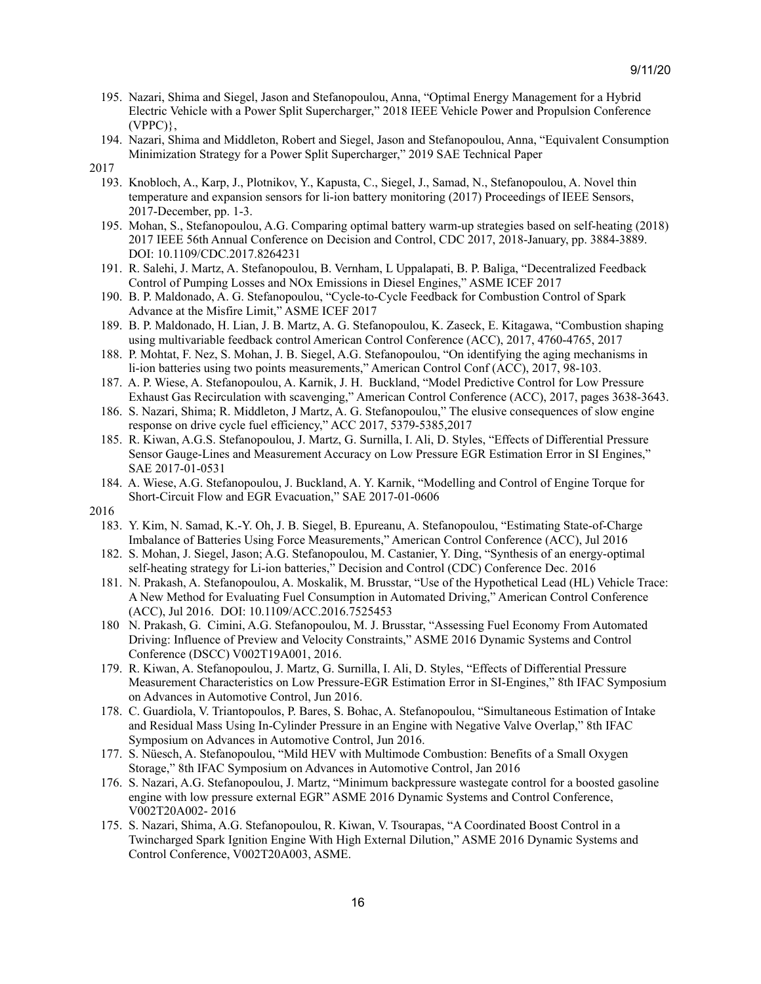- 195. Nazari, Shima and Siegel, Jason and Stefanopoulou, Anna, "Optimal Energy Management for a Hybrid Electric Vehicle with a Power Split Supercharger," 2018 IEEE Vehicle Power and Propulsion Conference (VPPC)},
- 194. Nazari, Shima and Middleton, Robert and Siegel, Jason and Stefanopoulou, Anna, "Equivalent Consumption Minimization Strategy for a Power Split Supercharger," 2019 SAE Technical Paper
- 2017
	- 193. Knobloch, A., Karp, J., Plotnikov, Y., Kapusta, C., Siegel, J., Samad, N., Stefanopoulou, A. Novel thin temperature and expansion sensors for li-ion battery monitoring (2017) Proceedings of IEEE Sensors, 2017-December, pp. 1-3.
	- 195. Mohan, S., Stefanopoulou, A.G. Comparing optimal battery warm-up strategies based on self-heating (2018) 2017 IEEE 56th Annual Conference on Decision and Control, CDC 2017, 2018-January, pp. 3884-3889. DOI: 10.1109/CDC.2017.8264231
	- 191. R. Salehi, J. Martz, A. Stefanopoulou, B. Vernham, L Uppalapati, B. P. Baliga, "Decentralized Feedback Control of Pumping Losses and NOx Emissions in Diesel Engines," ASME ICEF 2017
	- 190. B. P. Maldonado, A. G. Stefanopoulou, "Cycle-to-Cycle Feedback for Combustion Control of Spark Advance at the Misfire Limit," ASME ICEF 2017
	- 189. B. P. Maldonado, H. Lian, J. B. Martz, A. G. Stefanopoulou, K. Zaseck, E. Kitagawa, "Combustion shaping using multivariable feedback control American Control Conference (ACC), 2017, 4760-4765, 2017
	- 188. P. Mohtat, F. Nez, S. Mohan, J. B. Siegel, A.G. Stefanopoulou, "On identifying the aging mechanisms in li-ion batteries using two points measurements," American Control Conf (ACC), 2017, 98-103.
	- 187. A. P. Wiese, A. Stefanopoulou, A. Karnik, J. H. Buckland, "Model Predictive Control for Low Pressure Exhaust Gas Recirculation with scavenging," American Control Conference (ACC), 2017, pages 3638-3643.
	- 186. S. Nazari, Shima; R. Middleton, J Martz, A. G. Stefanopoulou," The elusive consequences of slow engine response on drive cycle fuel efficiency," ACC 2017, 5379-5385,2017
	- 185. R. Kiwan, A.G.S. Stefanopoulou, J. Martz, G. Surnilla, I. Ali, D. Styles, "Effects of Differential Pressure Sensor Gauge-Lines and Measurement Accuracy on Low Pressure EGR Estimation Error in SI Engines," SAE 2017-01-0531
	- 184. A. Wiese, A.G. Stefanopoulou, J. Buckland, A. Y. Karnik, "Modelling and Control of Engine Torque for Short-Circuit Flow and EGR Evacuation," SAE 2017-01-0606

- 183. Y. Kim, N. Samad, K.-Y. Oh, J. B. Siegel, B. Epureanu, A. Stefanopoulou, "Estimating State-of-Charge Imbalance of Batteries Using Force Measurements," American Control Conference (ACC), Jul 2016
- 182. S. Mohan, J. Siegel, Jason; A.G. Stefanopoulou, M. Castanier, Y. Ding, "Synthesis of an energy-optimal self-heating strategy for Li-ion batteries," Decision and Control (CDC) Conference Dec. 2016
- 181. N. Prakash, A. Stefanopoulou, A. Moskalik, M. Brusstar, "Use of the Hypothetical Lead (HL) Vehicle Trace: A New Method for Evaluating Fuel Consumption in Automated Driving," American Control Conference (ACC), Jul 2016. DOI: 10.1109/ACC.2016.7525453
- 180 N. Prakash, G. Cimini, A.G. Stefanopoulou, M. J. Brusstar, "Assessing Fuel Economy From Automated Driving: Influence of Preview and Velocity Constraints," ASME 2016 Dynamic Systems and Control Conference (DSCC) V002T19A001, 2016.
- 179. R. Kiwan, A. Stefanopoulou, J. Martz, G. Surnilla, I. Ali, D. Styles, "Effects of Differential Pressure Measurement Characteristics on Low Pressure-EGR Estimation Error in SI-Engines," 8th IFAC Symposium on Advances in Automotive Control, Jun 2016.
- 178. C. Guardiola, V. Triantopoulos, P. Bares, S. Bohac, A. Stefanopoulou, "Simultaneous Estimation of Intake and Residual Mass Using In-Cylinder Pressure in an Engine with Negative Valve Overlap," 8th IFAC Symposium on Advances in Automotive Control, Jun 2016.
- 177. S. Nüesch, A. Stefanopoulou, "Mild HEV with Multimode Combustion: Benefits of a Small Oxygen Storage," 8th IFAC Symposium on Advances in Automotive Control, Jan 2016
- 176. S. Nazari, A.G. Stefanopoulou, J. Martz, "Minimum backpressure wastegate control for a boosted gasoline engine with low pressure external EGR" ASME 2016 Dynamic Systems and Control Conference, V002T20A002- 2016
- 175. S. Nazari, Shima, A.G. Stefanopoulou, R. Kiwan, V. Tsourapas, "A Coordinated Boost Control in a Twincharged Spark Ignition Engine With High External Dilution," ASME 2016 Dynamic Systems and Control Conference, V002T20A003, ASME.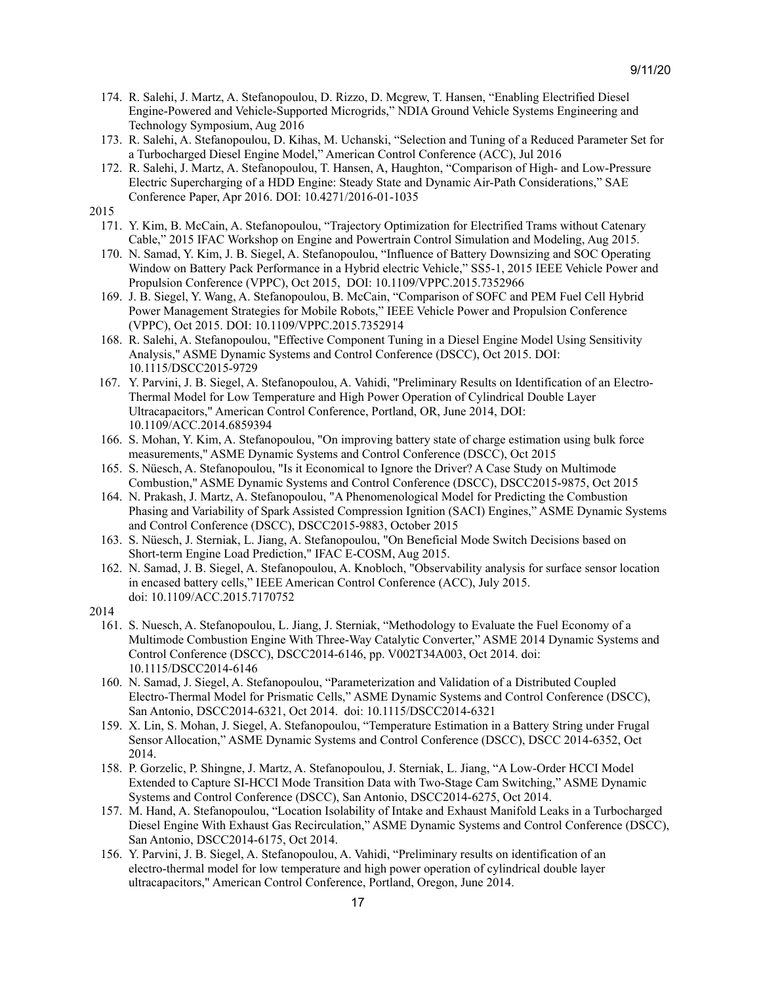- 174. R. Salehi, J. Martz, A. Stefanopoulou, D. Rizzo, D. Mcgrew, T. Hansen, "Enabling Electrified Diesel Engine-Powered and Vehicle-Supported Microgrids," NDIA Ground Vehicle Systems Engineering and Technology Symposium, Aug 2016
- 173. R. Salehi, A. Stefanopoulou, D. Kihas, M. Uchanski, "Selection and Tuning of a Reduced Parameter Set for a Turbocharged Diesel Engine Model," American Control Conference (ACC), Jul 2016
- 172. R. Salehi, J. Martz, A. Stefanopoulou, T. Hansen, A, Haughton, "Comparison of High- and Low-Pressure Electric Supercharging of a HDD Engine: Steady State and Dynamic Air-Path Considerations," SAE Conference Paper, Apr 2016. DOI: 10.4271/2016-01-1035
- 2015
	- 171. Y. Kim, B. McCain, A. Stefanopoulou, "Trajectory Optimization for Electrified Trams without Catenary Cable," 2015 IFAC Workshop on Engine and Powertrain Control Simulation and Modeling, Aug 2015.
	- 170. N. Samad, Y. Kim, J. B. Siegel, A. Stefanopoulou, "Influence of Battery Downsizing and SOC Operating Window on Battery Pack Performance in a Hybrid electric Vehicle," SS5-1, 2015 IEEE Vehicle Power and Propulsion Conference (VPPC), Oct 2015, DOI: 10.1109/VPPC.2015.7352966
	- 169. J. B. Siegel, Y. Wang, A. Stefanopoulou, B. McCain, "Comparison of SOFC and PEM Fuel Cell Hybrid Power Management Strategies for Mobile Robots," IEEE Vehicle Power and Propulsion Conference (VPPC), Oct 2015. DOI: 10.1109/VPPC.2015.7352914
	- 168. R. Salehi, A. Stefanopoulou, "Effective Component Tuning in a Diesel Engine Model Using Sensitivity Analysis," ASME Dynamic Systems and Control Conference (DSCC), Oct 2015. DOI: 10.1115/DSCC2015-9729
	- 167. Y. Parvini, J. B. Siegel, A. Stefanopoulou, A. Vahidi, "Preliminary Results on Identification of an Electro-Thermal Model for Low Temperature and High Power Operation of Cylindrical Double Layer Ultracapacitors," American Control Conference, Portland, OR, June 2014, DOI: 10.1109/ACC.2014.6859394
	- 166. S. Mohan, Y. Kim, A. Stefanopoulou, "On improving battery state of charge estimation using bulk force measurements," ASME Dynamic Systems and Control Conference (DSCC), Oct 2015
	- 165. S. Nüesch, A. Stefanopoulou, "Is it Economical to Ignore the Driver? A Case Study on Multimode Combustion," ASME Dynamic Systems and Control Conference (DSCC), DSCC2015-9875, Oct 2015
	- 164. N. Prakash, J. Martz, A. Stefanopoulou, "A Phenomenological Model for Predicting the Combustion Phasing and Variability of Spark Assisted Compression Ignition (SACI) Engines," ASME Dynamic Systems and Control Conference (DSCC), DSCC2015-9883, October 2015
	- 163. S. Nüesch, J. Sterniak, L. Jiang, A. Stefanopoulou, "On Beneficial Mode Switch Decisions based on Short-term Engine Load Prediction," IFAC E-COSM, Aug 2015.
	- 162. N. Samad, J. B. Siegel, A. Stefanopoulou, A. Knobloch, "Observability analysis for surface sensor location in encased battery cells," IEEE American Control Conference (ACC), July 2015. doi: 10.1109/ACC.2015.7170752
- 2014
	- 161. S. Nuesch, A. Stefanopoulou, L. Jiang, J. Sterniak, "Methodology to Evaluate the Fuel Economy of a Multimode Combustion Engine With Three-Way Catalytic Converter," ASME 2014 Dynamic Systems and Control Conference (DSCC), DSCC2014-6146, pp. V002T34A003, Oct 2014. doi: 10.1115/DSCC2014-6146
	- 160. N. Samad, J. Siegel, A. Stefanopoulou, "Parameterization and Validation of a Distributed Coupled Electro-Thermal Model for Prismatic Cells," ASME Dynamic Systems and Control Conference (DSCC), San Antonio, DSCC2014-6321, Oct 2014. doi: 10.1115/DSCC2014-6321
	- 159. X. Lin, S. Mohan, J. Siegel, A. Stefanopoulou, "Temperature Estimation in a Battery String under Frugal Sensor Allocation," ASME Dynamic Systems and Control Conference (DSCC), DSCC 2014-6352, Oct 2014.
	- 158. P. Gorzelic, P. Shingne, J. Martz, A. Stefanopoulou, J. Sterniak, L. Jiang, "A Low-Order HCCI Model Extended to Capture SI-HCCI Mode Transition Data with Two-Stage Cam Switching," ASME Dynamic Systems and Control Conference (DSCC), San Antonio, DSCC2014-6275, Oct 2014.
	- 157. M. Hand, A. Stefanopoulou, "Location Isolability of Intake and Exhaust Manifold Leaks in a Turbocharged Diesel Engine With Exhaust Gas Recirculation," ASME Dynamic Systems and Control Conference (DSCC), San Antonio, DSCC2014-6175, Oct 2014.
	- 156. Y. Parvini, J. B. Siegel, A. Stefanopoulou, A. Vahidi, "Preliminary results on identification of an electro-thermal model for low temperature and high power operation of cylindrical double layer ultracapacitors," American Control Conference, Portland, Oregon, June 2014.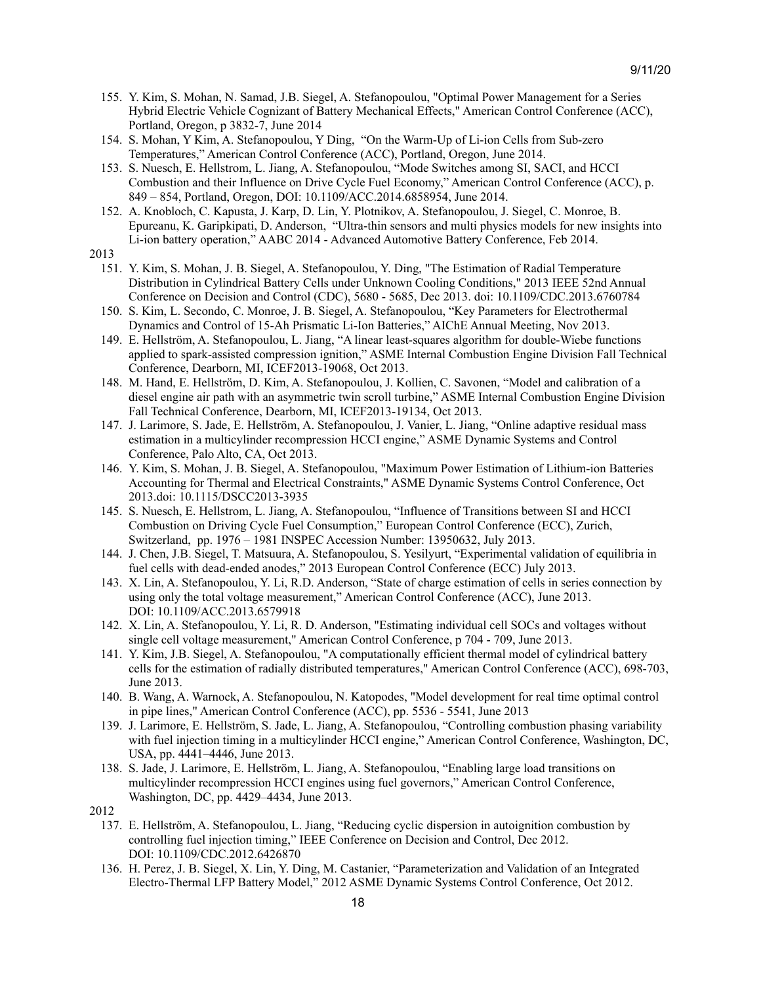- 155. Y. Kim, S. Mohan, N. Samad, J.B. Siegel, A. Stefanopoulou, "Optimal Power Management for a Series Hybrid Electric Vehicle Cognizant of Battery Mechanical Effects," American Control Conference (ACC), Portland, Oregon, p 3832-7, June 2014
- 154. S. Mohan, Y Kim, A. Stefanopoulou, Y Ding, "On the Warm-Up of Li-ion Cells from Sub-zero Temperatures," American Control Conference (ACC), Portland, Oregon, June 2014.
- 153. S. Nuesch, E. Hellstrom, L. Jiang, A. Stefanopoulou, "Mode Switches among SI, SACI, and HCCI Combustion and their Influence on Drive Cycle Fuel Economy," American Control Conference (ACC), p. 849 – 854, Portland, Oregon, DOI: 10.1109/ACC.2014.6858954, June 2014.
- 152. A. Knobloch, C. Kapusta, J. Karp, D. Lin, Y. Plotnikov, A. Stefanopoulou, J. Siegel, C. Monroe, B. Epureanu, K. Garipkipati, D. Anderson, "Ultra-thin sensors and multi physics models for new insights into Li-ion battery operation," AABC 2014 - Advanced Automotive Battery Conference, Feb 2014.
- 2013
	- 151. Y. Kim, S. Mohan, J. B. Siegel, A. Stefanopoulou, Y. Ding, "The Estimation of Radial Temperature Distribution in Cylindrical Battery Cells under Unknown Cooling Conditions," 2013 IEEE 52nd Annual Conference on Decision and Control (CDC), 5680 - 5685, Dec 2013. doi: 10.1109/CDC.2013.6760784
	- 150. S. Kim, L. Secondo, C. Monroe, J. B. Siegel, A. Stefanopoulou, "Key Parameters for Electrothermal Dynamics and Control of 15-Ah Prismatic Li-Ion Batteries," AIChE Annual Meeting, Nov 2013.
	- 149. E. Hellström, A. Stefanopoulou, L. Jiang, "A linear least-squares algorithm for double-Wiebe functions applied to spark-assisted compression ignition," ASME Internal Combustion Engine Division Fall Technical Conference, Dearborn, MI, ICEF2013-19068, Oct 2013.
	- 148. M. Hand, E. Hellström, D. Kim, A. Stefanopoulou, J. Kollien, C. Savonen, "Model and calibration of a diesel engine air path with an asymmetric twin scroll turbine," ASME Internal Combustion Engine Division Fall Technical Conference, Dearborn, MI, ICEF2013-19134, Oct 2013.
	- 147. J. Larimore, S. Jade, E. Hellström, A. Stefanopoulou, J. Vanier, L. Jiang, "Online adaptive residual mass estimation in a multicylinder recompression HCCI engine," ASME Dynamic Systems and Control Conference, Palo Alto, CA, Oct 2013.
	- 146. Y. Kim, S. Mohan, J. B. Siegel, A. Stefanopoulou, "Maximum Power Estimation of Lithium-ion Batteries Accounting for Thermal and Electrical Constraints," ASME Dynamic Systems Control Conference, Oct 2013.doi: 10.1115/DSCC2013-3935
	- 145. S. Nuesch, E. Hellstrom, L. Jiang, A. Stefanopoulou, "Influence of Transitions between SI and HCCI Combustion on Driving Cycle Fuel Consumption," European Control Conference (ECC), Zurich, Switzerland, pp. 1976 – 1981 INSPEC Accession Number: 13950632, July 2013.
	- 144. J. Chen, J.B. Siegel, T. Matsuura, A. Stefanopoulou, S. Yesilyurt, "Experimental validation of equilibria in fuel cells with dead-ended anodes," 2013 European Control Conference (ECC) July 2013.
	- 143. X. Lin, A. Stefanopoulou, Y. Li, R.D. Anderson, "State of charge estimation of cells in series connection by using only the total voltage measurement," American Control Conference (ACC), June 2013. DOI: [10.1109/ACC.2013.6579918](http://dx.doi.org/10.1109/ACC.2013.6579918)
	- 142. X. Lin, A. Stefanopoulou, Y. Li, R. D. Anderson, "Estimating individual cell SOCs and voltages without single cell voltage measurement," American Control Conference, p 704 - 709, June 2013.
	- 141. Y. Kim, J.B. Siegel, A. Stefanopoulou, "A computationally efficient thermal model of cylindrical battery cells for the estimation of radially distributed temperatures," American Control Conference (ACC), 698-703, June 2013.
	- 140. B. Wang, A. Warnock, A. Stefanopoulou, N. Katopodes, "Model development for real time optimal control in pipe lines," American Control Conference (ACC), pp. 5536 - 5541, June 2013
	- 139. J. Larimore, E. Hellström, S. Jade, L. Jiang, A. Stefanopoulou, "Controlling combustion phasing variability with fuel injection timing in a multicylinder HCCI engine," American Control Conference, Washington, DC, USA, pp. 4441–4446, June 2013.
	- 138. S. Jade, J. Larimore, E. Hellström, L. Jiang, A. Stefanopoulou, "Enabling large load transitions on multicylinder recompression HCCI engines using fuel governors," American Control Conference, Washington, DC, pp. 4429–4434, June 2013.

- 137. E. Hellström, A. Stefanopoulou, L. Jiang, "Reducing cyclic dispersion in autoignition combustion by controlling fuel injection timing," IEEE [Conference](http://www.scopus.com/source/sourceInfo.uri?sourceId=87424&origin=recordpage) on Decision and Control, Dec 2012. DOI: [10.1109/CDC.2012.6426870](http://dx.doi.org/10.1109/CDC.2012.6426870)
- 136. H. Perez, J. B. Siegel, X. Lin, Y. Ding, M. Castanier, "Parameterization and Validation of an Integrated Electro-Thermal LFP Battery Model," 2012 ASME Dynamic Systems Control Conference, Oct 2012.

<sup>2012</sup>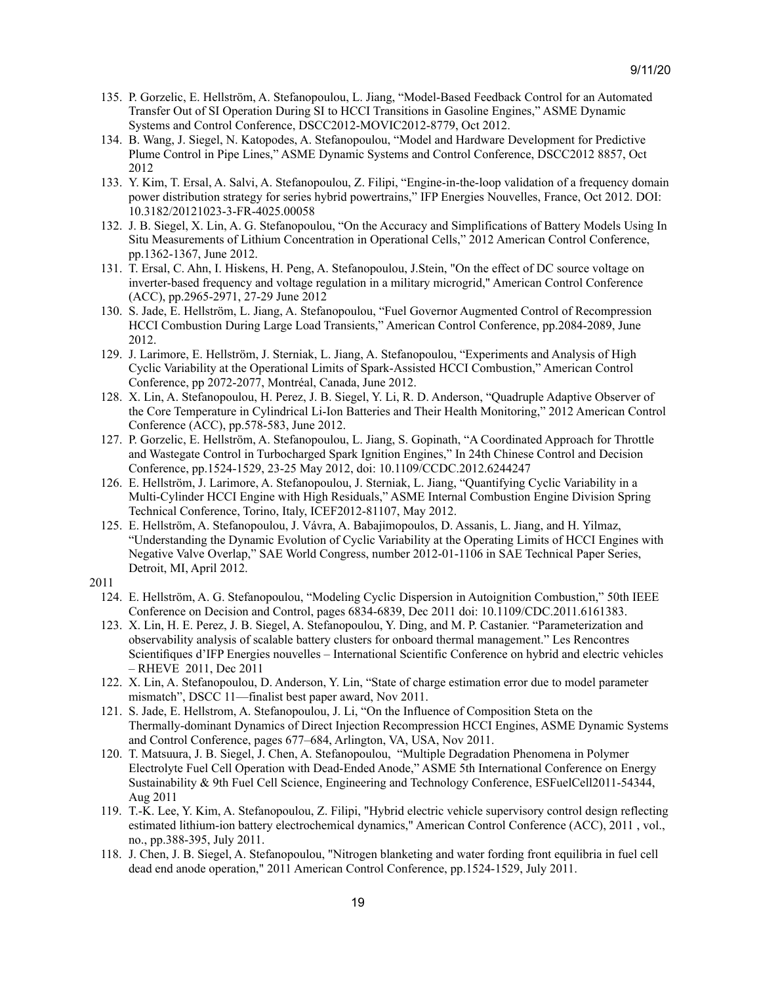- 135. P. Gorzelic, E. Hellström, A. Stefanopoulou, L. Jiang, "Model-Based Feedback Control for an Automated Transfer Out of SI Operation During SI to HCCI Transitions in Gasoline Engines," ASME Dynamic Systems and Control Conference, DSCC2012-MOVIC2012-8779, Oct 2012.
- 134. B. Wang, J. Siegel, N. Katopodes, A. Stefanopoulou, "Model and Hardware Development for Predictive Plume Control in Pipe Lines," ASME Dynamic Systems and Control Conference, DSCC2012 8857, Oct 2012
- 133. Y. Kim, T. Ersal, A. Salvi, A. Stefanopoulou, Z. Filipi, "Engine-in-the-loop validation of a frequency domain power distribution strategy for series hybrid powertrains," IFP Energies Nouvelles, France, Oct 2012. DOI: 10.3182/20121023-3-FR-4025.00058
- 132. J. B. Siegel, X. Lin, A. G. Stefanopoulou, "On the Accuracy and Simplifications of Battery Models Using In Situ Measurements of Lithium Concentration in Operational Cells," 2012 American Control Conference, pp.1362-1367, June 2012.
- 131. T. Ersal, C. Ahn, I. Hiskens, H. Peng, A. Stefanopoulou, J.Stein, "On the effect of DC source voltage on inverter-based frequency and voltage regulation in a military microgrid," American Control Conference (ACC), pp.2965-2971, 27-29 June 2012
- 130. S. Jade, E. Hellström, L. Jiang, A. Stefanopoulou, "Fuel Governor Augmented Control of Recompression HCCI Combustion During Large Load Transients," American Control Conference, pp.2084-2089, June 2012.
- 129. J. Larimore, E. Hellström, J. Sterniak, L. Jiang, A. Stefanopoulou, "Experiments and Analysis of High Cyclic Variability at the Operational Limits of Spark-Assisted HCCI Combustion," American Control Conference, pp 2072-2077, Montréal, Canada, June 2012.
- 128. X. Lin, A. Stefanopoulou, H. Perez, J. B. Siegel, Y. Li, R. D. Anderson, "Quadruple Adaptive Observer of the Core Temperature in Cylindrical Li-Ion Batteries and Their Health Monitoring," 2012 American Control Conference (ACC), pp.578-583, June 2012.
- 127. P. Gorzelic, E. Hellström, A. Stefanopoulou, L. Jiang, S. Gopinath, "A Coordinated Approach for Throttle and Wastegate Control in Turbocharged Spark Ignition Engines," In 24th Chinese Control and Decision Conference, pp.1524-1529, 23-25 May 2012, doi: 10.1109/CCDC.2012.6244247
- 126. E. Hellström, J. Larimore, A. Stefanopoulou, J. Sterniak, L. Jiang, "Quantifying Cyclic Variability in a Multi-Cylinder HCCI Engine with High Residuals," ASME Internal Combustion Engine Division Spring Technical Conference, Torino, Italy, ICEF2012-81107, May 2012.
- 125. E. Hellström, A. Stefanopoulou, J. Vávra, A. Babajimopoulos, D. Assanis, L. Jiang, and H. Yilmaz, "Understanding the Dynamic Evolution of Cyclic Variability at the Operating Limits of HCCI Engines with Negative Valve Overlap," SAE World Congress, number 2012-01-1106 in SAE Technical Paper Series, Detroit, MI, April 2012.
- 2011
	- 124. E. Hellström, A. G. Stefanopoulou, "Modeling Cyclic Dispersion in Autoignition Combustion," 50th IEEE Conference on Decision and Control, pages 6834-6839, Dec 2011 doi: 10.1109/CDC.2011.6161383.
	- 123. X. Lin, H. E. Perez, J. B. Siegel, A. Stefanopoulou, Y. Ding, and M. P. Castanier. "Parameterization and observability analysis of scalable battery clusters for onboard thermal management." Les Rencontres Scientifiques d'IFP Energies nouvelles – International Scientific Conference on hybrid and electric vehicles – RHEVE 2011, Dec 2011
	- 122. X. Lin, A. Stefanopoulou, D. Anderson, Y. Lin, "State of charge estimation error due to model parameter mismatch", DSCC 11—finalist best paper award, Nov 2011.
	- 121. S. Jade, E. Hellstrom, A. Stefanopoulou, J. Li, "On the Influence of Composition Steta on the Thermally-dominant Dynamics of Direct Injection Recompression HCCI Engines, ASME Dynamic Systems and Control Conference, pages 677–684, Arlington, VA, USA, Nov 2011.
	- 120. T. Matsuura, J. B. Siegel, J. Chen, A. Stefanopoulou, "Multiple Degradation Phenomena in Polymer Electrolyte Fuel Cell Operation with Dead-Ended Anode," ASME 5th International Conference on Energy Sustainability & 9th Fuel Cell Science, Engineering and Technology Conference, ESFuelCell2011-54344, Aug 2011
	- 119. T.-K. Lee, Y. Kim, A. Stefanopoulou, Z. Filipi, "Hybrid electric vehicle supervisory control design reflecting estimated lithium-ion battery electrochemical dynamics," American Control Conference (ACC), 2011 , vol., no., pp.388-395, July 2011.
	- 118. J. Chen, J. B. Siegel, A. Stefanopoulou, "Nitrogen blanketing and water fording front equilibria in fuel cell dead end anode operation," 2011 American Control Conference, pp.1524-1529, July 2011.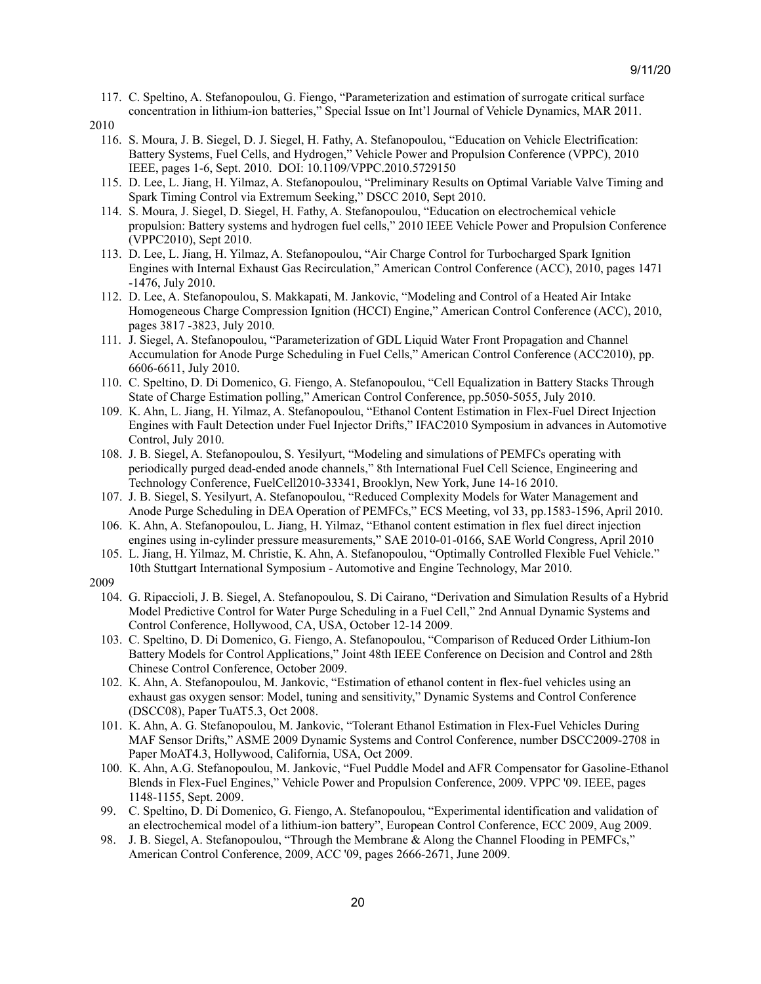- 117. C. Speltino, A. Stefanopoulou, G. Fiengo, "Parameterization and estimation of surrogate critical surface concentration in lithium-ion batteries," Special Issue on Int'l Journal of Vehicle Dynamics, MAR 2011.
- 2010
	- 116. S. Moura, J. B. Siegel, D. J. Siegel, H. Fathy, A. Stefanopoulou, "Education on Vehicle Electrification: Battery Systems, Fuel Cells, and Hydrogen," Vehicle Power and Propulsion Conference (VPPC), 2010 IEEE, pages 1-6, Sept. 2010. DOI: 10.1109/VPPC.2010.5729150
	- 115. D. Lee, L. Jiang, H. Yilmaz, A. Stefanopoulou, "Preliminary Results on Optimal Variable Valve Timing and Spark Timing Control via Extremum Seeking," DSCC 2010, Sept 2010.
	- 114. S. Moura, J. Siegel, D. Siegel, H. Fathy, A. Stefanopoulou, "Education on electrochemical vehicle propulsion: Battery systems and hydrogen fuel cells," 2010 IEEE Vehicle Power and Propulsion Conference (VPPC2010), Sept 2010.
	- 113. D. Lee, L. Jiang, H. Yilmaz, A. Stefanopoulou, "Air Charge Control for Turbocharged Spark Ignition Engines with Internal Exhaust Gas Recirculation," American Control Conference (ACC), 2010, pages 1471 -1476, July 2010.
	- 112. D. Lee, A. Stefanopoulou, S. Makkapati, M. Jankovic, "Modeling and Control of a Heated Air Intake Homogeneous Charge Compression Ignition (HCCI) Engine," American Control Conference (ACC), 2010, pages 3817 -3823, July 2010.
	- 111. J. Siegel, A. Stefanopoulou, "Parameterization of GDL Liquid Water Front Propagation and Channel Accumulation for Anode Purge Scheduling in Fuel Cells," American Control Conference (ACC2010), pp. 6606-6611, July 2010.
	- 110. C. Speltino, D. Di Domenico, G. Fiengo, A. Stefanopoulou, "Cell Equalization in Battery Stacks Through State of Charge Estimation polling," American Control Conference, pp.5050-5055, July 2010.
	- 109. K. Ahn, L. Jiang, H. Yilmaz, A. Stefanopoulou, "Ethanol Content Estimation in Flex-Fuel Direct Injection Engines with Fault Detection under Fuel Injector Drifts," IFAC2010 Symposium in advances in Automotive Control, July 2010.
	- 108. J. B. Siegel, A. Stefanopoulou, S. Yesilyurt, "Modeling and simulations of PEMFCs operating with periodically purged dead-ended anode channels," 8th International Fuel Cell Science, Engineering and Technology Conference, FuelCell2010-33341, Brooklyn, New York, June 14-16 2010.
	- 107. J. B. Siegel, S. Yesilyurt, A. Stefanopoulou, "Reduced Complexity Models for Water Management and Anode Purge Scheduling in DEA Operation of PEMFCs," ECS Meeting, vol 33, pp.1583-1596, April 2010.
	- 106. K. Ahn, A. Stefanopoulou, L. Jiang, H. Yilmaz, "Ethanol content estimation in flex fuel direct injection engines using in-cylinder pressure measurements," SAE 2010-01-0166, SAE World Congress, April 2010
	- 105. L. Jiang, H. Yilmaz, M. Christie, K. Ahn, A. Stefanopoulou, "Optimally Controlled Flexible Fuel Vehicle." 10th Stuttgart International Symposium - Automotive and Engine Technology, Mar 2010.
- 2009
	- 104. G. Ripaccioli, J. B. Siegel, A. Stefanopoulou, S. Di Cairano, "Derivation and Simulation Results of a Hybrid Model Predictive Control for Water Purge Scheduling in a Fuel Cell," 2nd Annual Dynamic Systems and Control Conference, Hollywood, CA, USA, October 12-14 2009.
	- 103. C. Speltino, D. Di Domenico, G. Fiengo, A. Stefanopoulou, "Comparison of Reduced Order Lithium-Ion Battery Models for Control Applications," Joint 48th IEEE Conference on Decision and Control and 28th Chinese Control Conference, October 2009.
	- 102. K. Ahn, A. Stefanopoulou, M. Jankovic, "Estimation of ethanol content in flex-fuel vehicles using an exhaust gas oxygen sensor: Model, tuning and sensitivity," Dynamic Systems and Control Conference (DSCC08), Paper TuAT5.3, Oct 2008.
	- 101. K. Ahn, A. G. Stefanopoulou, M. Jankovic, "Tolerant Ethanol Estimation in Flex-Fuel Vehicles During MAF Sensor Drifts," ASME 2009 Dynamic Systems and Control Conference, number DSCC2009-2708 in Paper MoAT4.3, Hollywood, California, USA, Oct 2009.
	- 100. K. Ahn, A.G. Stefanopoulou, M. Jankovic, "Fuel Puddle Model and AFR Compensator for Gasoline-Ethanol Blends in Flex-Fuel Engines," Vehicle Power and Propulsion Conference, 2009. VPPC '09. IEEE, pages 1148-1155, Sept. 2009.
	- 99. C. Speltino, D. Di Domenico, G. Fiengo, A. Stefanopoulou, "Experimental identification and validation of an electrochemical model of a lithium-ion battery", European Control Conference, ECC 2009, Aug 2009.
	- 98. J. B. Siegel, A. Stefanopoulou, "Through the Membrane & Along the Channel Flooding in PEMFCs," American Control Conference, 2009, ACC '09, pages 2666-2671, June 2009.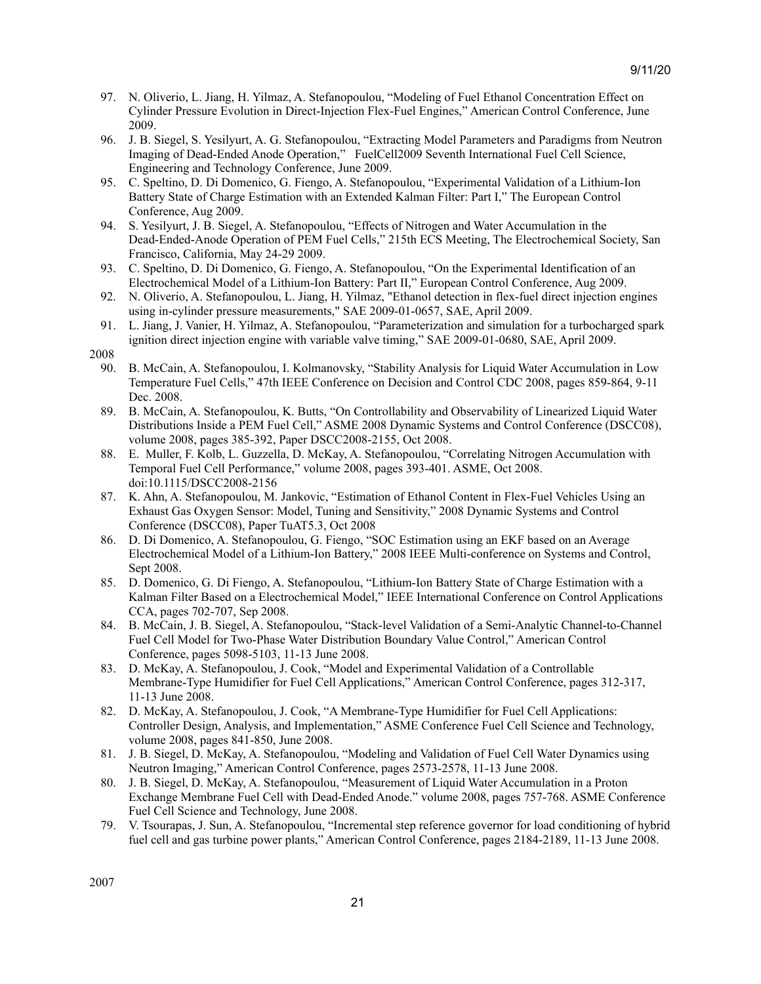- 97. N. Oliverio, L. Jiang, H. Yilmaz, A. Stefanopoulou, "Modeling of Fuel Ethanol Concentration Effect on Cylinder Pressure Evolution in Direct-Injection Flex-Fuel Engines," American Control Conference, June 2009.
- 96. J. B. Siegel, S. Yesilyurt, A. G. Stefanopoulou, "Extracting Model Parameters and Paradigms from Neutron Imaging of Dead-Ended Anode Operation," FuelCell2009 Seventh International Fuel Cell Science, Engineering and Technology Conference, June 2009.
- 95. C. Speltino, D. Di Domenico, G. Fiengo, A. Stefanopoulou, "Experimental Validation of a Lithium-Ion Battery State of Charge Estimation with an Extended Kalman Filter: Part I," The European Control Conference, Aug 2009.
- 94. S. Yesilyurt, J. B. Siegel, A. Stefanopoulou, "Effects of Nitrogen and Water Accumulation in the Dead-Ended-Anode Operation of PEM Fuel Cells," 215th ECS Meeting, The Electrochemical Society, San Francisco, California, May 24-29 2009.
- 93. C. Speltino, D. Di Domenico, G. Fiengo, A. Stefanopoulou, "On the Experimental Identification of an Electrochemical Model of a Lithium-Ion Battery: Part II," European Control Conference, Aug 2009.
- 92. N. Oliverio, A. Stefanopoulou, L. Jiang, H. Yilmaz, "Ethanol detection in flex-fuel direct injection engines using in-cylinder pressure measurements," SAE 2009-01-0657, SAE, April 2009.
- 91. L. Jiang, J. Vanier, H. Yilmaz, A. Stefanopoulou, "Parameterization and simulation for a turbocharged spark ignition direct injection engine with variable valve timing," SAE 2009-01-0680, SAE, April 2009.

- 90. B. McCain, A. Stefanopoulou, I. Kolmanovsky, "Stability Analysis for Liquid Water Accumulation in Low Temperature Fuel Cells," 47th IEEE Conference on Decision and Control CDC 2008, pages 859-864, 9-11 Dec. 2008.
- 89. B. McCain, A. Stefanopoulou, K. Butts, "On Controllability and Observability of Linearized Liquid Water Distributions Inside a PEM Fuel Cell," ASME 2008 Dynamic Systems and Control Conference (DSCC08), volume 2008, pages 385-392, Paper DSCC2008-2155, Oct 2008.
- 88. E. Muller, F. Kolb, L. Guzzella, D. McKay, A. Stefanopoulou, "Correlating Nitrogen Accumulation with Temporal Fuel Cell Performance," volume 2008, pages 393-401. ASME, Oct 2008. doi:10.1115/DSCC2008-2156
- 87. K. Ahn, A. Stefanopoulou, M. Jankovic, "Estimation of Ethanol Content in Flex-Fuel Vehicles Using an Exhaust Gas Oxygen Sensor: Model, Tuning and Sensitivity," 2008 Dynamic Systems and Control Conference (DSCC08), Paper TuAT5.3, Oct 2008
- 86. D. Di Domenico, A. Stefanopoulou, G. Fiengo, "SOC Estimation using an EKF based on an Average Electrochemical Model of a Lithium-Ion Battery," 2008 IEEE Multi-conference on Systems and Control, Sept 2008.
- 85. D. Domenico, G. Di Fiengo, A. Stefanopoulou, "Lithium-Ion Battery State of Charge Estimation with a Kalman Filter Based on a Electrochemical Model," IEEE International Conference on Control Applications CCA, pages 702-707, Sep 2008.
- 84. B. McCain, J. B. Siegel, A. Stefanopoulou, "Stack-level Validation of a Semi-Analytic Channel-to-Channel Fuel Cell Model for Two-Phase Water Distribution Boundary Value Control," American Control Conference, pages 5098-5103, 11-13 June 2008.
- 83. D. McKay, A. Stefanopoulou, J. Cook, "Model and Experimental Validation of a Controllable Membrane-Type Humidifier for Fuel Cell Applications," American Control Conference, pages 312-317, 11-13 June 2008.
- 82. D. McKay, A. Stefanopoulou, J. Cook, "A Membrane-Type Humidifier for Fuel Cell Applications: Controller Design, Analysis, and Implementation," ASME Conference Fuel Cell Science and Technology, volume 2008, pages 841-850, June 2008.
- 81. J. B. Siegel, D. McKay, A. Stefanopoulou, "Modeling and Validation of Fuel Cell Water Dynamics using Neutron Imaging," American Control Conference, pages 2573-2578, 11-13 June 2008.
- 80. J. B. Siegel, D. McKay, A. Stefanopoulou, "Measurement of Liquid Water Accumulation in a Proton Exchange Membrane Fuel Cell with Dead-Ended Anode." volume 2008, pages 757-768. ASME Conference Fuel Cell Science and Technology, June 2008.
- 79. V. Tsourapas, J. Sun, A. Stefanopoulou, "Incremental step reference governor for load conditioning of hybrid fuel cell and gas turbine power plants," American Control Conference, pages 2184-2189, 11-13 June 2008.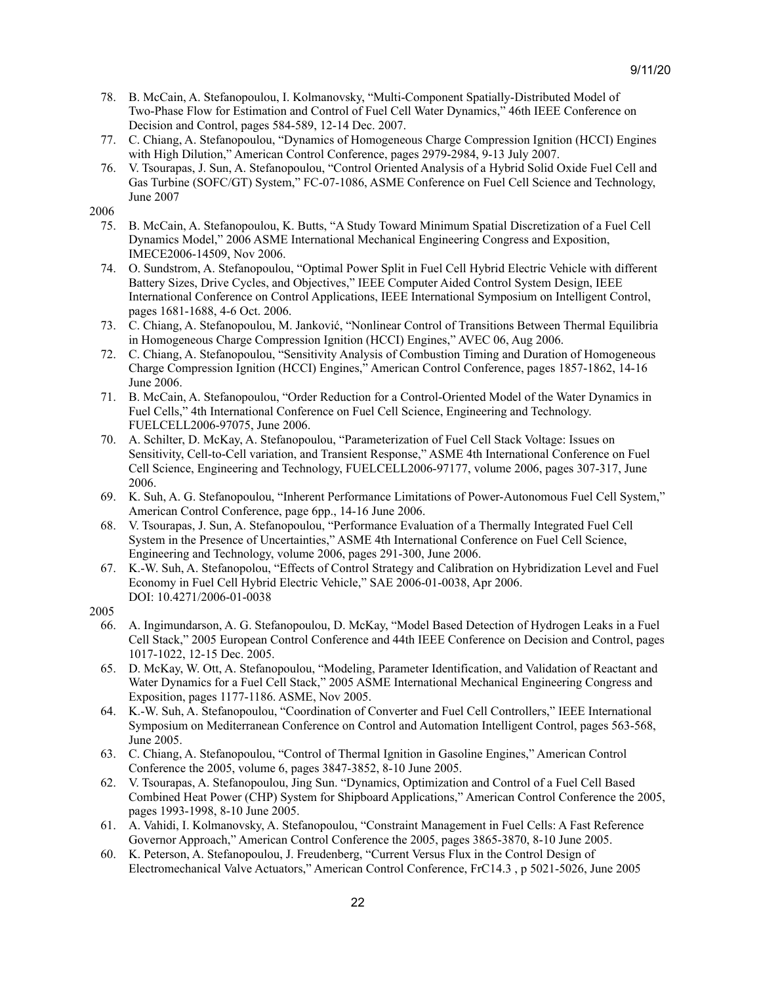- 78. B. McCain, A. Stefanopoulou, I. Kolmanovsky, "Multi-Component Spatially-Distributed Model of Two-Phase Flow for Estimation and Control of Fuel Cell Water Dynamics," 46th IEEE Conference on Decision and Control, pages 584-589, 12-14 Dec. 2007.
- 77. C. Chiang, A. Stefanopoulou, "Dynamics of Homogeneous Charge Compression Ignition (HCCI) Engines with High Dilution," American Control Conference, pages 2979-2984, 9-13 July 2007.
- 76. V. Tsourapas, J. Sun, A. Stefanopoulou, "Control Oriented Analysis of a Hybrid Solid Oxide Fuel Cell and Gas Turbine (SOFC/GT) System," FC-07-1086, ASME Conference on Fuel Cell Science and Technology, June 2007

- 75. B. McCain, A. Stefanopoulou, K. Butts, "A Study Toward Minimum Spatial Discretization of a Fuel Cell Dynamics Model," 2006 ASME International Mechanical Engineering Congress and Exposition, IMECE2006-14509, Nov 2006.
- 74. O. Sundstrom, A. Stefanopoulou, "Optimal Power Split in Fuel Cell Hybrid Electric Vehicle with different Battery Sizes, Drive Cycles, and Objectives," IEEE Computer Aided Control System Design, IEEE International Conference on Control Applications, IEEE International Symposium on Intelligent Control, pages 1681-1688, 4-6 Oct. 2006.
- 73. C. Chiang, A. Stefanopoulou, M. Janković, "Nonlinear Control of Transitions Between Thermal Equilibria in Homogeneous Charge Compression Ignition (HCCI) Engines," AVEC 06, Aug 2006.
- 72. C. Chiang, A. Stefanopoulou, "Sensitivity Analysis of Combustion Timing and Duration of Homogeneous Charge Compression Ignition (HCCI) Engines," American Control Conference, pages 1857-1862, 14-16 June 2006.
- 71. B. McCain, A. Stefanopoulou, "Order Reduction for a Control-Oriented Model of the Water Dynamics in Fuel Cells," 4th International Conference on Fuel Cell Science, Engineering and Technology. FUELCELL2006-97075, June 2006.
- 70. A. Schilter, D. McKay, A. Stefanopoulou, "Parameterization of Fuel Cell Stack Voltage: Issues on Sensitivity, Cell-to-Cell variation, and Transient Response," ASME 4th International Conference on Fuel Cell Science, Engineering and Technology, FUELCELL2006-97177, volume 2006, pages 307-317, June 2006.
- 69. K. Suh, A. G. Stefanopoulou, "Inherent Performance Limitations of Power-Autonomous Fuel Cell System," American Control Conference, page 6pp., 14-16 June 2006.
- 68. V. Tsourapas, J. Sun, A. Stefanopoulou, "Performance Evaluation of a Thermally Integrated Fuel Cell System in the Presence of Uncertainties," ASME 4th International Conference on Fuel Cell Science, Engineering and Technology, volume 2006, pages 291-300, June 2006.
- 67. K.-W. Suh, A. Stefanopolou, "Effects of Control Strategy and Calibration on Hybridization Level and Fuel Economy in Fuel Cell Hybrid Electric Vehicle," SAE 2006-01-0038, Apr 2006. DOI: 10.4271/2006-01-0038

- 66. A. Ingimundarson, A. G. Stefanopoulou, D. McKay, "Model Based Detection of Hydrogen Leaks in a Fuel Cell Stack," 2005 European Control Conference and 44th IEEE Conference on Decision and Control, pages 1017-1022, 12-15 Dec. 2005.
- 65. D. McKay, W. Ott, A. Stefanopoulou, "Modeling, Parameter Identification, and Validation of Reactant and Water Dynamics for a Fuel Cell Stack," 2005 ASME International Mechanical Engineering Congress and Exposition, pages 1177-1186. ASME, Nov 2005.
- 64. K.-W. Suh, A. Stefanopoulou, "Coordination of Converter and Fuel Cell Controllers," IEEE International Symposium on Mediterranean Conference on Control and Automation Intelligent Control, pages 563-568, June 2005.
- 63. C. Chiang, A. Stefanopoulou, "Control of Thermal Ignition in Gasoline Engines," American Control Conference the 2005, volume 6, pages 3847-3852, 8-10 June 2005.
- 62. V. Tsourapas, A. Stefanopoulou, Jing Sun. "Dynamics, Optimization and Control of a Fuel Cell Based Combined Heat Power (CHP) System for Shipboard Applications," American Control Conference the 2005, pages 1993-1998, 8-10 June 2005.
- 61. A. Vahidi, I. Kolmanovsky, A. Stefanopoulou, "Constraint Management in Fuel Cells: A Fast Reference Governor Approach," American Control Conference the 2005, pages 3865-3870, 8-10 June 2005.
- 60. K. Peterson, A. Stefanopoulou, J. Freudenberg, "Current Versus Flux in the Control Design of Electromechanical Valve Actuators," American Control Conference, FrC14.3 , p 5021-5026, June 2005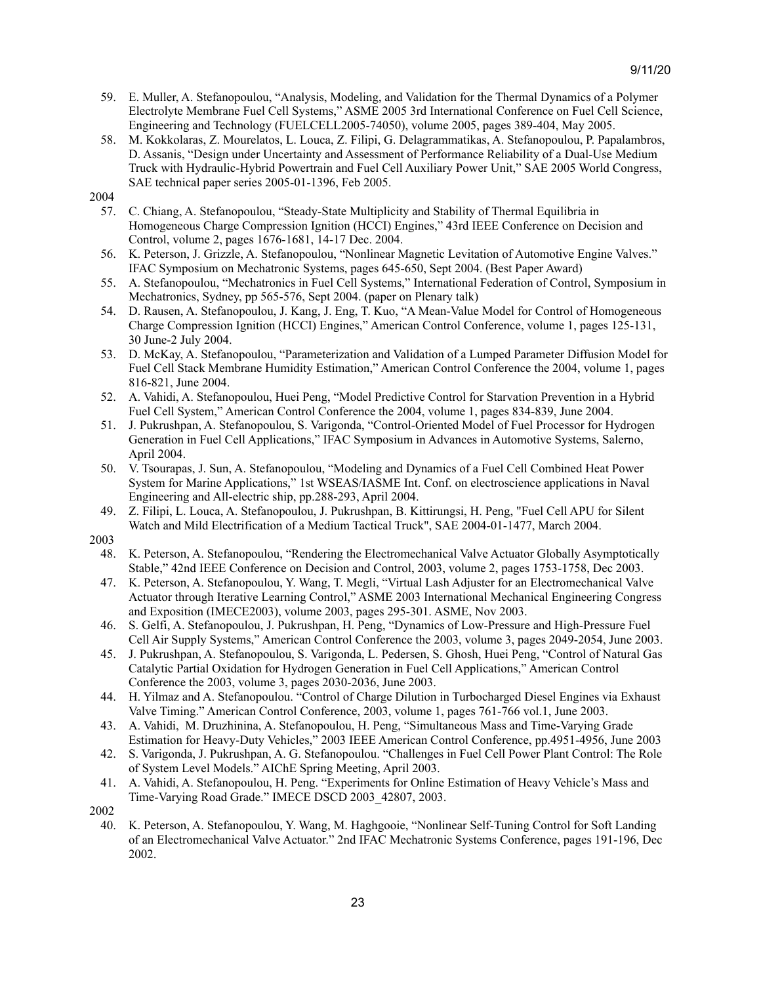- 59. E. Muller, A. Stefanopoulou, "Analysis, Modeling, and Validation for the Thermal Dynamics of a Polymer Electrolyte Membrane Fuel Cell Systems," ASME 2005 3rd International Conference on Fuel Cell Science, Engineering and Technology (FUELCELL2005-74050), volume 2005, pages 389-404, May 2005.
- 58. M. Kokkolaras, Z. Mourelatos, L. Louca, Z. Filipi, G. Delagrammatikas, A. Stefanopoulou, P. Papalambros, D. Assanis, "Design under Uncertainty and Assessment of Performance Reliability of a Dual-Use Medium Truck with Hydraulic-Hybrid Powertrain and Fuel Cell Auxiliary Power Unit," SAE 2005 World Congress, SAE technical paper series 2005-01-1396, Feb 2005.

- 57. C. Chiang, A. Stefanopoulou, "Steady-State Multiplicity and Stability of Thermal Equilibria in Homogeneous Charge Compression Ignition (HCCI) Engines," 43rd IEEE Conference on Decision and Control, volume 2, pages 1676-1681, 14-17 Dec. 2004.
- 56. K. Peterson, J. Grizzle, A. Stefanopoulou, "Nonlinear Magnetic Levitation of Automotive Engine Valves." IFAC Symposium on Mechatronic Systems, pages 645-650, Sept 2004. (Best Paper Award)
- 55. A. Stefanopoulou, "Mechatronics in Fuel Cell Systems," International Federation of Control, Symposium in Mechatronics, Sydney, pp 565-576, Sept 2004. (paper on Plenary talk)
- 54. D. Rausen, A. Stefanopoulou, J. Kang, J. Eng, T. Kuo, "A Mean-Value Model for Control of Homogeneous Charge Compression Ignition (HCCI) Engines," American Control Conference, volume 1, pages 125-131, 30 June-2 July 2004.
- 53. D. McKay, A. Stefanopoulou, "Parameterization and Validation of a Lumped Parameter Diffusion Model for Fuel Cell Stack Membrane Humidity Estimation," American Control Conference the 2004, volume 1, pages 816-821, June 2004.
- 52. A. Vahidi, A. Stefanopoulou, Huei Peng, "Model Predictive Control for Starvation Prevention in a Hybrid Fuel Cell System," American Control Conference the 2004, volume 1, pages 834-839, June 2004.
- 51. J. Pukrushpan, A. Stefanopoulou, S. Varigonda, "Control-Oriented Model of Fuel Processor for Hydrogen Generation in Fuel Cell Applications," IFAC Symposium in Advances in Automotive Systems, Salerno, April 2004.
- 50. V. Tsourapas, J. Sun, A. Stefanopoulou, "Modeling and Dynamics of a Fuel Cell Combined Heat Power System for Marine Applications," 1st WSEAS/IASME Int. Conf. on electroscience applications in Naval Engineering and All-electric ship, pp.288-293, April 2004.
- 49. Z. Filipi, L. Louca, A. Stefanopoulou, J. Pukrushpan, B. Kittirungsi, H. Peng, "Fuel Cell APU for Silent Watch and Mild Electrification of a Medium Tactical Truck", SAE 2004-01-1477, March 2004.

2003

- 48. K. Peterson, A. Stefanopoulou, "Rendering the Electromechanical Valve Actuator Globally Asymptotically Stable," 42nd IEEE Conference on Decision and Control, 2003, volume 2, pages 1753-1758, Dec 2003.
- 47. K. Peterson, A. Stefanopoulou, Y. Wang, T. Megli, "Virtual Lash Adjuster for an Electromechanical Valve Actuator through Iterative Learning Control," ASME 2003 International Mechanical Engineering Congress and Exposition (IMECE2003), volume 2003, pages 295-301. ASME, Nov 2003.
- 46. S. Gelfi, A. Stefanopoulou, J. Pukrushpan, H. Peng, "Dynamics of Low-Pressure and High-Pressure Fuel Cell Air Supply Systems," American Control Conference the 2003, volume 3, pages 2049-2054, June 2003.
- 45. J. Pukrushpan, A. Stefanopoulou, S. Varigonda, L. Pedersen, S. Ghosh, Huei Peng, "Control of Natural Gas Catalytic Partial Oxidation for Hydrogen Generation in Fuel Cell Applications," American Control Conference the 2003, volume 3, pages 2030-2036, June 2003.
- 44. H. Yilmaz and A. Stefanopoulou. "Control of Charge Dilution in Turbocharged Diesel Engines via Exhaust Valve Timing." American Control Conference, 2003, volume 1, pages 761-766 vol.1, June 2003.
- 43. A. Vahidi, M. Druzhinina, A. Stefanopoulou, H. Peng, "Simultaneous Mass and Time-Varying Grade Estimation for Heavy-Duty Vehicles," 2003 IEEE American Control Conference, pp.4951-4956, June 2003
- 42. S. Varigonda, J. Pukrushpan, A. G. Stefanopoulou. "Challenges in Fuel Cell Power Plant Control: The Role of System Level Models." AIChE Spring Meeting, April 2003.
- 41. A. Vahidi, A. Stefanopoulou, H. Peng. "Experiments for Online Estimation of Heavy Vehicle's Mass and Time-Varying Road Grade." IMECE DSCD 2003\_42807, 2003.

40. K. Peterson, A. Stefanopoulou, Y. Wang, M. Haghgooie, "Nonlinear Self-Tuning Control for Soft Landing of an Electromechanical Valve Actuator." 2nd IFAC Mechatronic Systems Conference, pages 191-196, Dec 2002.

<sup>2002</sup>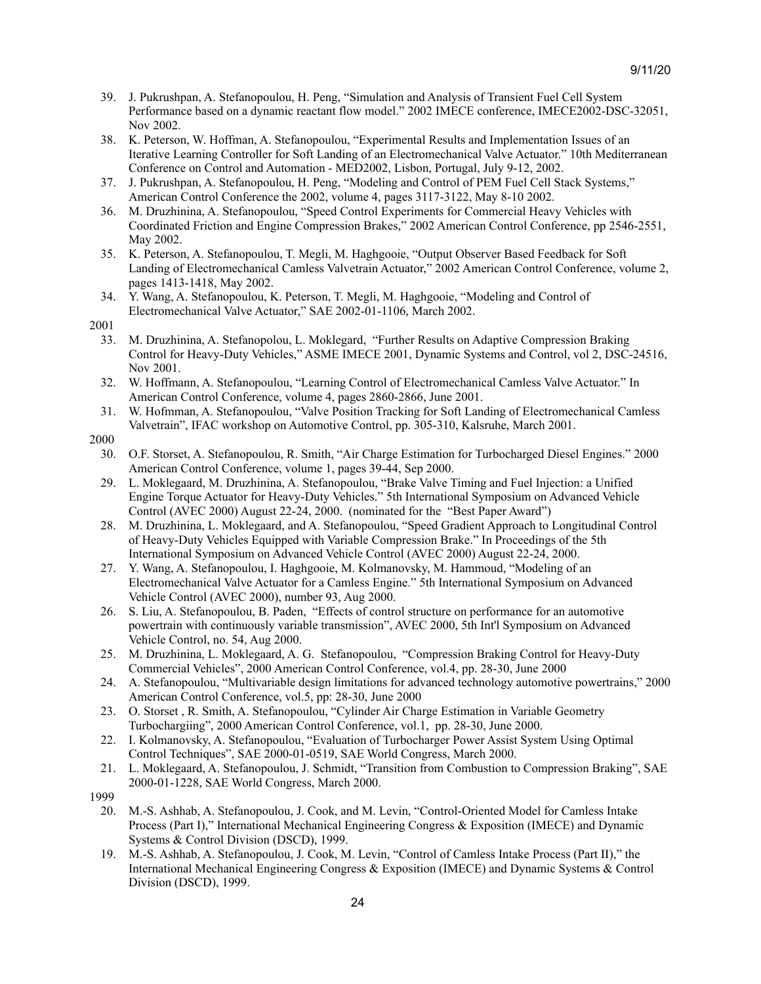- 39. J. Pukrushpan, A. Stefanopoulou, H. Peng, "Simulation and Analysis of Transient Fuel Cell System Performance based on a dynamic reactant flow model." 2002 IMECE conference, IMECE2002-DSC-32051, Nov 2002.
- 38. K. Peterson, W. Hoffman, A. Stefanopoulou, "Experimental Results and Implementation Issues of an Iterative Learning Controller for Soft Landing of an Electromechanical Valve Actuator." 10th Mediterranean Conference on Control and Automation - MED2002, Lisbon, Portugal, July 9-12, 2002.
- 37. J. Pukrushpan, A. Stefanopoulou, H. Peng, "Modeling and Control of PEM Fuel Cell Stack Systems," American Control Conference the 2002, volume 4, pages 3117-3122, May 8-10 2002.
- 36. M. Druzhinina, A. Stefanopoulou, "Speed Control Experiments for Commercial Heavy Vehicles with Coordinated Friction and Engine Compression Brakes," 2002 American Control Conference, pp 2546-2551, May 2002.
- 35. K. Peterson, A. Stefanopoulou, T. Megli, M. Haghgooie, "Output Observer Based Feedback for Soft Landing of Electromechanical Camless Valvetrain Actuator," 2002 American Control Conference, volume 2, pages 1413-1418, May 2002.
- 34. Y. Wang, A. Stefanopoulou, K. Peterson, T. Megli, M. Haghgooie, "Modeling and Control of Electromechanical Valve Actuator," SAE 2002-01-1106, March 2002.
- 2001
	- 33. M. Druzhinina, A. Stefanopolou, L. Moklegard, "Further Results on Adaptive Compression Braking Control for Heavy-Duty Vehicles," ASME IMECE 2001, Dynamic Systems and Control, vol 2, DSC-24516, Nov 2001.
	- 32. W. Hoffmann, A. Stefanopoulou, "Learning Control of Electromechanical Camless Valve Actuator." In American Control Conference, volume 4, pages 2860-2866, June 2001.
	- 31. W. Hofmman, A. Stefanopoulou, "Valve Position Tracking for Soft Landing of Electromechanical Camless Valvetrain", IFAC workshop on Automotive Control, pp. 305-310, Kalsruhe, March 2001.
- 2000
	- 30. O.F. Storset, A. Stefanopoulou, R. Smith, "Air Charge Estimation for Turbocharged Diesel Engines." 2000 American Control Conference, volume 1, pages 39-44, Sep 2000.
	- 29. L. Moklegaard, M. Druzhinina, A. Stefanopoulou, "Brake Valve Timing and Fuel Injection: a Unified Engine Torque Actuator for Heavy-Duty Vehicles." 5th International Symposium on Advanced Vehicle Control (AVEC 2000) August 22-24, 2000. (nominated for the "Best Paper Award")
	- 28. M. Druzhinina, L. Moklegaard, and A. Stefanopoulou, "Speed Gradient Approach to Longitudinal Control of Heavy-Duty Vehicles Equipped with Variable Compression Brake." In Proceedings of the 5th International Symposium on Advanced Vehicle Control (AVEC 2000) August 22-24, 2000.
	- 27. Y. Wang, A. Stefanopoulou, I. Haghgooie, M. Kolmanovsky, M. Hammoud, "Modeling of an Electromechanical Valve Actuator for a Camless Engine." 5th International Symposium on Advanced Vehicle Control (AVEC 2000), number 93, Aug 2000.
	- 26. S. Liu, A. Stefanopoulou, B. Paden, "Effects of control structure on performance for an automotive powertrain with continuously variable transmission", AVEC 2000, 5th Int'l Symposium on Advanced Vehicle Control, no. 54, Aug 2000.
	- 25. M. Druzhinina, L. Moklegaard, A. G. Stefanopoulou, "Compression Braking Control for Heavy-Duty Commercial Vehicles", 2000 American Control Conference, vol.4, pp. 28-30, June 2000
	- 24. A. Stefanopoulou, "Multivariable design limitations for advanced technology automotive powertrains," 2000 American Control Conference, vol.5, pp: 28-30, June 2000
	- 23. O. Storset , R. Smith, A. Stefanopoulou, "Cylinder Air Charge Estimation in Variable Geometry Turbochargiing", 2000 American Control Conference, vol.1, pp. 28-30, June 2000.
	- 22. I. Kolmanovsky, A. Stefanopoulou, "Evaluation of Turbocharger Power Assist System Using Optimal Control Techniques", SAE 2000-01-0519, SAE World Congress, March 2000.
	- 21. L. Moklegaard, A. Stefanopoulou, J. Schmidt, "Transition from Combustion to Compression Braking", SAE 2000-01-1228, SAE World Congress, March 2000.
- 1999
	- 20. M.-S. Ashhab, A. Stefanopoulou, J. Cook, and M. Levin, "Control-Oriented Model for Camless Intake Process (Part I)," International Mechanical Engineering Congress & Exposition (IMECE) and Dynamic Systems & Control Division (DSCD), 1999.
	- 19. M.-S. Ashhab, A. Stefanopoulou, J. Cook, M. Levin, "Control of Camless Intake Process (Part II)," the International Mechanical Engineering Congress & Exposition (IMECE) and Dynamic Systems & Control Division (DSCD), 1999.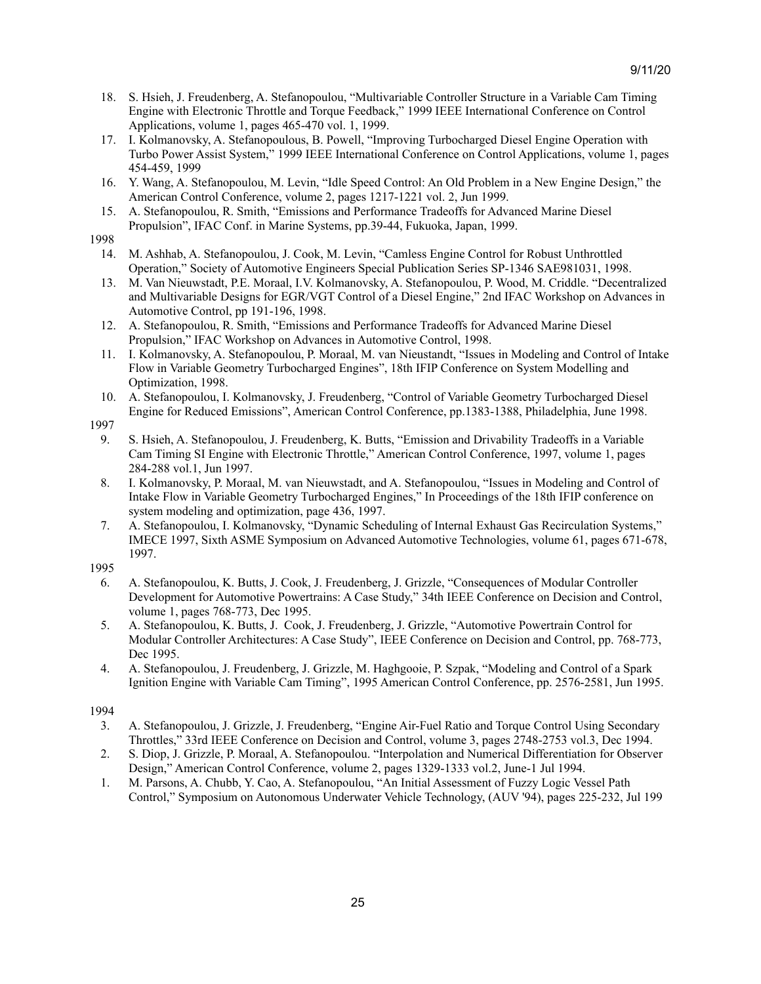- 18. S. Hsieh, J. Freudenberg, A. Stefanopoulou, "Multivariable Controller Structure in a Variable Cam Timing Engine with Electronic Throttle and Torque Feedback," 1999 IEEE International Conference on Control Applications, volume 1, pages 465-470 vol. 1, 1999.
- 17. I. Kolmanovsky, A. Stefanopoulous, B. Powell, "Improving Turbocharged Diesel Engine Operation with Turbo Power Assist System," 1999 IEEE International Conference on Control Applications, volume 1, pages 454-459, 1999
- 16. Y. Wang, A. Stefanopoulou, M. Levin, "Idle Speed Control: An Old Problem in a New Engine Design," the American Control Conference, volume 2, pages 1217-1221 vol. 2, Jun 1999.
- 15. A. Stefanopoulou, R. Smith, "Emissions and Performance Tradeoffs for Advanced Marine Diesel Propulsion", IFAC Conf. in Marine Systems, pp.39-44, Fukuoka, Japan, 1999.
- 1998
	- 14. M. Ashhab, A. Stefanopoulou, J. Cook, M. Levin, "Camless Engine Control for Robust Unthrottled Operation," Society of Automotive Engineers Special Publication Series SP-1346 SAE981031, 1998.
	- 13. M. Van Nieuwstadt, P.E. Moraal, I.V. Kolmanovsky, A. Stefanopoulou, P. Wood, M. Criddle. "Decentralized and Multivariable Designs for EGR/VGT Control of a Diesel Engine," 2nd IFAC Workshop on Advances in Automotive Control, pp 191-196, 1998.
	- 12. A. Stefanopoulou, R. Smith, "Emissions and Performance Tradeoffs for Advanced Marine Diesel Propulsion," IFAC Workshop on Advances in Automotive Control, 1998.
	- 11. I. Kolmanovsky, A. Stefanopoulou, P. Moraal, M. van Nieustandt, "Issues in Modeling and Control of Intake Flow in Variable Geometry Turbocharged Engines", 18th IFIP Conference on System Modelling and Optimization, 1998.
	- 10. A. Stefanopoulou, I. Kolmanovsky, J. Freudenberg, "Control of Variable Geometry Turbocharged Diesel Engine for Reduced Emissions", American Control Conference, pp.1383-1388, Philadelphia, June 1998.
- 1997
	- 9. S. Hsieh, A. Stefanopoulou, J. Freudenberg, K. Butts, "Emission and Drivability Tradeoffs in a Variable Cam Timing SI Engine with Electronic Throttle," American Control Conference, 1997, volume 1, pages 284-288 vol.1, Jun 1997.
	- 8. I. Kolmanovsky, P. Moraal, M. van Nieuwstadt, and A. Stefanopoulou, "Issues in Modeling and Control of Intake Flow in Variable Geometry Turbocharged Engines," In Proceedings of the 18th IFIP conference on system modeling and optimization, page 436, 1997.
	- 7. A. Stefanopoulou, I. Kolmanovsky, "Dynamic Scheduling of Internal Exhaust Gas Recirculation Systems," IMECE 1997, Sixth ASME Symposium on Advanced Automotive Technologies, volume 61, pages 671-678, 1997.

- 6. A. Stefanopoulou, K. Butts, J. Cook, J. Freudenberg, J. Grizzle, "Consequences of Modular Controller Development for Automotive Powertrains: A Case Study," 34th IEEE Conference on Decision and Control, volume 1, pages 768-773, Dec 1995.
- 5. A. Stefanopoulou, K. Butts, J. Cook, J. Freudenberg, J. Grizzle, "Automotive Powertrain Control for Modular Controller Architectures: A Case Study", IEEE Conference on Decision and Control, pp. 768-773, Dec 1995.
- 4. A. Stefanopoulou, J. Freudenberg, J. Grizzle, M. Haghgooie, P. Szpak, "Modeling and Control of a Spark Ignition Engine with Variable Cam Timing", 1995 American Control Conference, pp. 2576-2581, Jun 1995.

- 3. A. Stefanopoulou, J. Grizzle, J. Freudenberg, "Engine Air-Fuel Ratio and Torque Control Using Secondary Throttles," 33rd IEEE Conference on Decision and Control, volume 3, pages 2748-2753 vol.3, Dec 1994.
- 2. S. Diop, J. Grizzle, P. Moraal, A. Stefanopoulou. "Interpolation and Numerical Differentiation for Observer Design," American Control Conference, volume 2, pages 1329-1333 vol.2, June-1 Jul 1994.
- 1. M. Parsons, A. Chubb, Y. Cao, A. Stefanopoulou, "An Initial Assessment of Fuzzy Logic Vessel Path Control," Symposium on Autonomous Underwater Vehicle Technology, (AUV '94), pages 225-232, Jul 199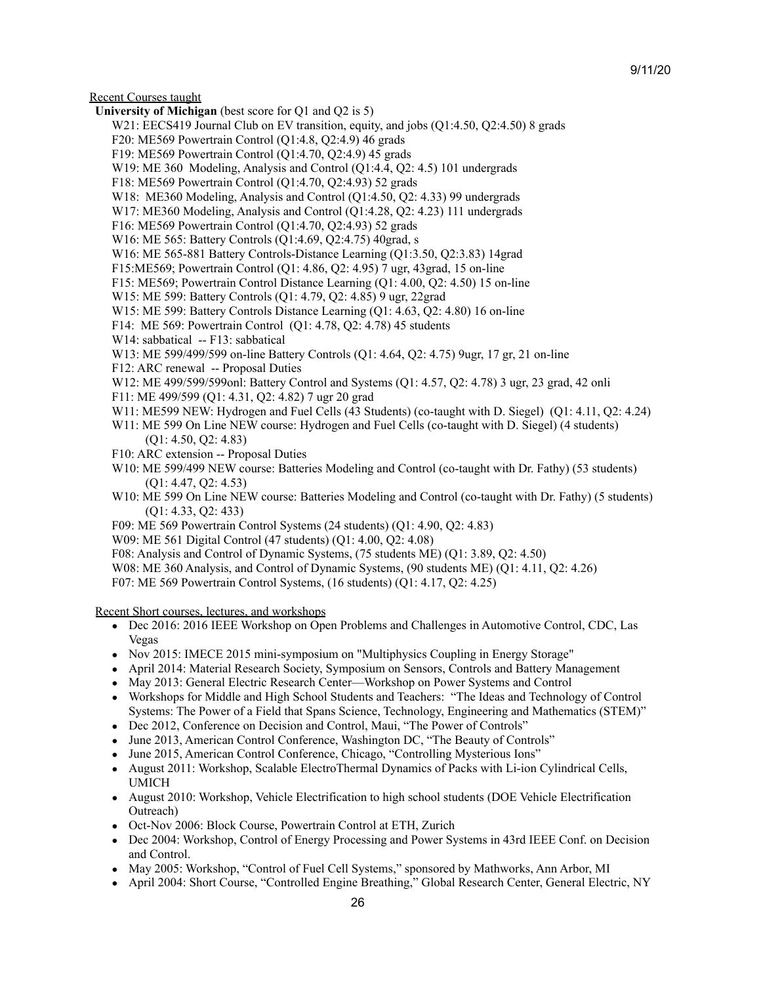## 9/11/20

Recent Courses taught

- **University of Michigan** (best score for Q1 and Q2 is 5)
	- W21: EECS419 Journal Club on EV transition, equity, and jobs (Q1:4.50, Q2:4.50) 8 grads
	- F20: ME569 Powertrain Control (Q1:4.8, Q2:4.9) 46 grads
	- F19: ME569 Powertrain Control (Q1:4.70, Q2:4.9) 45 grads
	- W19: ME 360 Modeling, Analysis and Control (Q1:4.4, Q2: 4.5) 101 undergrads
	- F18: ME569 Powertrain Control (Q1:4.70, Q2:4.93) 52 grads
	- W18: ME360 Modeling, Analysis and Control (Q1:4.50, Q2: 4.33) 99 undergrads
	- W17: ME360 Modeling, Analysis and Control (Q1:4.28, Q2: 4.23) 111 undergrads
	- F16: ME569 Powertrain Control (Q1:4.70, Q2:4.93) 52 grads
	- W16: ME 565: Battery Controls (Q1:4.69, Q2:4.75) 40grad, s
	- W16: ME 565-881 Battery Controls-Distance Learning (Q1:3.50, Q2:3.83) 14grad
	- F15:ME569; Powertrain Control (Q1: 4.86, Q2: 4.95) 7 ugr, 43grad, 15 on-line
	- F15: ME569; Powertrain Control Distance Learning (Q1: 4.00, Q2: 4.50) 15 on-line
	- W15: ME 599: Battery Controls (Q1: 4.79, Q2: 4.85) 9 ugr, 22grad
	- W15: ME 599: Battery Controls Distance Learning (Q1: 4.63, Q2: 4.80) 16 on-line
	- F14: ME 569: Powertrain Control (Q1: 4.78, Q2: 4.78) 45 students
	- W14: sabbatical -- F13: sabbatical
	- W13: ME 599/499/599 on-line Battery Controls (Q1: 4.64, Q2: 4.75) 9ugr, 17 gr, 21 on-line
	- F12: ARC renewal -- Proposal Duties
	- W12: ME 499/599/599onl: Battery Control and Systems (Q1: 4.57, Q2: 4.78) 3 ugr, 23 grad, 42 onli
	- F11: ME 499/599 (Q1: 4.31, Q2: 4.82) 7 ugr 20 grad
	- W11: ME599 NEW: Hydrogen and Fuel Cells (43 Students) (co-taught with D. Siegel) (Q1: 4.11, Q2: 4.24)
	- W11: ME 599 On Line NEW course: Hydrogen and Fuel Cells (co-taught with D. Siegel) (4 students) (Q1: 4.50, Q2: 4.83)
	- F10: ARC extension -- Proposal Duties
	- W<sub>10</sub>: ME 599/499 NEW course: Batteries Modeling and Control (co-taught with Dr. Fathy) (53 students) (Q1: 4.47, Q2: 4.53)
	- W10: ME 599 On Line NEW course: Batteries Modeling and Control (co-taught with Dr. Fathy) (5 students) (Q1: 4.33, Q2: 433)
	- F09: ME 569 Powertrain Control Systems (24 students) (Q1: 4.90, Q2: 4.83)
	- W09: ME 561 Digital Control (47 students) (Q1: 4.00, Q2: 4.08)
	- F08: Analysis and Control of Dynamic Systems, (75 students ME) (Q1: 3.89, Q2: 4.50)
	- W08: ME 360 Analysis, and Control of Dynamic Systems, (90 students ME) (Q1: 4.11, Q2: 4.26)
	- F07: ME 569 Powertrain Control Systems, (16 students) (Q1: 4.17, Q2: 4.25)

Recent Short courses, lectures, and workshops

- Dec 2016: 2016 IEEE Workshop on Open Problems and Challenges in Automotive Control, CDC, Las Vegas
- Nov 2015: IMECE 2015 mini-symposium on "Multiphysics Coupling in Energy Storage"
- April 2014: Material Research Society, Symposium on Sensors, Controls and Battery Management
- May 2013: General Electric Research Center—Workshop on Power Systems and Control
- Workshops for Middle and High School Students and Teachers: "The Ideas and Technology of Control Systems: The Power of a Field that Spans Science, Technology, Engineering and Mathematics (STEM)"
- Dec 2012, Conference on Decision and Control, Maui, "The Power of Controls"
- June 2013, American Control Conference, Washington DC, "The Beauty of Controls"
- June 2015, American Control Conference, Chicago, "Controlling Mysterious Ions"
- August 2011: Workshop, Scalable ElectroThermal Dynamics of Packs with Li-ion Cylindrical Cells, UMICH
- August 2010: Workshop, Vehicle Electrification to high school students (DOE Vehicle Electrification Outreach)
- Oct-Nov 2006: Block Course, Powertrain Control at ETH, Zurich
- Dec 2004: Workshop, Control of Energy Processing and Power Systems in 43rd IEEE Conf. on Decision and Control.
- May 2005: Workshop, "Control of Fuel Cell Systems," sponsored by Mathworks, Ann Arbor, MI
- April 2004: Short Course, "Controlled Engine Breathing," Global Research Center, General Electric, NY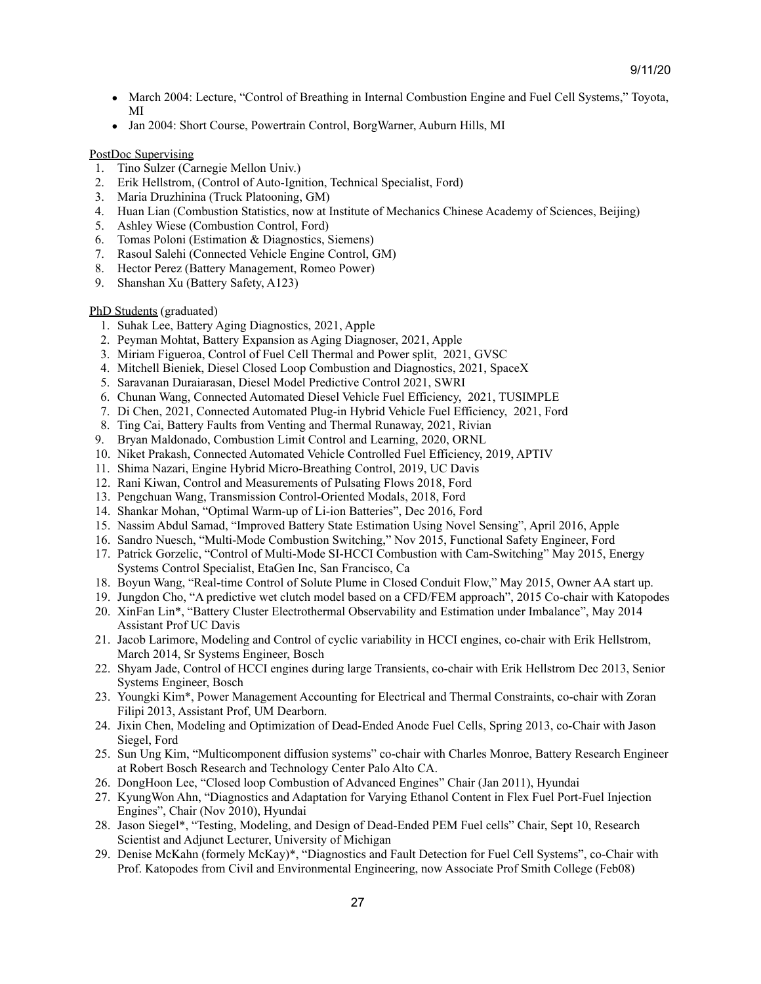- March 2004: Lecture, "Control of Breathing in Internal Combustion Engine and Fuel Cell Systems," Toyota, MI
- Jan 2004: Short Course, Powertrain Control, Borg Warner, Auburn Hills, MI

## PostDoc Supervising

- 1. Tino Sulzer (Carnegie Mellon Univ.)
- 2. Erik Hellstrom, (Control of Auto-Ignition, Technical Specialist, Ford)
- 3. Maria Druzhinina (Truck Platooning, GM)
- 4. Huan Lian (Combustion Statistics, now at Institute of Mechanics Chinese Academy of Sciences, Beijing)
- 5. Ashley Wiese (Combustion Control, Ford)
- 6. Tomas Poloni (Estimation & Diagnostics, Siemens)
- 7. Rasoul Salehi (Connected Vehicle Engine Control, GM)
- 8. Hector Perez (Battery Management, Romeo Power)
- 9. Shanshan Xu (Battery Safety, A123)

# PhD Students (graduated)

- 1. Suhak Lee, Battery Aging Diagnostics, 2021, Apple
- 2. Peyman Mohtat, Battery Expansion as Aging Diagnoser, 2021, Apple
- 3. Miriam Figueroa, Control of Fuel Cell Thermal and Power split, 2021, GVSC
- 4. Mitchell Bieniek, Diesel Closed Loop Combustion and Diagnostics, 2021, SpaceX
- 5. Saravanan Duraiarasan, Diesel Model Predictive Control 2021, SWRI
- 6. Chunan Wang, Connected Automated Diesel Vehicle Fuel Efficiency, 2021, TUSIMPLE
- 7. Di Chen, 2021, Connected Automated Plug-in Hybrid Vehicle Fuel Efficiency, 2021, Ford
- 8. Ting Cai, Battery Faults from Venting and Thermal Runaway, 2021, Rivian
- 9. Bryan Maldonado, Combustion Limit Control and Learning, 2020, ORNL
- 10. Niket Prakash, Connected Automated Vehicle Controlled Fuel Efficiency, 2019, APTIV
- 11. Shima Nazari, Engine Hybrid Micro-Breathing Control, 2019, UC Davis
- 12. Rani Kiwan, Control and Measurements of Pulsating Flows 2018, Ford
- 13. Pengchuan Wang, Transmission Control-Oriented Modals, 2018, Ford
- 14. Shankar Mohan, "Optimal Warm-up of Li-ion Batteries", Dec 2016, Ford
- 15. Nassim Abdul Samad, "Improved Battery State Estimation Using Novel Sensing", April 2016, Apple
- 16. Sandro Nuesch, "Multi-Mode Combustion Switching," Nov 2015, Functional Safety Engineer, Ford
- 17. Patrick Gorzelic, "Control of Multi-Mode SI-HCCI Combustion with Cam-Switching" May 2015, Energy Systems Control Specialist, EtaGen Inc, San Francisco, Ca
- 18. Boyun Wang, "Real-time Control of Solute Plume in Closed Conduit Flow," May 2015, Owner AA start up.
- 19. Jungdon Cho, "A predictive wet clutch model based on a CFD/FEM approach", 2015 Co-chair with Katopodes
- 20. XinFan Lin\*, "Battery Cluster Electrothermal Observability and Estimation under Imbalance", May 2014 Assistant Prof UC Davis
- 21. Jacob Larimore, Modeling and Control of cyclic variability in HCCI engines, co-chair with Erik Hellstrom, March 2014, Sr Systems Engineer, Bosch
- 22. Shyam Jade, Control of HCCI engines during large Transients, co-chair with Erik Hellstrom Dec 2013, Senior Systems Engineer, Bosch
- 23. Youngki Kim\*, Power Management Accounting for Electrical and Thermal Constraints, co-chair with Zoran Filipi 2013, Assistant Prof, UM Dearborn.
- 24. Jixin Chen, Modeling and Optimization of Dead-Ended Anode Fuel Cells, Spring 2013, co-Chair with Jason Siegel, Ford
- 25. Sun Ung Kim, "Multicomponent diffusion systems" co-chair with Charles Monroe, Battery Research Engineer at Robert Bosch Research and Technology Center Palo Alto CA.
- 26. DongHoon Lee, "Closed loop Combustion of Advanced Engines" Chair (Jan 2011), Hyundai
- 27. KyungWon Ahn, "Diagnostics and Adaptation for Varying Ethanol Content in Flex Fuel Port-Fuel Injection Engines", Chair (Nov 2010), Hyundai
- 28. Jason Siegel\*, "Testing, Modeling, and Design of Dead-Ended PEM Fuel cells" Chair, Sept 10, Research Scientist and Adjunct Lecturer, University of Michigan
- 29. Denise McKahn (formely McKay)\*, "Diagnostics and Fault Detection for Fuel Cell Systems", co-Chair with Prof. Katopodes from Civil and Environmental Engineering, now Associate Prof Smith College (Feb08)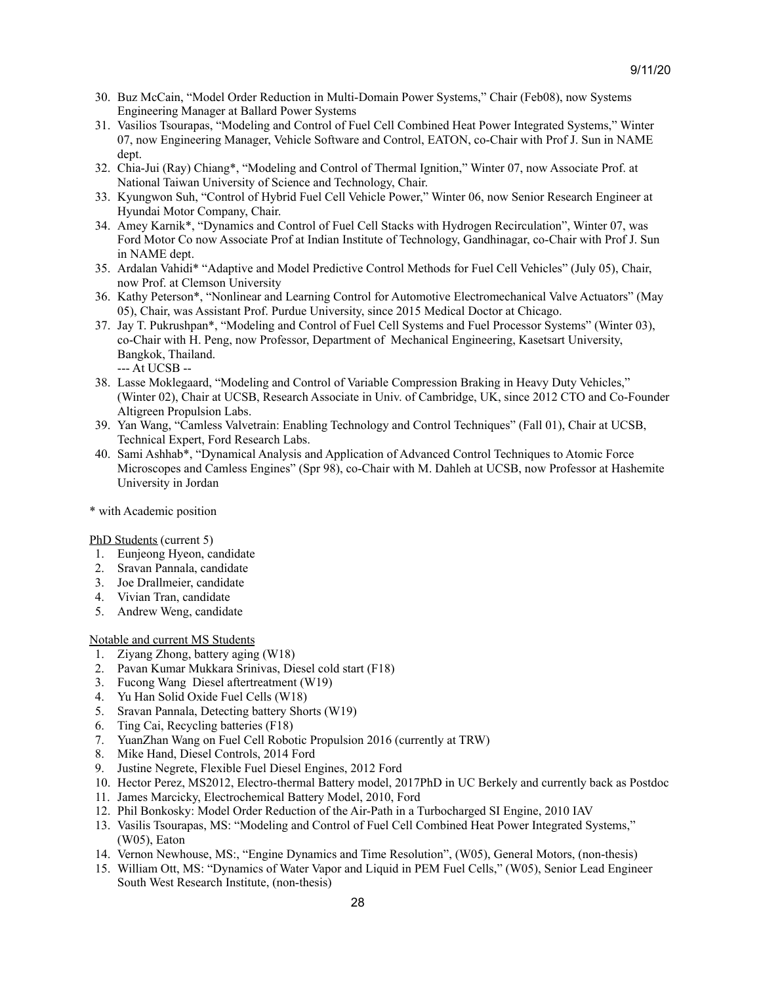- 30. Buz McCain, "Model Order Reduction in Multi-Domain Power Systems," Chair (Feb08), now Systems Engineering Manager at Ballard Power Systems
- 31. Vasilios Tsourapas, "Modeling and Control of Fuel Cell Combined Heat Power Integrated Systems," Winter 07, now Engineering Manager, Vehicle Software and Control, EATON, co-Chair with Prof J. Sun in NAME dept.
- 32. Chia-Jui (Ray) Chiang\*, "Modeling and Control of Thermal Ignition," Winter 07, now Associate Prof. at National Taiwan University of Science and Technology, Chair.
- 33. Kyungwon Suh, "Control of Hybrid Fuel Cell Vehicle Power," Winter 06, now Senior Research Engineer at Hyundai Motor Company, Chair.
- 34. Amey Karnik\*, "Dynamics and Control of Fuel Cell Stacks with Hydrogen Recirculation", Winter 07, was Ford Motor Co now Associate Prof at Indian Institute of Technology, Gandhinagar, co-Chair with Prof J. Sun in NAME dept.
- 35. Ardalan Vahidi\* "Adaptive and Model Predictive Control Methods for Fuel Cell Vehicles" (July 05), Chair, now Prof. at Clemson University
- 36. Kathy Peterson\*, "Nonlinear and Learning Control for Automotive Electromechanical Valve Actuators" (May 05), Chair, was Assistant Prof. Purdue University, since 2015 Medical Doctor at Chicago.
- 37. Jay T. Pukrushpan\*, "Modeling and Control of Fuel Cell Systems and Fuel Processor Systems" (Winter 03), co-Chair with H. Peng, now Professor, Department of Mechanical Engineering, Kasetsart University, Bangkok, Thailand.
	- --- At UCSB --
- 38. Lasse Moklegaard, "Modeling and Control of Variable Compression Braking in Heavy Duty Vehicles," (Winter 02), Chair at UCSB, Research Associate in Univ. of Cambridge, UK, since 2012 CTO and Co-Founder Altigreen Propulsion Labs.
- 39. Yan Wang, "Camless Valvetrain: Enabling Technology and Control Techniques" (Fall 01), Chair at UCSB, Technical Expert, Ford Research Labs.
- 40. Sami Ashhab\*, "Dynamical Analysis and Application of Advanced Control Techniques to Atomic Force Microscopes and Camless Engines" (Spr 98), co-Chair with M. Dahleh at UCSB, now Professor at Hashemite University in Jordan
- \* with Academic position

#### PhD Students (current 5)

- 1. Eunjeong Hyeon, candidate
- 2. Sravan Pannala, candidate
- 3. Joe Drallmeier, candidate
- 4. Vivian Tran, candidate
- 5. Andrew Weng, candidate

# Notable and current MS Students

- 1. Ziyang Zhong, battery aging (W18)
- 2. Pavan Kumar Mukkara Srinivas, Diesel cold start (F18)
- 3. Fucong Wang Diesel aftertreatment (W19)
- 4. Yu Han Solid Oxide Fuel Cells (W18)
- 5. Sravan Pannala, Detecting battery Shorts (W19)
- 6. Ting Cai, Recycling batteries (F18)
- 7. YuanZhan Wang on Fuel Cell Robotic Propulsion 2016 (currently at TRW)
- 8. Mike Hand, Diesel Controls, 2014 Ford
- 9. Justine Negrete, Flexible Fuel Diesel Engines, 2012 Ford
- 10. Hector Perez, MS2012, Electro-thermal Battery model, 2017PhD in UC Berkely and currently back as Postdoc
- 11. James Marcicky, Electrochemical Battery Model, 2010, Ford
- 12. Phil Bonkosky: Model Order Reduction of the Air-Path in a Turbocharged SI Engine, 2010 IAV
- 13. Vasilis Tsourapas, MS: "Modeling and Control of Fuel Cell Combined Heat Power Integrated Systems," (W05), Eaton
- 14. Vernon Newhouse, MS:, "Engine Dynamics and Time Resolution", (W05), General Motors, (non-thesis)
- 15. William Ott, MS: "Dynamics of Water Vapor and Liquid in PEM Fuel Cells," (W05), Senior Lead Engineer South West Research Institute, (non-thesis)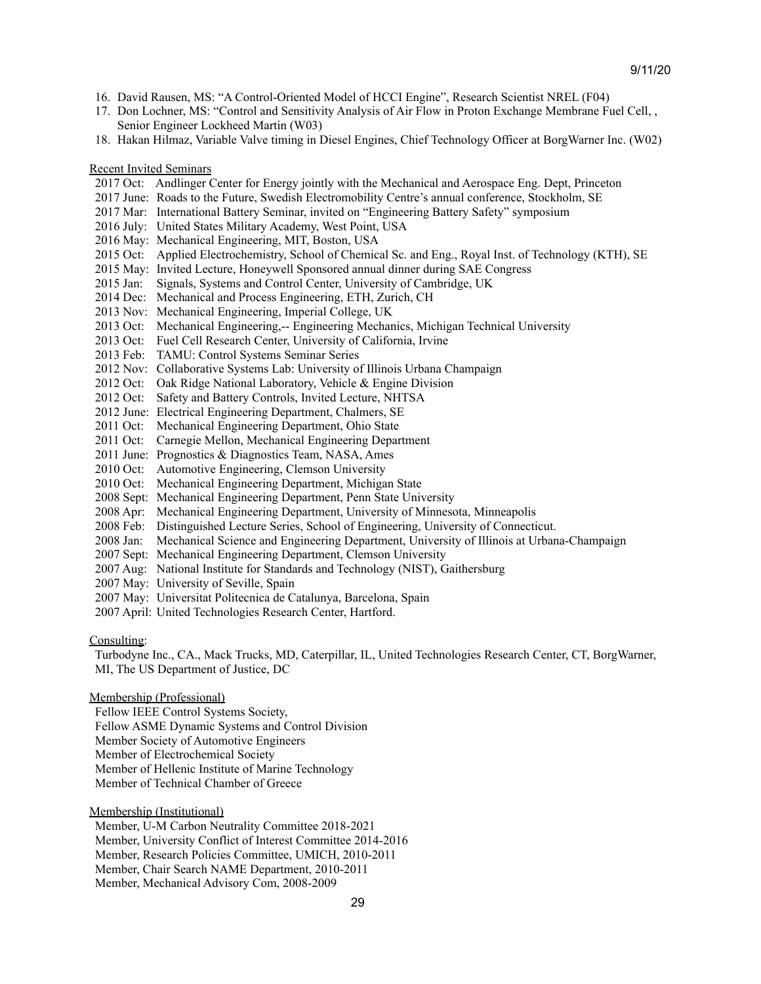- 16. David Rausen, MS: "A Control-Oriented Model of HCCI Engine", Research Scientist NREL (F04)
- 17. Don Lochner, MS: "Control and Sensitivity Analysis of Air Flow in Proton Exchange Membrane Fuel Cell, , Senior Engineer Lockheed Martin (W03)
- 18. Hakan Hilmaz, Variable Valve timing in Diesel Engines, Chief Technology Officer at BorgWarner Inc. (W02)

#### Recent Invited Seminars

- 2017 Oct: Andlinger Center for Energy jointly with the Mechanical and Aerospace Eng. Dept, Princeton
- 2017 June: Roads to the Future, Swedish Electromobility Centre's annual conference, Stockholm, SE
- 2017 Mar: International Battery Seminar, invited on "Engineering Battery Safety" symposium
- 2016 July: United States Military Academy, West Point, USA
- 2016 May: Mechanical Engineering, MIT, Boston, USA
- 2015 Oct: Applied Electrochemistry, School of Chemical Sc. and Eng., Royal Inst. of Technology (KTH), SE
- 2015 May: Invited Lecture, Honeywell Sponsored annual dinner during SAE Congress
- 2015 Jan: Signals, Systems and Control Center, University of Cambridge, UK
- 2014 Dec: Mechanical and Process Engineering, ETH, Zurich, CH
- 2013 Nov: Mechanical Engineering, Imperial College, UK
- 2013 Oct: Mechanical Engineering,-- Engineering Mechanics, Michigan Technical University
- 2013 Oct: Fuel Cell Research Center, University of California, Irvine
- 2013 Feb: TAMU: Control Systems Seminar Series
- 2012 Nov: Collaborative Systems Lab: University of Illinois Urbana Champaign
- 2012 Oct: Oak Ridge National Laboratory, Vehicle & Engine Division
- 2012 Oct: Safety and Battery Controls, Invited Lecture, NHTSA
- 2012 June: Electrical Engineering Department, Chalmers, SE
- 2011 Oct: Mechanical Engineering Department, Ohio State
- 2011 Oct: Carnegie Mellon, Mechanical Engineering Department
- 2011 June: Prognostics & Diagnostics Team, NASA, Ames
- 2010 Oct: Automotive Engineering, Clemson University
- 2010 Oct: Mechanical Engineering Department, Michigan State
- 2008 Sept: Mechanical Engineering Department, Penn State University
- 2008 Apr: Mechanical Engineering Department, University of Minnesota, Minneapolis
- 2008 Feb: Distinguished Lecture Series, School of Engineering, University of Connecticut.
- 2008 Jan: Mechanical Science and Engineering Department, University of Illinois at Urbana-Champaign
- 2007 Sept: Mechanical Engineering Department, Clemson University
- 2007 Aug: National Institute for Standards and Technology (NIST), Gaithersburg
- 2007 May: University of Seville, Spain
- 2007 May: Universitat Politecnica de Catalunya, Barcelona, Spain
- 2007 April: United Technologies Research Center, Hartford.

## Consulting:

Turbodyne Inc., CA., Mack Trucks, MD, Caterpillar, IL, United Technologies Research Center, CT, BorgWarner, MI, The US Department of Justice, DC

#### Membership (Professional)

Fellow IEEE Control Systems Society, Fellow ASME Dynamic Systems and Control Division Member Society of Automotive Engineers Member of Electrochemical Society

Member of Hellenic Institute of Marine Technology

Member of Technical Chamber of Greece

Membership (Institutional)

Member, U-M Carbon Neutrality Committee 2018-2021 Member, University Conflict of Interest Committee 2014-2016

Member, Research Policies Committee, UMICH, 2010-2011

Member, Chair Search NAME Department, 2010-2011

Member, Mechanical Advisory Com, 2008-2009